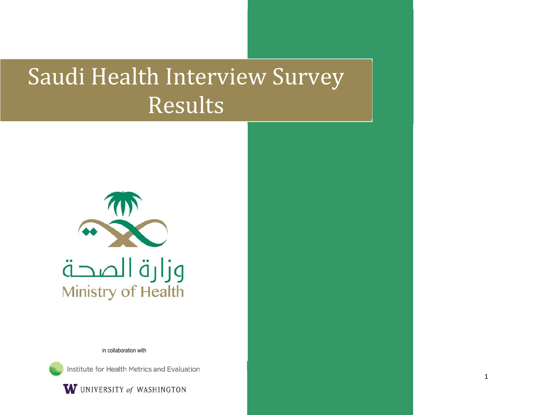# Saudi Health Interview Survey Results



in collaboration with

Institute for Health Metrics and Evaluation

W UNIVERSITY of WASHINGTON

1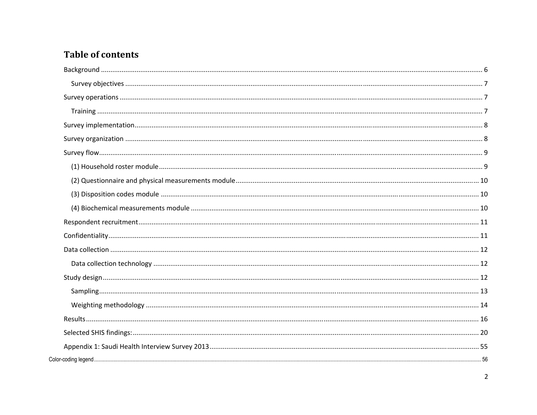# **Table of contents**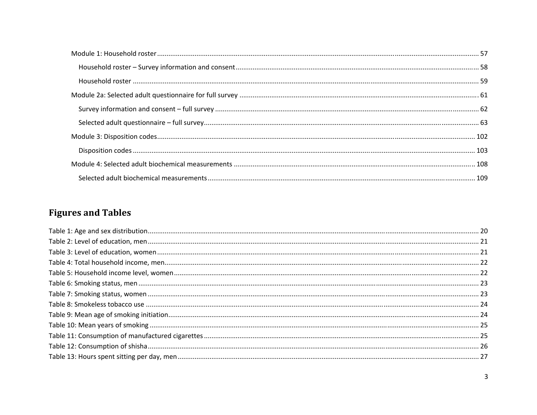# **Figures and Tables**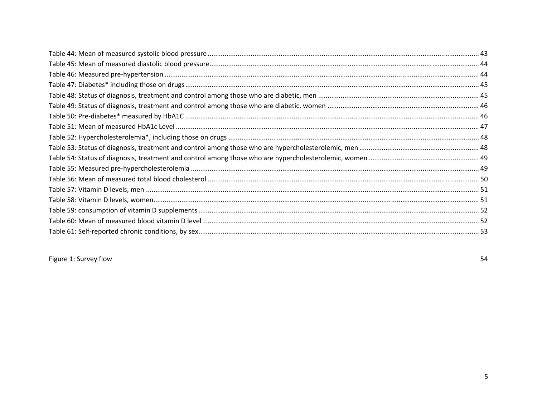Figure 1: Survey flow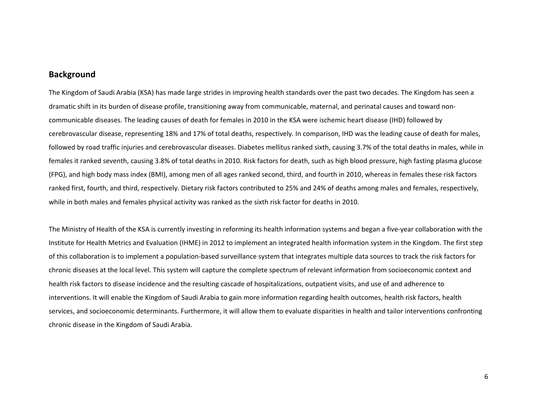## **Background**

The Kingdom of Saudi Arabia (KSA) has made large strides in improving health standards over the past two decades. The Kingdom has seen <sup>a</sup> dramatic shift in its burden of disease profile, transitioning away from communicable, maternal, and perinatal causes and toward non‐ communicable diseases. The leading causes of death for females in 2010 in the KSA were ischemic heart disease (IHD) followed by cerebrovascular disease, representing 18% and 17% of total deaths, respectively. In comparison, IHD was the leading cause of death for males, followed by road traffic injuries and cerebrovascular diseases. Diabetes mellitus ranked sixth, causing 3.7% of the total deaths in males, while in females it ranked seventh, causing 3.8% of total deaths in 2010. Risk factors for death, such as high blood pressure, high fasting plasma glucose (FPG), and high body mass index (BMI), among men of all ages ranked second, third, and fourth in 2010, whereas in females these risk factors ranked first, fourth, and third, respectively. Dietary risk factors contributed to 25% and 24% of deaths among males and females, respectively, while in both males and females physical activity was ranked as the sixth risk factor for deaths in 2010.

The Ministry of Health of the KSA is currently investing in reforming its health information systems and began <sup>a</sup> five‐year collaboration with the Institute for Health Metrics and Evaluation (IHME) in 2012 to implement an integrated health information system in the Kingdom. The first step of this collaboration is to implement <sup>a</sup> population‐based surveillance system that integrates multiple data sources to track the risk factors for chronic diseases at the local level. This system will capture the complete spectrum of relevant information from socioeconomic context and health risk factors to disease incidence and the resulting cascade of hospitalizations, outpatient visits, and use of and adherence to interventions. It will enable the Kingdom of Saudi Arabia to gain more information regarding health outcomes, health risk factors, health services, and socioeconomic determinants. Furthermore, it will allow them to evaluate disparities in health and tailor interventions confronting chronic disease in the Kingdom of Saudi Arabia.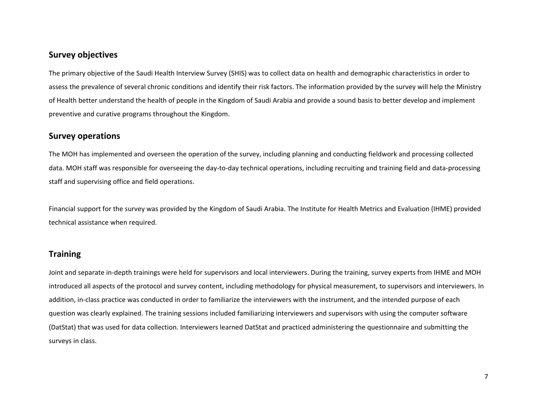# **Survey objectives**

The primary objective of the Saudi Health Interview Survey (SHIS) was to collect data on health and demographic characteristics in order to assess the prevalence of several chronic conditions and identify their risk factors. The information provided by the survey will help the Ministry of Health better understand the health of people in the Kingdom of Saudi Arabia and provide <sup>a</sup> sound basis to better develop and implement preventive and curative programs throughout the Kingdom.

# **Survey operations**

The MOH has implemented and overseen the operation of the survey, including planning and conducting fieldwork and processing collected data. MOH staff was responsible for overseeing the day‐to‐day technical operations, including recruiting and training field and data‐processing staff and supervising office and field operations.

Financial support for the survey was provided by the Kingdom of Saudi Arabia. The Institute for Health Metrics and Evaluation (IHME) provided technical assistance when required.

# **Training**

Joint and separate in‐depth trainings were held for supervisors and local interviewers. During the training, survey experts from IHME and MOH introduced all aspects of the protocol and survey content, including methodology for physical measurement, to supervisors and interviewers. In addition, in-class practice was conducted in order to familiarize the interviewers with the instrument, and the intended purpose of each question was clearly explained. The training sessions included familiarizing interviewers and supervisors with using the computer software (DatStat) that was used for data collection. Interviewers learned DatStat and practiced administering the questionnaire and submitting the surveys in class.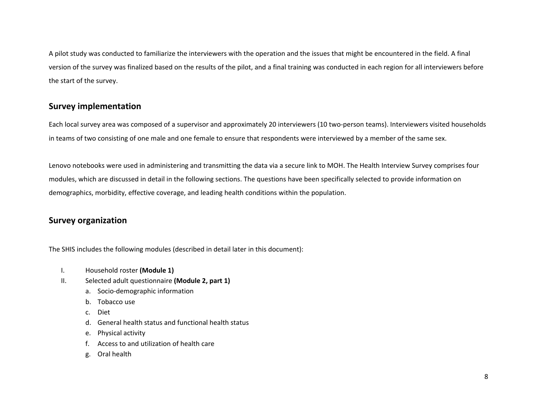A pilot study was conducted to familiarize the interviewers with the operation and the issues that might be encountered in the field. A final version of the survey was finalized based on the results of the pilot, and <sup>a</sup> final training was conducted in each region for all interviewers before the start of the survey.

# **Survey implementation**

Each local survey area was composed of <sup>a</sup> supervisor and approximately 20 interviewers (10 two‐person teams). Interviewers visited households in teams of two consisting of one male and one female to ensure that respondents were interviewed by <sup>a</sup> member of the same sex.

Lenovo notebooks were used in administering and transmitting the data via <sup>a</sup> secure link to MOH. The Health Interview Survey comprises four modules, which are discussed in detail in the following sections. The questions have been specifically selected to provide information on demographics, morbidity, effective coverage, and leading health conditions within the population.

# **Survey organization**

The SHIS includes the following modules (described in detail later in this document):

- I.Household roster **(Module 1)**
- II. Selected adult questionnaire **(Module 2, part 1)**
	- a. Socio‐demographic information
	- b. Tobacco use
	- c. Diet
	- d. General health status and functional health status
	- e. Physical activity
	- f. Access to and utilization of health care
	- g. Oral health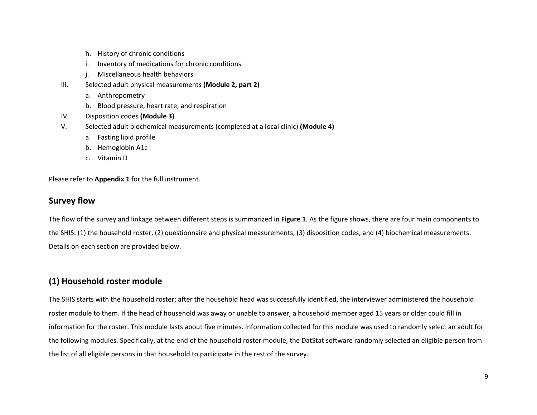- h. History of chronic conditions
- i. Inventory of medications for chronic conditions
- j. Miscellaneous health behaviors
- III. Selected adult physical measurements **(Module 2, part 2)**
	- a. Anthropometry
	- b. Blood pressure, heart rate, and respiration
- IV.Disposition codes **(Module 3)**
- V. Selected adult biochemical measurements (completed at <sup>a</sup> local clinic) **(Module 4)**
	- a. Fasting lipid profile
	- b. Hemoglobin A1c
	- c. Vitamin D

Please refer to **Appendix 1** for the full instrument.

# **Survey flow**

The flow of the survey and linkage between different steps is summarized in **Figure 1**. As the figure shows, there are four main components to the SHIS: (1) the household roster, (2) questionnaire and physical measurements, (3) disposition codes, and (4) biochemical measurements. Details on each section are provided below.

# **(1) Household roster module**

The SHIS starts with the household roster; after the household head was successfully identified, the interviewer administered the household roster module to them. If the head of household was away or unable to answer, <sup>a</sup> household member aged 15 years or older could fill in information for the roster. This module lasts about five minutes. Information collected for this module was used to randomly select an adult for the following modules. Specifically, at the end of the household roster module, the DatStat software randomly selected an eligible person from the list of all eligible persons in that household to participate in the rest of the survey.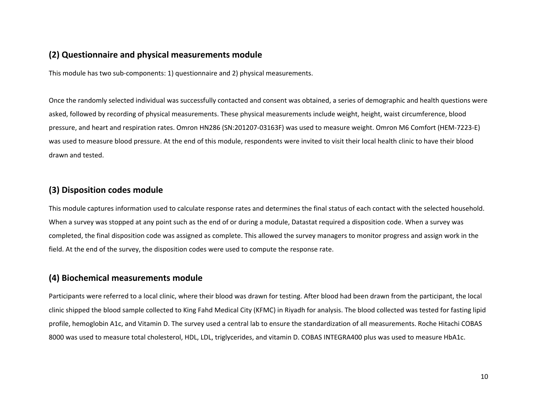# **(2) Questionnaire and physical measurements module**

This module has two sub‐components: 1) questionnaire and 2) physical measurements.

Once the randomly selected individual was successfully contacted and consent was obtained, <sup>a</sup> series of demographic and health questions were asked, followed by recording of physical measurements. These physical measurements include weight, height, waist circumference, blood pressure, and heart and respiration rates. Omron HN286 (SN:201207‐03163F) was used to measure weight. Omron M6 Comfort (HEM‐7223‐E) was used to measure blood pressure. At the end of this module, respondents were invited to visit their local health clinic to have their blood drawn and tested.

# **(3) Disposition codes module**

This module captures information used to calculate response rates and determines the final status of each contact with the selected household. When <sup>a</sup> survey was stopped at any point such as the end of or during <sup>a</sup> module, Datastat required <sup>a</sup> disposition code. When <sup>a</sup> survey was completed, the final disposition code was assigned as complete. This allowed the survey managers to monitor progress and assign work in the field. At the end of the survey, the disposition codes were used to compute the response rate.

# **(4) Biochemical measurements module**

Participants were referred to <sup>a</sup> local clinic, where their blood was drawn for testing. After blood had been drawn from the participant, the local clinic shipped the blood sample collected to King Fahd Medical City (KFMC) in Riyadh for analysis. The blood collected was tested for fasting lipid profile, hemoglobin A1c, and Vitamin D. The survey used <sup>a</sup> central lab to ensure the standardization of all measurements. Roche Hitachi COBAS 8000 was used to measure total cholesterol, HDL, LDL, triglycerides, and vitamin D. COBAS INTEGRA400 plus was used to measure HbA1c.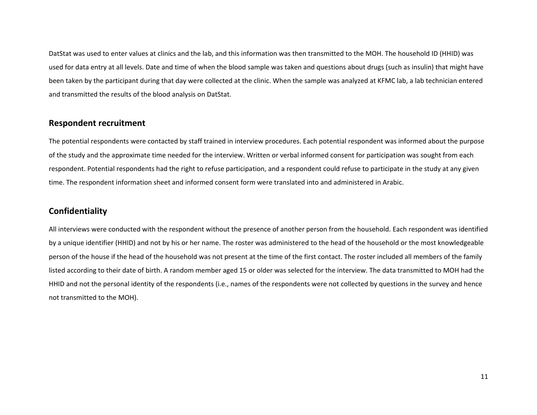DatStat was used to enter values at clinics and the lab, and this information was then transmitted to the MOH. The household ID (HHID) was used for data entry at all levels. Date and time of when the blood sample was taken and questions about drugs (such as insulin) that might have been taken by the participant during that day were collected at the clinic. When the sample was analyzed at KFMC lab, <sup>a</sup> lab technician entered and transmitted the results of the blood analysis on DatStat.

# **Respondent recruitment**

The potential respondents were contacted by staff trained in interview procedures. Each potential respondent was informed about the purpose of the study and the approximate time needed for the interview. Written or verbal informed consent for participation was sought from each respondent. Potential respondents had the right to refuse participation, and <sup>a</sup> respondent could refuse to participate in the study at any given time. The respondent information sheet and informed consent form were translated into and administered in Arabic.

# **Confidentiality**

All interviews were conducted with the respondent without the presence of another person from the household. Each respondent was identified by <sup>a</sup> unique identifier (HHID) and not by his or her name. The roster was administered to the head of the household or the most knowledgeable person of the house if the head of the household was not present at the time of the first contact. The roster included all members of the family listed according to their date of birth. A random member aged 15 or older was selected for the interview. The data transmitted to MOH had the HHID and not the personal identity of the respondents (i.e., names of the respondents were not collected by questions in the survey and hence not transmitted to the MOH).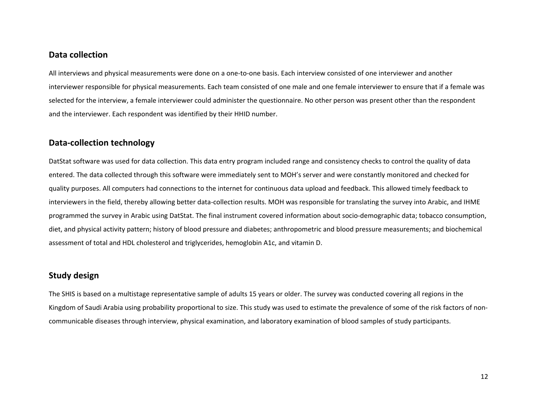### **Data collection**

All interviews and physical measurements were done on <sup>a</sup> one‐to‐one basis. Each interview consisted of one interviewer and another interviewer responsible for physical measurements. Each team consisted of one male and one female interviewer to ensure that if <sup>a</sup> female was selected for the interview, <sup>a</sup> female interviewer could administer the questionnaire. No other person was present other than the respondent and the interviewer. Each respondent was identified by their HHID number.

# **Data‐collection technology**

DatStat software was used for data collection. This data entry program included range and consistency checks to control the quality of data entered. The data collected through this software were immediately sent to MOH's server and were constantly monitored and checked for quality purposes. All computers had connections to the internet for continuous data upload and feedback. This allowed timely feedback to interviewers in the field, thereby allowing better data‐collection results. MOH was responsible for translating the survey into Arabic, and IHME programmed the survey in Arabic using DatStat. The final instrument covered information about socio‐demographic data; tobacco consumption, diet, and physical activity pattern; history of blood pressure and diabetes; anthropometric and blood pressure measurements; and biochemical assessment of total and HDL cholesterol and triglycerides, hemoglobin A1c, and vitamin D.

# **Study design**

The SHIS is based on <sup>a</sup> multistage representative sample of adults 15 years or older. The survey was conducted covering all regions in the Kingdom of Saudi Arabia using probability proportional to size. This study was used to estimate the prevalence of some of the risk factors of non‐ communicable diseases through interview, physical examination, and laboratory examination of blood samples of study participants.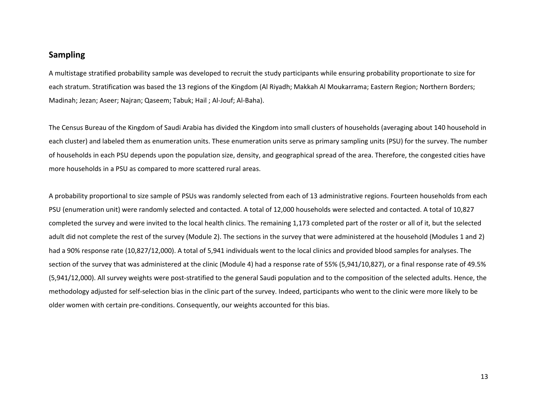# **Sampling**

A multistage stratified probability sample was developed to recruit the study participants while ensuring probability proportionate to size for each stratum. Stratification was based the 13 regions of the Kingdom (Al Riyadh; Makkah Al Moukarrama; Eastern Region; Northern Borders; Madinah; Jezan; Aseer; Najran; Qaseem; Tabuk; Hail ; Al‐Jouf; Al‐Baha).

The Census Bureau of the Kingdom of Saudi Arabia has divided the Kingdom into small clusters of households (averaging about 140 household in each cluster) and labeled them as enumeration units. These enumeration units serve as primary sampling units (PSU) for the survey. The number of households in each PSU depends upon the population size, density, and geographical spread of the area. Therefore, the congested cities have more households in <sup>a</sup> PSU as compared to more scattered rural areas.

A probability proportional to size sample of PSUs was randomly selected from each of 13 administrative regions. Fourteen households from each PSU (enumeration unit) were randomly selected and contacted. A total of 12,000 households were selected and contacted. A total of 10,827 completed the survey and were invited to the local health clinics. The remaining 1,173 completed part of the roster or all of it, but the selected adult did not complete the rest of the survey (Module 2). The sections in the survey that were administered at the household (Modules 1 and 2) had <sup>a</sup> 90% response rate (10,827/12,000). A total of 5,941 individuals went to the local clinics and provided blood samples for analyses. The section of the survey that was administered at the clinic (Module 4) had <sup>a</sup> response rate of 55% (5,941/10,827), or <sup>a</sup> final response rate of 49.5% (5,941/12,000). All survey weights were post‐stratified to the general Saudi population and to the composition of the selected adults. Hence, the methodology adjusted for self‐selection bias in the clinic part of the survey. Indeed, participants who went to the clinic were more likely to be older women with certain pre‐conditions. Consequently, our weights accounted for this bias.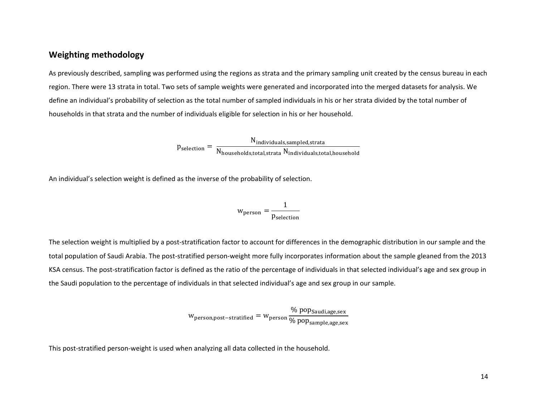# **Weighting methodology**

As previously described, sampling was performed using the regions as strata and the primary sampling unit created by the census bureau in each region. There were 13 strata in total. Two sets of sample weights were generated and incorporated into the merged datasets for analysis. We define an individual's probability of selection as the total number of sampled individuals in his or her strata divided by the total number of households in that strata and the number of individuals eligible for selection in his or her household.

> $p_{\text{selection}} = \frac{N_{\text{individuals,sampled,strata}}}{N}$  $\rm N_{\rm \,households, total, strata} \, N_{\rm \, individuals, total, household}$

An individual's selection weight is defined as the inverse of the probability of selection.

$$
w_{person} = \frac{1}{p_{selection}}
$$

The selection weight is multiplied by <sup>a</sup> post‐stratification factor to account for differences in the demographic distribution in our sample and the total population of Saudi Arabia. The post‐stratified person‐weight more fully incorporates information about the sample gleaned from the 2013 KSA census. The post‐stratification factor is defined as the ratio of the percentage of individuals in that selected individual's age and sex group in the Saudi population to the percentage of individuals in that selected individual's age and sex group in our sample.

> Wperson,post–stratified  $=$  Wperson % pop<sub>Saudi,age,sex</sub> % pop<sub>sample,age,sex</sub>

This post‐stratified person‐weight is used when analyzing all data collected in the household.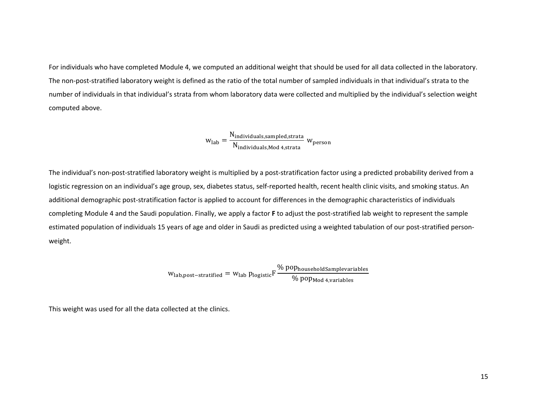For individuals who have completed Module 4, we computed an additional weight that should be used for all data collected in the laboratory. The non‐post‐stratified laboratory weight is defined as the ratio of the total number of sampled individuals in that individual's strata to the number of individuals in that individual's strata from whom laboratory data were collected and multiplied by the individual's selection weight computed above.

$$
w_{lab} = \frac{N_{individuals, sampled, strata}}{N_{individuals, Mod\ 4, strata}}\ w_{person}
$$

The individual's non‐post‐stratified laboratory weight is multiplied by <sup>a</sup> post‐stratification factor using <sup>a</sup> predicted probability derived from <sup>a</sup> logistic regression on an individual's age group, sex, diabetes status, self-reported health, recent health clinic visits, and smoking status. An additional demographic post‐stratification factor is applied to account for differences in the demographic characteristics of individuals completing Module 4 and the Saudi population. Finally, we apply a factor **F** to adjust the post-stratified lab weight to represent the sample estimated population of individuals 15 years of age and older in Saudi as predicted using <sup>a</sup> weighted tabulation of our post‐stratified person‐ weight.

$$
w_{\text{lab,post-stratified}} = w_{\text{lab}} p_{\text{logistic}} F \frac{\% \, \text{pop}_{\text{householdSample variables}}}{\% \, \text{pop}_{\text{Mod } 4, \text{variables}}}
$$

This weight was used for all the data collected at the clinics.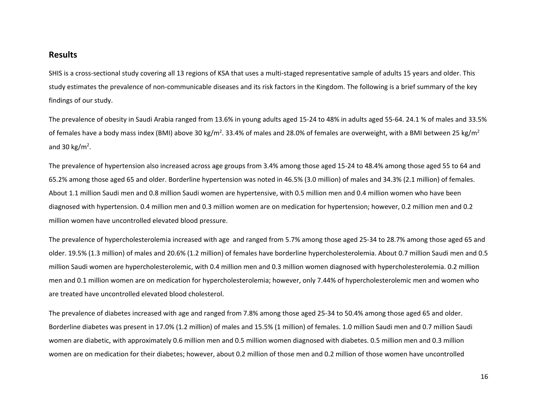# **Results**

SHIS is <sup>a</sup> cross‐sectional study covering all 13 regions of KSA that uses <sup>a</sup> multi‐staged representative sample of adults 15 years and older. This study estimates the prevalence of non‐communicable diseases and its risk factors in the Kingdom. The following is <sup>a</sup> brief summary of the key findings of our study.

The prevalence of obesity in Saudi Arabia ranged from 13.6% in young adults aged 15‐24 to 48% in adults aged 55‐64. 24.1 % of males and 33.5% of females have a body mass index (BMI) above 30 kg/m<sup>2</sup>. 33.4% of males and 28.0% of females are overweight, with a BMI between 25 kg/m<sup>2</sup> and 30 kg/m<sup>2</sup>.

The prevalence of hypertension also increased across age groups from 3.4% among those aged 15‐24 to 48.4% among those aged 55 to 64 and 65.2% among those aged 65 and older. Borderline hypertension was noted in 46.5% (3.0 million) of males and 34.3% (2.1 million) of females. About 1.1 million Saudi men and 0.8 million Saudi women are hypertensive, with 0.5 million men and 0.4 million women who have been diagnosed with hypertension. 0.4 million men and 0.3 million women are on medication for hypertension; however, 0.2 million men and 0.2 million women have uncontrolled elevated blood pressure.

The prevalence of hypercholesterolemia increased with age and ranged from 5.7% among those aged 25‐34 to 28.7% among those aged 65 and older. 19.5% (1.3 million) of males and 20.6% (1.2 million) of females have borderline hypercholesterolemia. About 0.7 million Saudi men and 0.5 million Saudi women are hypercholesterolemic, with 0.4 million men and 0.3 million women diagnosed with hypercholesterolemia. 0.2 million men and 0.1 million women are on medication for hypercholesterolemia; however, only 7.44% of hypercholesterolemic men and women who are treated have uncontrolled elevated blood cholesterol.

The prevalence of diabetes increased with age and ranged from 7.8% among those aged 25‐34 to 50.4% among those aged 65 and older. Borderline diabetes was present in 17.0% (1.2 million) of males and 15.5% (1 million) of females. 1.0 million Saudi men and 0.7 million Saudi women are diabetic, with approximately 0.6 million men and 0.5 million women diagnosed with diabetes. 0.5 million men and 0.3 million women are on medication for their diabetes; however, about 0.2 million of those men and 0.2 million of those women have uncontrolled

16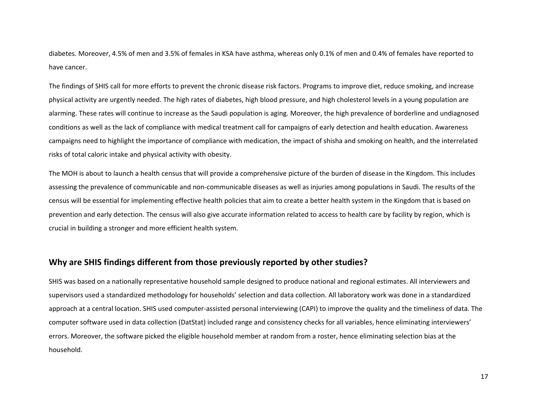diabetes. Moreover, 4.5% of men and 3.5% of females in KSA have asthma, whereas only 0.1% of men and 0.4% of females have reported to have cancer.

The findings of SHIS call for more efforts to prevent the chronic disease risk factors. Programs to improve diet, reduce smoking, and increase physical activity are urgently needed. The high rates of diabetes, high blood pressure, and high cholesterol levels in <sup>a</sup> young population are alarming. These rates will continue to increase as the Saudi population is aging. Moreover, the high prevalence of borderline and undiagnosed conditions as well as the lack of compliance with medical treatment call for campaigns of early detection and health education. Awareness campaigns need to highlight the importance of compliance with medication, the impact of shisha and smoking on health, and the interrelated risks of total caloric intake and physical activity with obesity.

The MOH is about to launch <sup>a</sup> health census that will provide <sup>a</sup> comprehensive picture of the burden of disease in the Kingdom. This includes assessing the prevalence of communicable and non‐communicable diseases as well as injuries among populations in Saudi. The results of the census will be essential for implementing effective health policies that aim to create <sup>a</sup> better health system in the Kingdom that is based on prevention and early detection. The census will also give accurate information related to access to health care by facility by region, which is crucial in building <sup>a</sup> stronger and more efficient health system.

# **Why are SHIS findings different from those previously reported by other studies?**

SHIS was based on <sup>a</sup> nationally representative household sample designed to produce national and regional estimates. All interviewers and supervisors used <sup>a</sup> standardized methodology for households' selection and data collection. All laboratory work was done in <sup>a</sup> standardized approach at <sup>a</sup> central location. SHIS used computer‐assisted personal interviewing (CAPI) to improve the quality and the timeliness of data. The computer software used in data collection (DatStat) included range and consistency checks for all variables, hence eliminating interviewers' errors. Moreover, the software picked the eligible household member at random from <sup>a</sup> roster, hence eliminating selection bias at the household.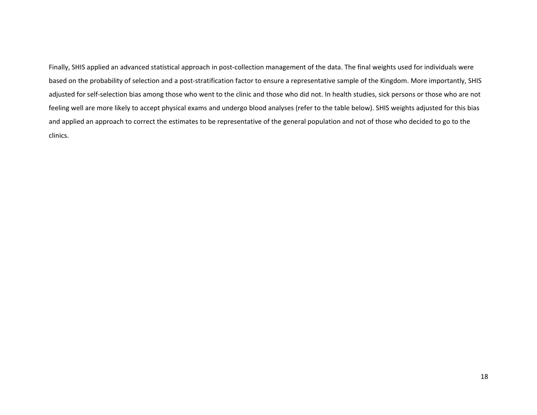Finally, SHIS applied an advanced statistical approach in post-collection management of the data. The final weights used for individuals were based on the probability of selection and <sup>a</sup> post‐stratification factor to ensure <sup>a</sup> representative sample of the Kingdom. More importantly, SHIS adjusted for self-selection bias among those who went to the clinic and those who did not. In health studies, sick persons or those who are not feeling well are more likely to accept physical exams and undergo blood analyses (refer to the table below). SHIS weights adjusted for this bias and applied an approach to correct the estimates to be representative of the general population and not of those who decided to go to the clinics.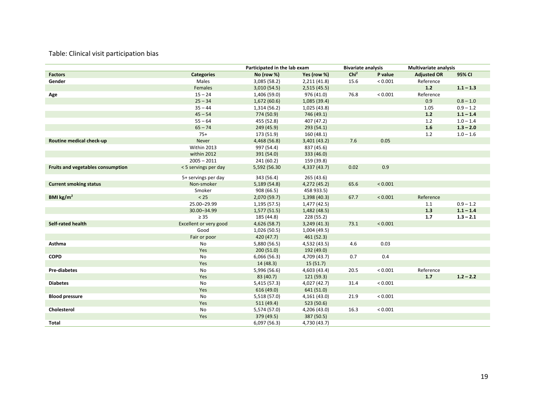#### Table: Clinical visit participation bias

|                                   |                        | Participated in the lab exam |              | <b>Bivariate analysis</b> |             | <b>Multivariate analysis</b> |             |
|-----------------------------------|------------------------|------------------------------|--------------|---------------------------|-------------|------------------------------|-------------|
| <b>Factors</b>                    | <b>Categories</b>      | No (row %)                   | Yes (row %)  | Chi <sup>2</sup>          | P value     | <b>Adjusted OR</b>           | 95% CI      |
| Gender                            | Males                  | 3,085 (58.2)                 | 2,211(41.8)  | 15.6                      | ${}< 0.001$ | Reference                    |             |
|                                   | Females                | 3,010(54.5)                  | 2,515(45.5)  |                           |             | $1.2$                        | $1.1 - 1.3$ |
| Age                               | $15 - 24$              | 1,406 (59.0)                 | 976 (41.0)   | 76.8                      | ${}< 0.001$ | Reference                    |             |
|                                   | $25 - 34$              | 1,672(60.6)                  | 1,085 (39.4) |                           |             | 0.9                          | $0.8 - 1.0$ |
|                                   | $35 - 44$              | 1,314 (56.2)                 | 1,025 (43.8) |                           |             | 1.05                         | $0.9 - 1.2$ |
|                                   | $45 - 54$              | 774 (50.9)                   | 746 (49.1)   |                           |             | $1.2$                        | $1.1 - 1.4$ |
|                                   | $55 - 64$              | 455 (52.8)                   | 407 (47.2)   |                           |             | 1.2                          | $1.0 - 1.4$ |
|                                   | $65 - 74$              | 249 (45.9)                   | 293(54.1)    |                           |             | 1.6                          | $1.3 - 2.0$ |
|                                   | $75+$                  | 173 (51.9)                   | 160(48.1)    |                           |             | 1.2                          | $1.0 - 1.6$ |
| Routine medical check-up          | Never                  | 4,468 (56.8)                 | 3,401 (43.2) | 7.6                       | 0.05        |                              |             |
|                                   | Within 2013            | 997 (54.4)                   | 837 (45.6)   |                           |             |                              |             |
|                                   | within 2012            | 391 (54.0)                   | 333 (46.0)   |                           |             |                              |             |
|                                   | $2005 - 2011$          | 241(60.2)                    | 159 (39.8)   |                           |             |                              |             |
| Fruits and vegetables consumption | < 5 servings per day   | 5,592 (56.30                 | 4,337 (43.7) | 0.02                      | 0.9         |                              |             |
|                                   | 5+ servings per day    | 343 (56.4)                   | 265(43.6)    |                           |             |                              |             |
| <b>Current smoking status</b>     | Non-smoker             | 5,189 (54.8)                 | 4,272 (45.2) | 65.6                      | < 0.001     |                              |             |
|                                   | Smoker                 | 908 (66.5)                   | 458 933.5)   |                           |             |                              |             |
| BMI $\text{kg/m}^2$               | $< 25$                 | 2,070 (59.7)                 | 1,398 (40.3) | 67.7                      | < 0.001     | Reference                    |             |
|                                   | 25.00-29.99            | 1,195 (57.5)                 | 1,477 (42.5) |                           |             | 1.1                          | $0.9 - 1.2$ |
|                                   | 30.00-34.99            | 1,577(51.5)                  | 1,482 (48.5) |                           |             | 1.3                          | $1.1 - 1.4$ |
|                                   | $\geq 35$              | 185 (44.8)                   | 228 (55.2)   |                           |             | 1.7                          | $1.3 - 2.1$ |
| Self-rated health                 | Excellent or very good | 4,626(58.7)                  | 3,249(41.3)  | 73.1                      | < 0.001     |                              |             |
|                                   | Good                   | 1,026 (50.5)                 | 1,004 (49.5) |                           |             |                              |             |
|                                   | Fair or poor           | 420 (47.7)                   | 461 (52.3)   |                           |             |                              |             |
| Asthma                            | No                     | 5,880 (56.5)                 | 4,532 (43.5) | 4.6                       | 0.03        |                              |             |
|                                   | Yes                    | 200(51.0)                    | 192 (49.0)   |                           |             |                              |             |
| <b>COPD</b>                       | No                     | 6,066(56.3)                  | 4,709 (43.7) | 0.7                       | 0.4         |                              |             |
|                                   | Yes                    | 14(48.3)                     | 15(51.7)     |                           |             |                              |             |
| <b>Pre-diabetes</b>               | No                     | 5,996 (56.6)                 | 4,603 (43.4) | 20.5                      | ${}< 0.001$ | Reference                    |             |
|                                   | Yes                    | 83 (40.7)                    | 121(59.3)    |                           |             | 1.7                          | $1.2 - 2.2$ |
| <b>Diabetes</b>                   | No                     | 5,415 (57.3)                 | 4,027 (42.7) | 31.4                      | ${}< 0.001$ |                              |             |
|                                   | Yes                    | 616 (49.0)                   | 641 (51.0)   |                           |             |                              |             |
| <b>Blood pressure</b>             | No                     | 5,518 (57.0)                 | 4,161 (43.0) | 21.9                      | ${}< 0.001$ |                              |             |
|                                   | Yes                    | 511(49.4)                    | 523 (50.6)   |                           |             |                              |             |
| Cholesterol                       | No                     | 5,574 (57.0)                 | 4,206 (43.0) | 16.3                      | ${}< 0.001$ |                              |             |
|                                   | Yes                    | 379 (49.5)                   | 387 (50.5)   |                           |             |                              |             |
| <b>Total</b>                      |                        | 6,097 (56.3)                 | 4,730 (43.7) |                           |             |                              |             |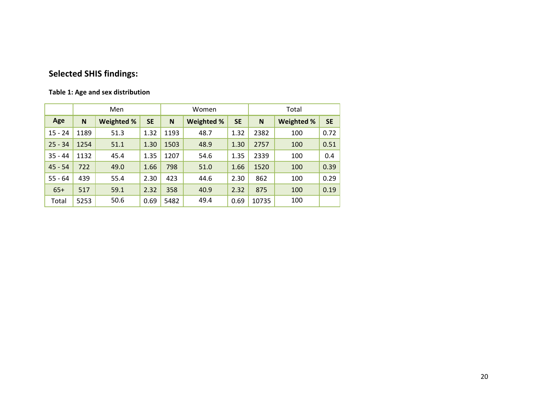# **Selected SHIS findings:**

#### **Table 1: Age and sex distribution**

|           |              | Men               |           |      | Women             |           | Total |                   |           |  |  |
|-----------|--------------|-------------------|-----------|------|-------------------|-----------|-------|-------------------|-----------|--|--|
| Age       | <sub>N</sub> | <b>Weighted %</b> | <b>SE</b> | N    | <b>Weighted %</b> | <b>SE</b> | N     | <b>Weighted %</b> | <b>SE</b> |  |  |
| $15 - 24$ | 1189         | 51.3              | 1.32      | 1193 | 48.7              | 1.32      | 2382  | 100               | 0.72      |  |  |
| $25 - 34$ | 1254         | 51.1              | 1.30      | 1503 | 48.9              | 1.30      | 2757  | 100               | 0.51      |  |  |
| $35 - 44$ | 1132         | 45.4              | 1.35      | 1207 | 54.6              | 1.35      | 2339  | 100               | 0.4       |  |  |
| $45 - 54$ | 722          | 49.0              | 1.66      | 798  | 51.0              | 1.66      | 1520  | 100               | 0.39      |  |  |
| $55 - 64$ | 439          | 55.4              | 2.30      | 423  | 44.6              | 2.30      | 862   | 100               | 0.29      |  |  |
| $65+$     | 517          | 59.1              | 2.32      | 358  | 40.9              | 2.32      | 875   | 100               | 0.19      |  |  |
| Total     | 5253         | 50.6              | 0.69      | 5482 | 49.4              | 0.69      | 10735 | 100               |           |  |  |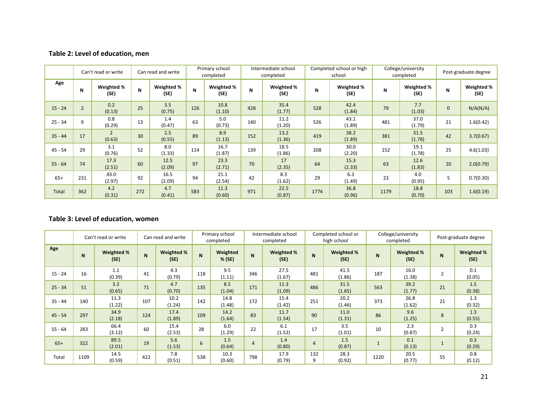#### **Table 2: Level of education, men**

|           |                | Can't read or write<br>Can read and write |     |                    | Primary school<br>completed |                    | Intermediate school<br>completed |                    |      | Completed school or high<br>school |      | College/university<br>completed | Post-graduate degree |                    |
|-----------|----------------|-------------------------------------------|-----|--------------------|-----------------------------|--------------------|----------------------------------|--------------------|------|------------------------------------|------|---------------------------------|----------------------|--------------------|
| Age       | N              | Weighted %<br>(SE)                        | N   | Weighted %<br>(SE) | N                           | Weighted %<br>(SE) | N                                | Weighted %<br>(SF) |      | Weighted %<br>(SF)                 | N    | Weighted %<br>(SE)              | N                    | Weighted %<br>(SE) |
| $15 - 24$ | $\overline{2}$ | 0.2<br>(0.13)                             | 25  | 3.5<br>(0.75)      | 126                         | 10.8<br>(1.10)     | 428                              | 35.4<br>(1.77)     | 528  | 42.4<br>(1.84)                     | 79   | 7.7<br>(1.03)                   | $\mathbf 0$          | N/A(N/A)           |
| $25 - 34$ | 9              | 0.8<br>(0.29)                             | 13  | 1.4<br>(0.47)      | 63                          | 5.0<br>(0.73)      | 140                              | 11.2<br>(1.20)     | 526  | 43.1<br>(1.89)                     | 481  | 37.0<br>(1.79)                  | 21                   | 1.6(0.42)          |
| $35 - 44$ | 17             | $\overline{2}$<br>(0.63)                  | 30  | 2.5<br>(0.55)      | 89                          | 8.9<br>(1.13)      | 152                              | 13.2<br>(1.36)     | 419  | 38.2<br>(1.89)                     | 381  | 31.5<br>(1.78)                  | 42                   | 3.7(0.67)          |
| $45 - 54$ | 29             | 3.1<br>(0.76)                             | 52  | 8.0<br>(1.33)      | 114                         | 16.7<br>(1.87)     | 139                              | 18.5<br>(1.86)     | 208  | 30.0<br>(2.20)                     | 152  | 19.1<br>(1.78)                  | 25                   | 4.6(1.03)          |
| $55 - 64$ | 74             | 17.3<br>(2.51)                            | 60  | 12.5<br>(2.09)     | 97                          | 23.3<br>(2.71)     | 70                               | 17<br>(2.35)       | 64   | 15.3<br>(2.33)                     | 63   | 12.6<br>(1.83)                  | 10                   | 2.0(0.79)          |
| $65+$     | 231            | 43.0<br>(2.97)                            | 92  | 16.5<br>(2.09)     | 94                          | 21.1<br>(2.54)     | 42                               | 8.3<br>(1.62)      | 29   | 6.3<br>(1.49)                      | 23   | 4.0<br>(0.95)                   | 5                    | 0.7(0.30)          |
| Total     | 362            | 4.2<br>(0.31)                             | 272 | 4.7<br>(0.41)      | 583                         | 11.3<br>(0.60)     | 971                              | 22.5<br>(0.87)     | 1774 | 36.8<br>(0.96)                     | 1179 | 18.8<br>(0.70)                  | 103                  | 1.6(0.19)          |

#### **Table 3: Level of education, women**

|           |      | Can't read or write |     | Can read and write | Primary school<br>completed |                      |     | Intermediate school<br>completed |                | Completed school or<br>high school |      | College/university<br>completed | Post-graduate degree |                    |
|-----------|------|---------------------|-----|--------------------|-----------------------------|----------------------|-----|----------------------------------|----------------|------------------------------------|------|---------------------------------|----------------------|--------------------|
| Age       | N    | Weighted %<br>(SE)  | N.  | Weighted %<br>(SE) | N                           | Weighted<br>$%$ (SE) | N   | Weighted %<br>(SE)               | N              | Weighted %<br>(SE)                 | N    | Weighted %<br>(SE)              | N                    | Weighted %<br>(SE) |
| $15 - 24$ | 16   | 1.1<br>(0.39)       | 41  | 4.3<br>(0.79)      | 118                         | 9.5<br>(1.11)        | 346 | 27.5<br>(1.67)                   | 481            | 41.5<br>(1.86)                     | 187  | 16.0<br>(1.38)                  | $\overline{2}$       | 0.1<br>(0.05)      |
| $25 - 34$ | 51   | 3.3<br>(0.65)       | 71  | 4.7<br>(0.70)      | 135                         | 8.5<br>(1.04)        | 171 | 11.3<br>(1.09)                   | 486            | 31.5<br>(1.65)                     | 563  | 39.2<br>(1.77)                  | 21                   | 1.5<br>(0.38)      |
| $35 - 44$ | 140  | 11.3<br>(1.22)      | 107 | 10.2<br>(1.24)     | 142                         | 14.8<br>(1.48)       | 172 | 15.4<br>(1.42)                   | 251            | 20.2<br>(1.46)                     | 373  | 26.8<br>(1.62)                  | 21                   | 1.3<br>(0.32)      |
| $45 - 54$ | 297  | 34.9<br>(2.18)      | 124 | 17.4<br>(1.89)     | 109                         | 14.2<br>(1.64)       | 83  | 11.7<br>(1.54)                   | 90             | 11.0<br>(1.31)                     | 86   | 9.6<br>(1.25)                   | 8                    | 1.3<br>(0.55)      |
| $55 - 64$ | 283  | 66.4<br>(3.12)      | 60  | 15.4<br>(2.53)     | 28                          | 6.0<br>(1.29)        | 22  | 6.1<br>(1.52)                    | 17             | 3.5<br>(1.01)                      | 10   | 2.3<br>(0.87)                   | $\overline{2}$       | 0.3<br>(0.24)      |
| $65+$     | 322  | 89.5<br>(2.01)      | 19  | 5.6<br>(1.53)      | 6                           | 1.5<br>(0.64)        | 4   | 1.4<br>(0.80)                    | $\overline{4}$ | 1.5<br>(0.87)                      |      | 0.1<br>(0.13)                   |                      | 0.3<br>(0.29)      |
| Total     | 1109 | 14.5<br>(0.59)      | 422 | 7.8<br>(0.51)      | 538                         | 10.3<br>(0.60)       | 798 | 17.9<br>(0.79)                   | 132<br>9       | 28.3<br>(0.92)                     | 1220 | 20.5<br>(0.77)                  | 55                   | 0.8<br>(0.12)      |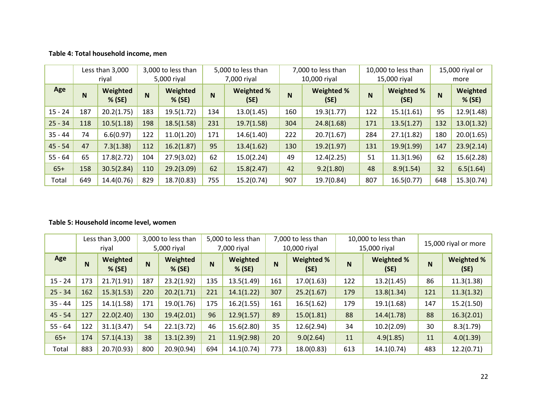#### **Table 4: Total household income, men**

|           |                | Less than 3,000<br>riyal |     | 3,000 to less than<br>5,000 riyal |     | 5,000 to less than<br>7,000 riyal |     | 7,000 to less than<br>10,000 riyal |          | 10,000 to less than<br>15,000 riyal | 15,000 riyal or<br>more |                    |  |
|-----------|----------------|--------------------------|-----|-----------------------------------|-----|-----------------------------------|-----|------------------------------------|----------|-------------------------------------|-------------------------|--------------------|--|
| Age       | N <sub>1</sub> | Weighted<br>$%$ (SE)     | N   | Weighted<br>% (SE)                | N   | Weighted %<br>(SE)                | N   | Weighted %<br>(SE)                 | <b>N</b> | Weighted %<br>(SE)                  | N                       | Weighted<br>% (SE) |  |
| $15 - 24$ | 187            | 20.2(1.75)               | 183 | 19.5(1.72)                        | 134 | 13.0(1.45)                        | 160 | 19.3(1.77)                         | 122      | 15.1(1.61)                          | 95                      | 12.9(1.48)         |  |
| $25 - 34$ | 118            | 10.5(1.18)               | 198 | 18.5(1.58)                        | 231 | 19.7(1.58)                        | 304 | 24.8(1.68)                         | 171      | 13.5(1.27)                          | 132                     | 13.0(1.32)         |  |
| $35 - 44$ | 74             | 6.6(0.97)                | 122 | 11.0(1.20)                        | 171 | 14.6(1.40)                        | 222 | 20.7(1.67)                         | 284      | 27.1(1.82)                          | 180                     | 20.0(1.65)         |  |
| $45 - 54$ | 47             | 7.3(1.38)                | 112 | 16.2(1.87)                        | 95  | 13.4(1.62)                        | 130 | 19.2(1.97)                         | 131      | 19.9(1.99)                          | 147                     | 23.9(2.14)         |  |
| $55 - 64$ | 65             | 17.8(2.72)               | 104 | 27.9(3.02)                        | 62  | 15.0(2.24)                        | 49  | 12.4(2.25)                         | 51       | 11.3(1.96)                          | 62                      | 15.6(2.28)         |  |
| $65+$     | 158            | 30.5(2.84)               | 110 | 29.2(3.09)                        | 62  | 15.8(2.47)                        | 42  | 9.2(1.80)                          | 48       | 8.9(1.54)                           | 32                      | 6.5(1.64)          |  |
| Total     | 649            | 14.4(0.76)               | 829 | 18.7(0.83)                        | 755 | 15.2(0.74)                        | 907 | 19.7(0.84)                         | 807      | 16.5(0.77)                          | 648                     | 15.3(0.74)         |  |

#### **Table 5: Household income level, women**

|           |     | Less than 3,000<br>riyal | 3,000 to less than<br>5,000 riyal |                    | 5,000 to less than<br>7,000 riyal |                      |     | 7,000 to less than<br>10,000 riyal |     | 10,000 to less than<br>15,000 riyal | 15,000 riyal or more |                           |  |
|-----------|-----|--------------------------|-----------------------------------|--------------------|-----------------------------------|----------------------|-----|------------------------------------|-----|-------------------------------------|----------------------|---------------------------|--|
| Age       | N   | Weighted<br>$%$ (SE)     | N                                 | Weighted<br>% (SE) | N                                 | Weighted<br>$%$ (SE) | N   | Weighted %<br>(SE)                 | N   | Weighted %<br>(SE)                  | N                    | <b>Weighted %</b><br>(SE) |  |
| $15 - 24$ | 173 | 21.7(1.91)               | 187                               | 23.2(1.92)         | 135                               | 13.5(1.49)           | 161 | 17.0(1.63)                         | 122 | 13.2(1.45)                          | 86                   | 11.3(1.38)                |  |
| $25 - 34$ | 162 | 15.3(1.53)               | 220                               | 20.2(1.71)         | 221                               | 14.1(1.22)           | 307 | 25.2(1.67)                         | 179 | 13.8(1.34)                          | 121                  | 11.3(1.32)                |  |
| $35 - 44$ | 125 | 14.1(1.58)               | 171                               | 19.0(1.76)         | 175                               | 16.2(1.55)           | 161 | 16.5(1.62)                         | 179 | 19.1(1.68)                          | 147                  | 15.2(1.50)                |  |
| $45 - 54$ | 127 | 22.0(2.40)               | 130                               | 19.4(2.01)         | 96                                | 12.9(1.57)           | 89  | 15.0(1.81)                         | 88  | 14.4(1.78)                          | 88                   | 16.3(2.01)                |  |
| $55 - 64$ | 122 | 31.1(3.47)               | 54                                | 22.1(3.72)         | 46                                | 15.6(2.80)           | 35  | 12.6(2.94)                         | 34  | 10.2(2.09)                          | 30                   | 8.3(1.79)                 |  |
| $65+$     | 174 | 57.1(4.13)               | 38                                | 13.1(2.39)         | 21                                | 11.9(2.98)           | 20  | 9.0(2.64)                          | 11  | 4.9(1.85)                           | 11                   | 4.0(1.39)                 |  |
| Total     | 883 | 20.7(0.93)               | 800                               | 20.9(0.94)         | 694                               | 14.1(0.74)           | 773 | 18.0(0.83)                         | 613 | 14.1(0.74)                          | 483                  | 12.2(0.71)                |  |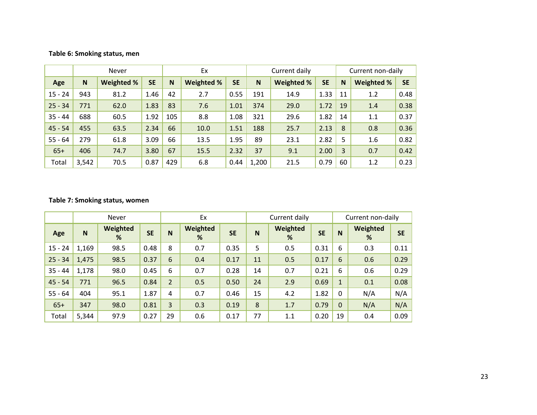#### **Table 6: Smoking status, men**

|           |       | Never             |           |     | Ex         |           | Current daily   |      |           |             | Current non-daily |           |  |  |
|-----------|-------|-------------------|-----------|-----|------------|-----------|-----------------|------|-----------|-------------|-------------------|-----------|--|--|
| Age       | N     | <b>Weighted %</b> | <b>SE</b> | N   | Weighted % | <b>SE</b> | Weighted %<br>N |      | <b>SE</b> | $\mathbf N$ | Weighted %        | <b>SE</b> |  |  |
| $15 - 24$ | 943   | 81.2              | 1.46      | 42  | 2.7        | 0.55      | 191             | 14.9 | 1.33      | 11          | 1.2               | 0.48      |  |  |
| $25 - 34$ | 771   | 62.0              | 1.83      | 83  | 7.6        | 1.01      | 374             | 29.0 | 1.72      | 19          | 1.4               | 0.38      |  |  |
| $35 - 44$ | 688   | 60.5              | 1.92      | 105 | 8.8        | 1.08      | 321             | 29.6 | 1.82      | 14          | 1.1               | 0.37      |  |  |
| $45 - 54$ | 455   | 63.5              | 2.34      | 66  | 10.0       | 1.51      | 188             | 25.7 | 2.13      | 8           | 0.8               | 0.36      |  |  |
| $55 - 64$ | 279   | 61.8              | 3.09      | 66  | 13.5       | 1.95      | 89              | 23.1 | 2.82      | 5           | 1.6               | 0.82      |  |  |
| $65+$     | 406   | 74.7              | 3.80      | 67  | 15.5       | 2.32      | 37              | 9.1  | 2.00      | 3           | 0.7               | 0.42      |  |  |
| Total     | 3,542 | 70.5              | 0.87      | 429 | 6.8        | 0.44      | 1,200           | 21.5 | 0.79      | 60          | 1.2               | 0.23      |  |  |

#### **Table 7: Smoking status, women**

|           |       | <b>Never</b>  |           |                | Ex            |           |    | Current daily |           |              | Current non-daily |           |
|-----------|-------|---------------|-----------|----------------|---------------|-----------|----|---------------|-----------|--------------|-------------------|-----------|
| Age       | N     | Weighted<br>% | <b>SE</b> | N              | Weighted<br>% | <b>SE</b> | N  | Weighted<br>% | <b>SE</b> | N            | Weighted<br>%     | <b>SE</b> |
| $15 - 24$ | 1,169 | 98.5          | 0.48      | 8              | 0.7           | 0.35      | 5  | 0.5           | 0.31      | 6            | 0.3               | 0.11      |
| $25 - 34$ | 1,475 | 98.5          | 0.37      | 6              | 0.4           | 0.17      | 11 | 0.5           | 0.17      | 6            | 0.6               | 0.29      |
| $35 - 44$ | 1,178 | 98.0          | 0.45      | 6              | 0.7           | 0.28      | 14 | 0.7           | 0.21      | 6            | 0.6               | 0.29      |
| $45 - 54$ | 771   | 96.5          | 0.84      | $\overline{2}$ | 0.5           | 0.50      | 24 | 2.9           | 0.69      | $\mathbf{1}$ | 0.1               | 0.08      |
| $55 - 64$ | 404   | 95.1          | 1.87      | 4              | 0.7           | 0.46      | 15 | 4.2           | 1.82      | $\mathbf 0$  | N/A               | N/A       |
| $65+$     | 347   | 98.0          | 0.81      | 3              | 0.3           | 0.19      | 8  | 1.7           | 0.79      | $\mathbf{0}$ | N/A               | N/A       |
| Total     | 5,344 | 97.9          | 0.27      | 29             | 0.6           | 0.17      | 77 | 1.1           | 0.20      | 19           | 0.4               | 0.09      |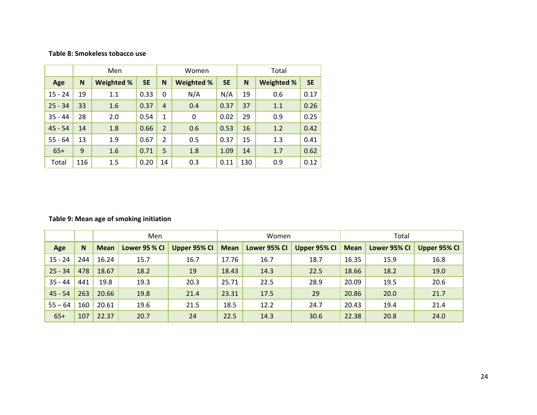#### **Table 8: Smokeless tobacco use**

|           |     | Men               |           |                | Women      |           |     | Total             |           |
|-----------|-----|-------------------|-----------|----------------|------------|-----------|-----|-------------------|-----------|
| Age       | N   | <b>Weighted %</b> | <b>SE</b> | N              | Weighted % | <b>SE</b> | N   | <b>Weighted %</b> | <b>SE</b> |
| $15 - 24$ | 19  | 1.1               | 0.33      | $\Omega$       | N/A        | N/A       | 19  | 0.6               | 0.17      |
| $25 - 34$ | 33  | 1.6               | 0.37      | $\overline{4}$ | 0.4        | 0.37      | 37  | 1.1               | 0.26      |
| $35 - 44$ | 28  | 2.0               | 0.54      | $\mathbf{1}$   | 0          | 0.02      | 29  | 0.9               | 0.25      |
| $45 - 54$ | 14  | 1.8               | 0.66      | $\overline{2}$ | 0.6        | 0.53      | 16  | 1.2               | 0.42      |
| $55 - 64$ | 13  | 1.9               | 0.67      | $\overline{2}$ | 0.5        | 0.37      | 15  | 1.3               | 0.41      |
| $65+$     | 9   | 1.6               | 0.71      | 5              | 1.8        | 1.09      | 14  | 1.7               | 0.62      |
| Total     | 116 | 1.5               | 0.20      | 14             | 0.3        | 0.11      | 130 | 0.9               | 0.12      |

#### **Table 9: Mean age of smoking initiation**

|           |     |             | Men           |              |             | Women        |              |             | Total        |                 |
|-----------|-----|-------------|---------------|--------------|-------------|--------------|--------------|-------------|--------------|-----------------|
| Age       | N   | <b>Mean</b> | Lower 95 % Cl | Upper 95% CI | <b>Mean</b> | Lower 95% CI | Upper 95% CI | <b>Mean</b> | Lower 95% CI | Upper $95\%$ Cl |
| $15 - 24$ | 244 | 16.24       | 15.7          | 16.7         | 17.76       | 16.7         | 18.7         | 16.35       | 15.9         | 16.8            |
| $25 - 34$ | 478 | 18.67       | 18.2          | 19           |             | 14.3         | 22.5         | 18.66       | 18.2         | 19.0            |
| $35 - 44$ | 441 | 19.8        | 19.3          | 20.3         |             | 22.5         | 28.9         | 20.09       | 19.5         | 20.6            |
| $45 - 54$ | 263 | 20.66       | 19.8          | 21.4         |             | 17.5         | 29           | 20.86       | 20.0         | 21.7            |
| $55 - 64$ | 160 | 20.61       | 19.6          | 21.5         | 18.5        | 12.2         | 24.7         | 20.43       | 19.4         | 21.4            |
| $65+$     | 107 | 22.37       | 20.7          | 24           | 22.5        | 14.3         | 30.6         | 22.38       | 20.8         | 24.0            |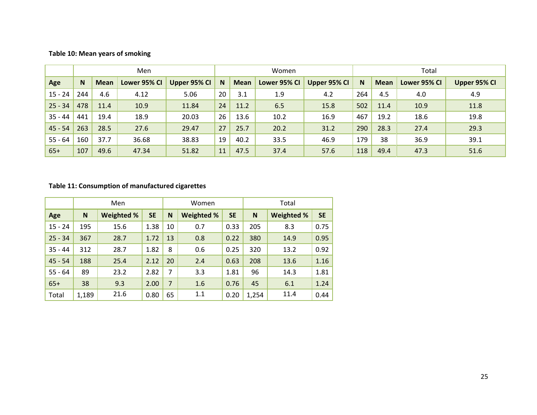#### **Table 10: Mean years of smoking**

|           |     |             | Men          |              |    |             | Women        |              |     |             | Total        |              |
|-----------|-----|-------------|--------------|--------------|----|-------------|--------------|--------------|-----|-------------|--------------|--------------|
| Age       | N.  | <b>Mean</b> | Lower 95% CI | Upper 95% CI | N  | <b>Mean</b> | Lower 95% CI | Upper 95% CI | N   | <b>Mean</b> | Lower 95% CI | Upper 95% CI |
| $15 - 24$ | 244 | 4.6         | 4.12         | 5.06         | 20 | 3.1         | 1.9          | 4.2          | 264 | 4.5         | 4.0          | 4.9          |
| $25 - 34$ | 478 | 11.4        | 10.9         | 11.84        | 24 | 11.2        | 6.5          | 15.8         | 502 | 11.4        | 10.9         | 11.8         |
| $35 - 44$ | 441 | 19.4        | 18.9         | 20.03        | 26 | 13.6        | 10.2         | 16.9         | 467 | 19.2        | 18.6         | 19.8         |
| $45 - 54$ | 263 | 28.5        | 27.6         | 29.47        | 27 | 25.7        | 20.2         | 31.2         | 290 | 28.3        | 27.4         | 29.3         |
| $55 - 64$ | 160 | 37.7        | 36.68        | 38.83        | 19 | 40.2        | 33.5         | 46.9         | 179 | 38          | 36.9         | 39.1         |
| $65+$     | 107 | 49.6        | 47.34        | 51.82        | 11 | 47.5        | 37.4         | 57.6         | 118 | 49.4        | 47.3         | 51.6         |

#### **Table 11: Consumption of manufactured cigarettes**

|           |       | Men               |           |                | Women             |           |       | Total             |           |
|-----------|-------|-------------------|-----------|----------------|-------------------|-----------|-------|-------------------|-----------|
| Age       | N     | <b>Weighted %</b> | <b>SE</b> | N              | <b>Weighted %</b> | <b>SE</b> | N     | <b>Weighted %</b> | <b>SE</b> |
| $15 - 24$ | 195   | 15.6              | 1.38      | 10             | 0.7               | 0.33      | 205   | 8.3               | 0.75      |
| $25 - 34$ | 367   | 28.7              | 1.72      | 13             | 0.8               | 0.22      | 380   | 14.9              | 0.95      |
| $35 - 44$ | 312   | 28.7              | 1.82      | 8              | 0.6               | 0.25      | 320   | 13.2              | 0.92      |
| $45 - 54$ | 188   | 25.4              | 2.12      | 20             | 2.4               | 0.63      | 208   | 13.6              | 1.16      |
| $55 - 64$ | 89    | 23.2              | 2.82      | $\overline{7}$ | 3.3               | 1.81      | 96    | 14.3              | 1.81      |
| $65+$     | 38    | 9.3               | 2.00      | $\overline{7}$ | 1.6               | 0.76      | 45    | 6.1               | 1.24      |
| Total     | 1,189 | 21.6              | 0.80      | 65             | 1.1               | 0.20      | 1,254 | 11.4              | 0.44      |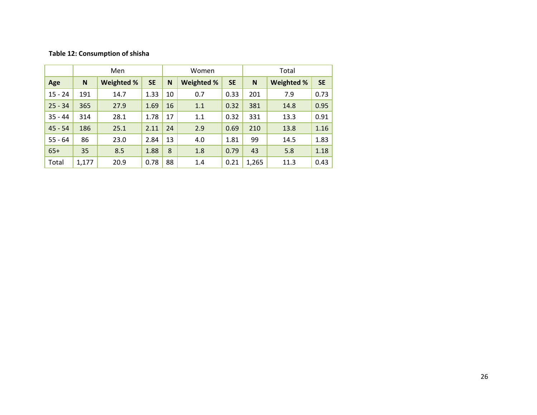#### **Table 12: Consumption of shisha**

|           |       | Men        |           |    | Women      |           |       | Total             |           |
|-----------|-------|------------|-----------|----|------------|-----------|-------|-------------------|-----------|
| Age       | N     | Weighted % | <b>SE</b> | N  | Weighted % | <b>SE</b> | N     | <b>Weighted %</b> | <b>SE</b> |
| $15 - 24$ | 191   | 14.7       | 1.33      | 10 | 0.7        | 0.33      | 201   | 7.9               | 0.73      |
| $25 - 34$ | 365   | 27.9       | 1.69      | 16 | 1.1        | 0.32      | 381   | 14.8              | 0.95      |
| $35 - 44$ | 314   | 28.1       | 1.78      | 17 | 1.1        | 0.32      | 331   | 13.3              | 0.91      |
| $45 - 54$ | 186   | 25.1       | 2.11      | 24 | 2.9        | 0.69      | 210   | 13.8              | 1.16      |
| $55 - 64$ | 86    | 23.0       | 2.84      | 13 | 4.0        | 1.81      | 99    | 14.5              | 1.83      |
| $65+$     | 35    | 8.5        | 1.88      | 8  | 1.8        | 0.79      | 43    | 5.8               | 1.18      |
| Total     | 1,177 | 20.9       | 0.78      | 88 | 1.4        | 0.21      | 1,265 | 11.3              | 0.43      |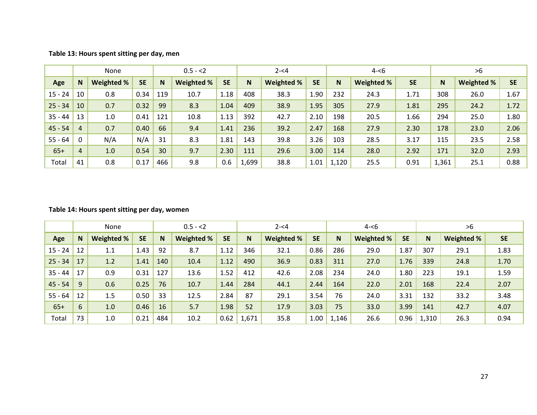| Table 13: Hours spent sitting per day, men |  |  |  |  |
|--------------------------------------------|--|--|--|--|
|--------------------------------------------|--|--|--|--|

|           |                | None       |           |     | $0.5 - 2$  |           |       | $2 - 4$    |           |       | $4 - 6$           |           |       | >6         |           |
|-----------|----------------|------------|-----------|-----|------------|-----------|-------|------------|-----------|-------|-------------------|-----------|-------|------------|-----------|
| Age       | N              | Weighted % | <b>SE</b> | N   | Weighted % | <b>SE</b> | N.    | Weighted % | <b>SE</b> | N     | <b>Weighted %</b> | <b>SE</b> | N     | Weighted % | <b>SE</b> |
| $15 - 24$ | 10             | 0.8        | 0.34      | 119 | 10.7       | 1.18      | 408   | 38.3       | 1.90      | 232   | 24.3              | 1.71      | 308   | 26.0       | 1.67      |
| $25 - 34$ | 10             | 0.7        | 0.32      | 99  | 8.3        | 1.04      | 409   | 38.9       | 1.95      | 305   | 27.9              | 1.81      | 295   | 24.2       | 1.72      |
| $35 - 44$ | 13             | 1.0        | 0.41      | 121 | 10.8       | 1.13      | 392   | 42.7       | 2.10      | 198   | 20.5              | 1.66      | 294   | 25.0       | 1.80      |
| $45 - 54$ | 4              | 0.7        | 0.40      | 66  | 9.4        | 1.41      | 236   | 39.2       | 2.47      | 168   | 27.9              | 2.30      | 178   | 23.0       | 2.06      |
| $55 - 64$ | 0              | N/A        | N/A       | 31  | 8.3        | 1.81      | 143   | 39.8       | 3.26      | 103   | 28.5              | 3.17      | 115   | 23.5       | 2.58      |
| $65+$     | $\overline{4}$ | 1.0        | 0.54      | 30  | 9.7        | 2.30      | 111   | 29.6       | 3.00      | 114   | 28.0              | 2.92      | 171   | 32.0       | 2.93      |
| Total     | 41             | 0.8        | 0.17      | 466 | 9.8        | 0.6       | 1,699 | 38.8       | 1.01      | 1,120 | 25.5              | 0.91      | 1,361 | 25.1       | 0.88      |

#### **Table 14: Hours spent sitting per day, women**

|           |    | None              |           |     | $0.5 - 2$  |           |       | $2 - 54$   |           |       | $4 - 6$           |           |       | >6         |           |
|-----------|----|-------------------|-----------|-----|------------|-----------|-------|------------|-----------|-------|-------------------|-----------|-------|------------|-----------|
| Age       | N  | <b>Weighted %</b> | <b>SE</b> | N   | Weighted % | <b>SE</b> | N     | Weighted % | <b>SE</b> | N     | <b>Weighted %</b> | <b>SE</b> | N     | Weighted % | <b>SE</b> |
| $15 - 24$ | 12 | 1.1               | 1.43      | 92  | 8.7        | 1.12      | 346   | 32.1       | 0.86      | 286   | 29.0              | 1.87      | 307   | 29.1       | 1.83      |
| $25 - 34$ | 17 | 1.2               | 1.41      | 140 | 10.4       | 1.12      | 490   | 36.9       | 0.83      | 311   | 27.0              | 1.76      | 339   | 24.8       | 1.70      |
| $35 - 44$ | 17 | 0.9               | 0.31      | 127 | 13.6       | 1.52      | 412   | 42.6       | 2.08      | 234   | 24.0              | 1.80      | 223   | 19.1       | 1.59      |
| $45 - 54$ | 9  | 0.6               | 0.25      | 76  | 10.7       | 1.44      | 284   | 44.1       | 2.44      | 164   | 22.0              | 2.01      | 168   | 22.4       | 2.07      |
| $55 - 64$ | 12 | 1.5               | 0.50      | 33  | 12.5       | 2.84      | 87    | 29.1       | 3.54      | 76    | 24.0              | 3.31      | 132   | 33.2       | 3.48      |
| $65+$     | 6  | 1.0               | 0.46      | 16  | 5.7        | 1.98      | 52    | 17.9       | 3.03      | 75    | 33.0              | 3.99      | 141   | 42.7       | 4.07      |
| Total     | 73 | 1.0               | 0.21      | 484 | 10.2       | 0.62      | 1,671 | 35.8       | 1.00      | 1,146 | 26.6              | 0.96      | 1,310 | 26.3       | 0.94      |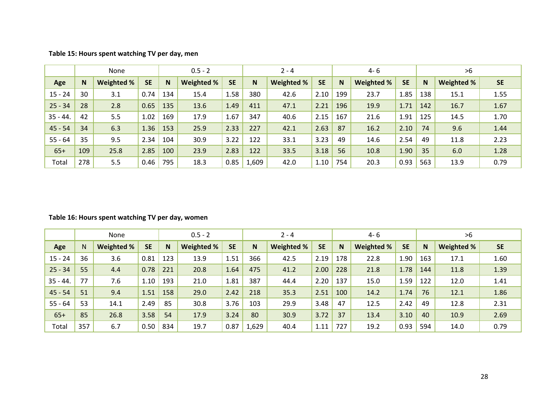|            | None         |            |           |     | $0.5 - 2$  |           |       | $2 - 4$    |           |     | 4- 6       |           |              | >6         |           |
|------------|--------------|------------|-----------|-----|------------|-----------|-------|------------|-----------|-----|------------|-----------|--------------|------------|-----------|
| Age        | $\mathsf{N}$ | Weighted % | <b>SE</b> | N   | Weighted % | <b>SE</b> | N     | Weighted % | <b>SE</b> | N   | Weighted % | <b>SE</b> | <sub>N</sub> | Weighted % | <b>SE</b> |
| $15 - 24$  | 30           | 3.1        | 0.74      | 134 | 15.4       | 1.58      | 380   | 42.6       | 2.10      | 199 | 23.7       | 1.85      | 138          | 15.1       | 1.55      |
| $25 - 34$  | 28           | 2.8        | 0.65      | 135 | 13.6       | 1.49      | 411   | 47.1       | 2.21      | 196 | 19.9       | 1.71      | 142          | 16.7       | 1.67      |
| $35 - 44.$ | 42           | 5.5        | 1.02      | 169 | 17.9       | 1.67      | 347   | 40.6       | 2.15      | 167 | 21.6       | 1.91      | 125          | 14.5       | 1.70      |
| $45 - 54$  | 34           | 6.3        | 1.36      | 153 | 25.9       | 2.33      | 227   | 42.1       | 2.63      | 87  | 16.2       | 2.10      | 74           | 9.6        | 1.44      |
| $55 - 64$  | 35           | 9.5        | 2.34      | 104 | 30.9       | 3.22      | 122   | 33.1       | 3.23      | 49  | 14.6       | 2.54      | 49           | 11.8       | 2.23      |
| $65+$      | 109          | 25.8       | 2.85      | 100 | 23.9       | 2.83      | 122   | 33.5       | 3.18      | 56  | 10.8       | 1.90      | 35           | 6.0        | 1.28      |
| Total      | 278          | 5.5        | 0.46      | 795 | 18.3       | 0.85      | 1,609 | 42.0       | $1.10\,$  | 754 | 20.3       | 0.93      | 563          | 13.9       | 0.79      |

**Table 15: Hours spent watching TV per day, men**

#### **Table 16: Hours spent watching TV per day, women**

|            |     | None              |           |     | $0.5 - 2$         |           |       | $2 - 4$           |           |     | $4 - 6$    |           |          | >6         |           |
|------------|-----|-------------------|-----------|-----|-------------------|-----------|-------|-------------------|-----------|-----|------------|-----------|----------|------------|-----------|
| Age        | N   | <b>Weighted %</b> | <b>SE</b> | N   | <b>Weighted %</b> | <b>SE</b> | N     | <b>Weighted %</b> | <b>SE</b> | N   | Weighted % | <b>SE</b> | <b>N</b> | Weighted % | <b>SE</b> |
| $15 - 24$  | 36  | 3.6               | 0.81      | 123 | 13.9              | 1.51      | 366   | 42.5              | 2.19      | 178 | 22.8       | 1.90      | 163      | 17.1       | 1.60      |
| $25 - 34$  | 55  | 4.4               | 0.78      | 221 | 20.8              | 1.64      | 475   | 41.2              | 2.00      | 228 | 21.8       | 1.78      | 144      | 11.8       | 1.39      |
| $35 - 44.$ | 77  | 7.6               | 1.10      | 193 | 21.0              | 1.81      | 387   | 44.4              | 2.20      | 137 | 15.0       | 1.59      | 122      | 12.0       | 1.41      |
| $45 - 54$  | 51  | 9.4               | 1.51      | 158 | 29.0              | 2.42      | 218   | 35.3              | 2.51      | 100 | 14.2       | 1.74      | 76       | 12.1       | 1.86      |
| $55 - 64$  | 53  | 14.1              | 2.49      | 85  | 30.8              | 3.76      | 103   | 29.9              | 3.48      | 47  | 12.5       | 2.42      | 49       | 12.8       | 2.31      |
| $65+$      | 85  | 26.8              | 3.58      | 54  | 17.9              | 3.24      | 80    | 30.9              | 3.72      | 37  | 13.4       | 3.10      | 40       | 10.9       | 2.69      |
| Total      | 357 | 6.7               | 0.50      | 834 | 19.7              | 0.87      | 1,629 | 40.4              | 1.11      | 727 | 19.2       | 0.93      | 594      | 14.0       | 0.79      |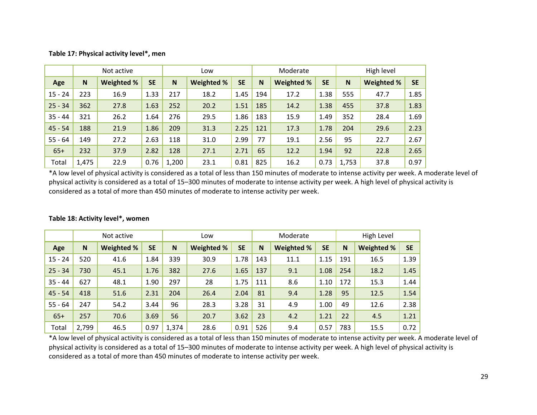#### **Table 17: Physical activity level\*, men**

|           |       | Not active |           |       | Low        |           |     | Moderate   |           |       | High level        |           |
|-----------|-------|------------|-----------|-------|------------|-----------|-----|------------|-----------|-------|-------------------|-----------|
| Age       | N     | Weighted % | <b>SE</b> | N     | Weighted % | <b>SE</b> | N   | Weighted % | <b>SE</b> | N     | <b>Weighted %</b> | <b>SE</b> |
| $15 - 24$ | 223   | 16.9       | 1.33      | 217   | 18.2       | 1.45      | 194 | 17.2       | 1.38      | 555   | 47.7              | 1.85      |
| $25 - 34$ | 362   | 27.8       | 1.63      | 252   | 20.2       | 1.51      | 185 | 14.2       | 1.38      | 455   | 37.8              | 1.83      |
| $35 - 44$ | 321   | 26.2       | 1.64      | 276   | 29.5       | 1.86      | 183 | 15.9       | 1.49      | 352   | 28.4              | 1.69      |
| $45 - 54$ | 188   | 21.9       | 1.86      | 209   | 31.3       | 2.25      | 121 | 17.3       | 1.78      | 204   | 29.6              | 2.23      |
| $55 - 64$ | 149   | 27.2       | 2.63      | 118   | 31.0       | 2.99      | 77  | 19.1       | 2.56      | 95    | 22.7              | 2.67      |
| $65+$     | 232   | 37.9       | 2.82      | 128   | 27.1       | 2.71      | 65  | 12.2       | 1.94      | 92    | 22.8              | 2.65      |
| Total     | 1,475 | 22.9       | 0.76      | 1,200 | 23.1       | 0.81      | 825 | 16.2       | 0.73      | 1,753 | 37.8              | 0.97      |

\*A low level of physical activity is considered as <sup>a</sup> total of less than 150 minutes of moderate to intense activity per week. A moderate level of physical activity is considered as <sup>a</sup> total of 15–300 minutes of moderate to intense activity per week. A high level of physical activity is considered as <sup>a</sup> total of more than 450 minutes of moderate to intense activity per week.

|           |       | Not active |           | Low   |            |           | Moderate |            | High Level |     |                   |           |
|-----------|-------|------------|-----------|-------|------------|-----------|----------|------------|------------|-----|-------------------|-----------|
| Age       | N     | Weighted % | <b>SE</b> | N     | Weighted % | <b>SE</b> | N        | Weighted % | <b>SE</b>  | N   | <b>Weighted %</b> | <b>SE</b> |
| $15 - 24$ | 520   | 41.6       | 1.84      | 339   | 30.9       | 1.78      | 143      | 11.1       | 1.15       | 191 | 16.5              | 1.39      |
| $25 - 34$ | 730   | 45.1       | 1.76      | 382   | 27.6       | 1.65      | 137      | 9.1        | 1.08       | 254 | 18.2              | 1.45      |
| $35 - 44$ | 627   | 48.1       | 1.90      | 297   | 28         | 1.75      | 111      | 8.6        | 1.10       | 172 | 15.3              | 1.44      |
| $45 - 54$ | 418   | 51.6       | 2.31      | 204   | 26.4       | 2.04      | 81       | 9.4        | 1.28       | 95  | 12.5              | 1.54      |
| $55 - 64$ | 247   | 54.2       | 3.44      | 96    | 28.3       | 3.28      | 31       | 4.9        | 1.00       | 49  | 12.6              | 2.38      |
| $65+$     | 257   | 70.6       | 3.69      | 56    | 20.7       | 3.62      | 23       | 4.2        | 1.21       | 22  | 4.5               | 1.21      |
| Total     | 2,799 | 46.5       | 0.97      | 1,374 | 28.6       | 0.91      | 526      | 9.4        | 0.57       | 783 | 15.5              | 0.72      |

#### **Table 18: Activity level\*, women**

\*A low level of physical activity is considered as <sup>a</sup> total of less than 150 minutes of moderate to intense activity per week. A moderate level of physical activity is considered as <sup>a</sup> total of 15–300 minutes of moderate to intense activity per week. A high level of physical activity is considered as <sup>a</sup> total of more than 450 minutes of moderate to intense activity per week.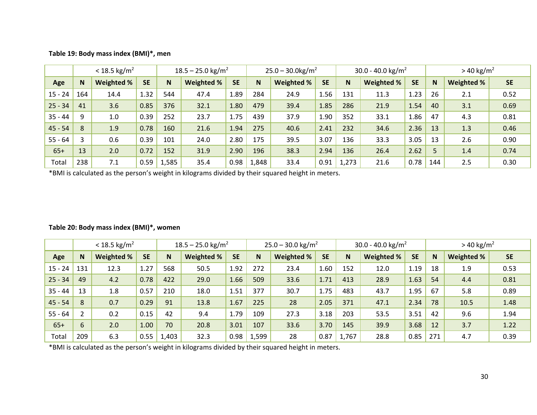| Table 19: Body mass index (BMI)*, men |  |  |
|---------------------------------------|--|--|
|---------------------------------------|--|--|

|           |          | $< 18.5$ kg/m <sup>2</sup> |           | $18.5 - 25.0$ kg/m <sup>2</sup> |            |           |       | $25.0 - 30.0$ kg/m <sup>2</sup> |           | 30.0 - 40.0 kg/m <sup>2</sup> |            |           |     | $> 40 \text{ kg/m}^2$ |           |  |  |
|-----------|----------|----------------------------|-----------|---------------------------------|------------|-----------|-------|---------------------------------|-----------|-------------------------------|------------|-----------|-----|-----------------------|-----------|--|--|
| Age       | <b>N</b> | Weighted %                 | <b>SE</b> | N                               | Weighted % | <b>SE</b> | N     | Weighted %                      | <b>SE</b> | N.                            | Weighted % | <b>SE</b> | N   | <b>Weighted %</b>     | <b>SE</b> |  |  |
| $15 - 24$ | 164      | 14.4                       | 1.32      | 544                             | 47.4       | 1.89      | 284   | 24.9                            | 1.56      | 131                           | 11.3       | 1.23      | 26  | 2.1                   | 0.52      |  |  |
| $25 - 34$ | 41       | 3.6                        | 0.85      | 376                             | 32.1       | 1.80      | 479   | 39.4                            | 1.85      | 286                           | 21.9       | 1.54      | 40  | 3.1                   | 0.69      |  |  |
| $35 - 44$ | q        | 1.0                        | 0.39      | 252                             | 23.7       | 1.75      | 439   | 37.9                            | 1.90      | 352                           | 33.1       | 1.86      | 47  | 4.3                   | 0.81      |  |  |
| $45 - 54$ | 8        | 1.9                        | 0.78      | 160                             | 21.6       | 1.94      | 275   | 40.6                            | 2.41      | 232                           | 34.6       | 2.36      | 13  | 1.3                   | 0.46      |  |  |
| $55 - 64$ |          | 0.6                        | 0.39      | 101                             | 24.0       | 2.80      | 175   | 39.5                            | 3.07      | 136                           | 33.3       | 3.05      | 13  | 2.6                   | 0.90      |  |  |
| $65+$     | 13       | 2.0                        | 0.72      | 152                             | 31.9       | 2.90      | 196   | 38.3                            | 2.94      | 136                           | 26.4       | 2.62      | 5   | 1.4                   | 0.74      |  |  |
| Total     | 238      | 7.1                        | 0.59      | 1,585                           | 35.4       | 0.98      | 1,848 | 33.4                            | 0.91      | 1,273                         | 21.6       | 0.78      | 144 | 2.5                   | 0.30      |  |  |

\*BMI is calculated as the person's weight in kilograms divided by their squared height in meters.

|           | $< 18.5$ kg/m <sup>2</sup> |            |           | $18.5 - 25.0$ kg/m <sup>2</sup> |                   |           |       | $25.0 - 30.0$ kg/m <sup>2</sup> |           | 30.0 - 40.0 kg/m <sup>2</sup> |            |           |             | $> 40 \text{ kg/m}^2$ |           |  |  |
|-----------|----------------------------|------------|-----------|---------------------------------|-------------------|-----------|-------|---------------------------------|-----------|-------------------------------|------------|-----------|-------------|-----------------------|-----------|--|--|
| Age       | N                          | Weighted % | <b>SE</b> | N                               | <b>Weighted %</b> | <b>SE</b> | N     | Weighted %                      | <b>SE</b> | N                             | Weighted % | <b>SE</b> | $\mathbf N$ | Weighted %            | <b>SE</b> |  |  |
| $15 - 24$ | 131                        | 12.3       | 1.27      | 568                             | 50.5              | 1.92      | 272   | 23.4                            | 1.60      | 152                           | 12.0       | 1.19      | 18          | 1.9                   | 0.53      |  |  |
| $25 - 34$ | 49                         | 4.2        | 0.78      | 422                             | 29.0              | 1.66      | 509   | 33.6                            | 1.71      | 413                           | 28.9       | 1.63      | 54          | 4.4                   | 0.81      |  |  |
| $35 - 44$ | 13                         | 1.8        | 0.57      | 210                             | 18.0              | 1.51      | 377   | 30.7                            | 1.75      | 483                           | 43.7       | 1.95      | 67          | 5.8                   | 0.89      |  |  |
| $45 - 54$ | 8                          | 0.7        | 0.29      | 91                              | 13.8              | 1.67      | 225   | 28                              | 2.05      | 371                           | 47.1       | 2.34      | 78          | 10.5                  | 1.48      |  |  |
| $55 - 64$ | C.                         | 0.2        | 0.15      | 42                              | 9.4               | 1.79      | 109   | 27.3                            | 3.18      | 203                           | 53.5       | 3.51      | 42          | 9.6                   | 1.94      |  |  |
| $65+$     | 6                          | 2.0        | 1.00      | 70                              | 20.8              | 3.01      | 107   | 33.6                            | 3.70      | 145                           | 39.9       | 3.68      | 12          | 3.7                   | 1.22      |  |  |
| Total     | 209                        | 6.3        | 0.55      | 1,403                           | 32.3              | 0.98      | 1,599 | 28                              | 0.87      | 1,767                         | 28.8       | 0.85      | 271         | 4.7                   | 0.39      |  |  |

#### **Table 20: Body mass index (BMI)\*, women**

\*BMI is calculated as the person's weight in kilograms divided by their squared height in meters.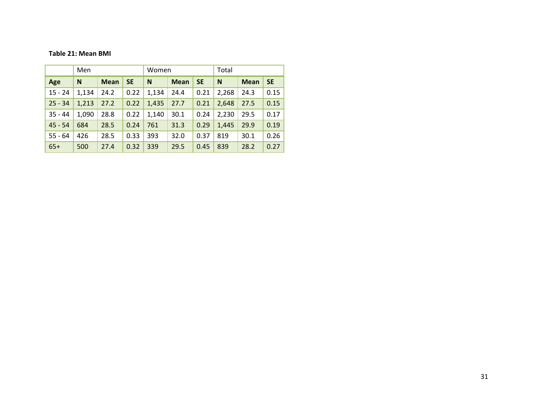#### **Table 21: Mean BMI**

|           | Men   |             |           | Women |             |           | Total |             |           |  |  |
|-----------|-------|-------------|-----------|-------|-------------|-----------|-------|-------------|-----------|--|--|
| Age       | N     | <b>Mean</b> | <b>SE</b> | N     | <b>Mean</b> | <b>SE</b> | N     | <b>Mean</b> | <b>SE</b> |  |  |
| $15 - 24$ | 1,134 | 24.2        | 0.22      | 1,134 | 24.4        | 0.21      | 2,268 | 24.3        | 0.15      |  |  |
| $25 - 34$ | 1,213 | 27.2        | 0.22      | 1,435 | 27.7        | 0.21      | 2,648 | 27.5        | 0.15      |  |  |
| $35 - 44$ | 1,090 | 28.8        | 0.22      | 1,140 | 30.1        | 0.24      | 2,230 | 29.5        | 0.17      |  |  |
| $45 - 54$ | 684   | 28.5        | 0.24      | 761   | 31.3        | 0.29      | 1,445 | 29.9        | 0.19      |  |  |
| $55 - 64$ | 426   | 28.5        | 0.33      | 393   | 32.0        | 0.37      | 819   | 30.1        | 0.26      |  |  |
| $65+$     | 500   | 27.4        | 0.32      | 339   | 29.5        | 0.45      | 839   | 28.2        | 0.27      |  |  |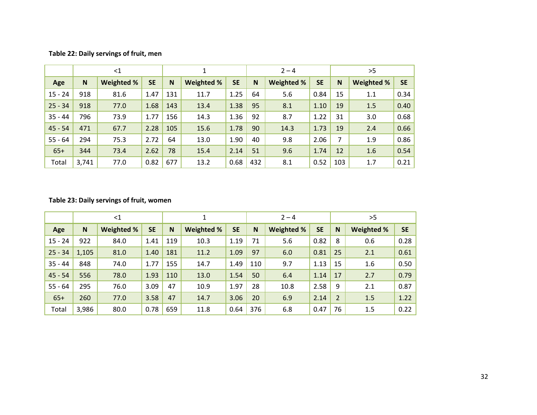#### **Table 22: Daily servings of fruit, men**

|           | $<$ 1 |                   |           |     |            |           | $2 - 4$ |                   |           | >5  |            |           |  |
|-----------|-------|-------------------|-----------|-----|------------|-----------|---------|-------------------|-----------|-----|------------|-----------|--|
| Age       | N     | <b>Weighted %</b> | <b>SE</b> | N   | Weighted % | <b>SE</b> | N       | <b>Weighted %</b> | <b>SE</b> | N   | Weighted % | <b>SE</b> |  |
| $15 - 24$ | 918   | 81.6              | 1.47      | 131 | 11.7       | 1.25      | 64      | 5.6               | 0.84      | 15  | 1.1        | 0.34      |  |
| $25 - 34$ | 918   | 77.0              | 1.68      | 143 | 13.4       | 1.38      | 95      | 8.1               | 1.10      | 19  | 1.5        | 0.40      |  |
| $35 - 44$ | 796   | 73.9              | 1.77      | 156 | 14.3       | 1.36      | 92      | 8.7               | 1.22      | 31  | 3.0        | 0.68      |  |
| $45 - 54$ | 471   | 67.7              | 2.28      | 105 | 15.6       | 1.78      | 90      | 14.3              | 1.73      | 19  | 2.4        | 0.66      |  |
| $55 - 64$ | 294   | 75.3              | 2.72      | 64  | 13.0       | 1.90      | 40      | 9.8               | 2.06      | 7   | 1.9        | 0.86      |  |
| $65+$     | 344   | 73.4              | 2.62      | 78  | 15.4       | 2.14      | 51      | 9.6               | 1.74      | 12  | 1.6        | 0.54      |  |
| Total     | 3,741 | 77.0              | 0.82      | 677 | 13.2       | 0.68      | 432     | 8.1               | 0.52      | 103 | 1.7        | 0.21      |  |

#### **Table 23: Daily servings of fruit, women**

|           | $<$ 1 |            |           |     |                   |           | $2 - 4$ |                   |           |                | >5                |           |  |  |
|-----------|-------|------------|-----------|-----|-------------------|-----------|---------|-------------------|-----------|----------------|-------------------|-----------|--|--|
| Age       | N     | Weighted % | <b>SE</b> | N   | <b>Weighted %</b> | <b>SE</b> | N       | <b>Weighted %</b> | <b>SE</b> | N              | <b>Weighted %</b> | <b>SE</b> |  |  |
| $15 - 24$ | 922   | 84.0       | 1.41      | 119 | 10.3              | 1.19      | 71      | 5.6               | 0.82      | 8              | 0.6               | 0.28      |  |  |
| $25 - 34$ | 1,105 | 81.0       | 1.40      | 181 | 11.2              | 1.09      | 97      | 6.0               | 0.81      | 25             | 2.1               | 0.61      |  |  |
| $35 - 44$ | 848   | 74.0       | 1.77      | 155 | 14.7              | 1.49      | 110     | 9.7               | 1.13      | 15             | 1.6               | 0.50      |  |  |
| $45 - 54$ | 556   | 78.0       | 1.93      | 110 | 13.0              | 1.54      | 50      | 6.4               | 1.14      | 17             | 2.7               | 0.79      |  |  |
| $55 - 64$ | 295   | 76.0       | 3.09      | 47  | 10.9              | 1.97      | 28      | 10.8              | 2.58      | 9              | 2.1               | 0.87      |  |  |
| $65+$     | 260   | 77.0       | 3.58      | 47  | 14.7              | 3.06      | 20      | 6.9               | 2.14      | $\overline{2}$ | 1.5               | 1.22      |  |  |
| Total     | 3,986 | 80.0       | 0.78      | 659 | 11.8              | 0.64      | 376     | 6.8               | 0.47      | 76             | 1.5               | 0.22      |  |  |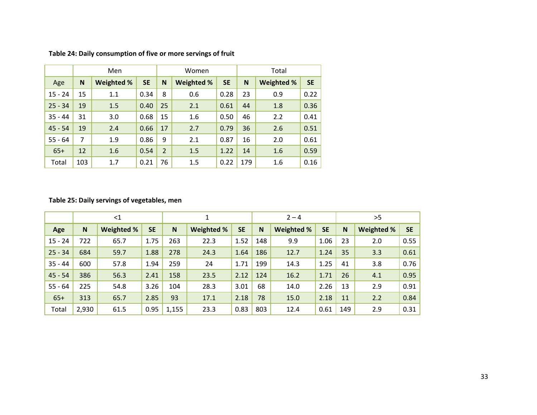|           |     | Men               |           |                | Women             |           | Total |            |           |  |  |
|-----------|-----|-------------------|-----------|----------------|-------------------|-----------|-------|------------|-----------|--|--|
| Age       | N   | <b>Weighted %</b> | <b>SE</b> | N              | <b>Weighted %</b> | <b>SE</b> | N     | Weighted % | <b>SE</b> |  |  |
| $15 - 24$ | 15  | 1.1               | 0.34      | 8              | 0.6               | 0.28      | 23    | 0.9        | 0.22      |  |  |
| $25 - 34$ | 19  | 1.5               | 0.40      | 25             | 2.1               | 0.61      | 44    | 1.8        | 0.36      |  |  |
| $35 - 44$ | 31  | 3.0               | 0.68      | 15             | 1.6               | 0.50      | 46    | 2.2        | 0.41      |  |  |
| $45 - 54$ | 19  | 2.4               | 0.66      | 17             | 2.7               | 0.79      | 36    | 2.6        | 0.51      |  |  |
| $55 - 64$ | 7   | 1.9               | 0.86      | 9              | 2.1               | 0.87      | 16    | 2.0        | 0.61      |  |  |
| $65+$     | 12  | 1.6               | 0.54      | $\overline{2}$ | 1.5               | 1.22      | 14    | 1.6        | 0.59      |  |  |
| Total     | 103 | 1.7               | 0.21      | 76             | 1.5               | 0.22      | 179   | 1.6        | 0.16      |  |  |

**Table 24: Daily consumption of five or more servings of fruit**

#### **Table 25: Daily servings of vegetables, men**

|           | $<$ 1 |            |           | 1     |            | $2 - 4$   |     |            | >5        |     |                   |           |
|-----------|-------|------------|-----------|-------|------------|-----------|-----|------------|-----------|-----|-------------------|-----------|
| Age       | N     | Weighted % | <b>SE</b> | N     | Weighted % | <b>SE</b> | N   | Weighted % | <b>SE</b> | N   | <b>Weighted %</b> | <b>SE</b> |
| $15 - 24$ | 722   | 65.7       | 1.75      | 263   | 22.3       | 1.52      | 148 | 9.9        | 1.06      | 23  | 2.0               | 0.55      |
| $25 - 34$ | 684   | 59.7       | 1.88      | 278   | 24.3       | 1.64      | 186 | 12.7       | 1.24      | 35  | 3.3               | 0.61      |
| $35 - 44$ | 600   | 57.8       | 1.94      | 259   | 24         | 1.71      | 199 | 14.3       | 1.25      | 41  | 3.8               | 0.76      |
| $45 - 54$ | 386   | 56.3       | 2.41      | 158   | 23.5       | 2.12      | 124 | 16.2       | 1.71      | 26  | 4.1               | 0.95      |
| $55 - 64$ | 225   | 54.8       | 3.26      | 104   | 28.3       | 3.01      | 68  | 14.0       | 2.26      | 13  | 2.9               | 0.91      |
| $65+$     | 313   | 65.7       | 2.85      | 93    | 17.1       | 2.18      | 78  | 15.0       | 2.18      | 11  | 2.2               | 0.84      |
| Total     | 2,930 | 61.5       | 0.95      | 1,155 | 23.3       | 0.83      | 803 | 12.4       | 0.61      | 149 | 2.9               | 0.31      |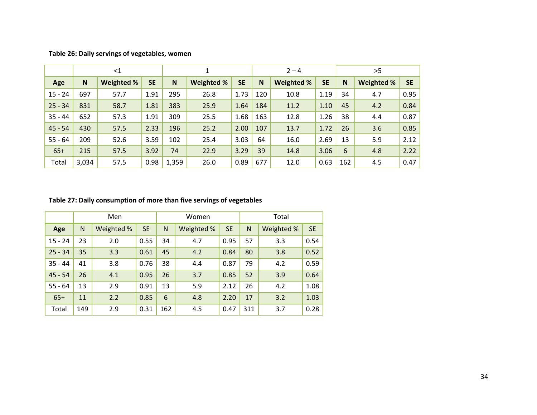|           |       | $<$ 1             |           |       | 1          |           | $2 - 4$ |            |           | >5  |            |           |  |
|-----------|-------|-------------------|-----------|-------|------------|-----------|---------|------------|-----------|-----|------------|-----------|--|
| Age       | N     | <b>Weighted %</b> | <b>SE</b> | N     | Weighted % | <b>SE</b> | N       | Weighted % | <b>SE</b> | N   | Weighted % | <b>SE</b> |  |
| $15 - 24$ | 697   | 57.7              | 1.91      | 295   | 26.8       | 1.73      | 120     | 10.8       | 1.19      | 34  | 4.7        | 0.95      |  |
| $25 - 34$ | 831   | 58.7              | 1.81      | 383   | 25.9       | 1.64      | 184     | 11.2       | 1.10      | 45  | 4.2        | 0.84      |  |
| $35 - 44$ | 652   | 57.3              | 1.91      | 309   | 25.5       | 1.68      | 163     | 12.8       | 1.26      | 38  | 4.4        | 0.87      |  |
| $45 - 54$ | 430   | 57.5              | 2.33      | 196   | 25.2       | 2.00      | 107     | 13.7       | 1.72      | 26  | 3.6        | 0.85      |  |
| $55 - 64$ | 209   | 52.6              | 3.59      | 102   | 25.4       | 3.03      | 64      | 16.0       | 2.69      | 13  | 5.9        | 2.12      |  |
| $65+$     | 215   | 57.5              | 3.92      | 74    | 22.9       | 3.29      | 39      | 14.8       | 3.06      | 6   | 4.8        | 2.22      |  |
| Total     | 3,034 | 57.5              | 0.98      | 1,359 | 26.0       | 0.89      | 677     | 12.0       | 0.63      | 162 | 4.5        | 0.47      |  |

**Table 26: Daily servings of vegetables, women**

#### **Table 27: Daily consumption of more than five servings of vegetables**

|           |              | Men        |           |     | Women      |           | Total        |            |           |  |  |
|-----------|--------------|------------|-----------|-----|------------|-----------|--------------|------------|-----------|--|--|
| Age       | $\mathsf{N}$ | Weighted % | <b>SE</b> | N   | Weighted % | <b>SE</b> | $\mathsf{N}$ | Weighted % | <b>SE</b> |  |  |
| $15 - 24$ | 23           | 2.0        | 0.55      | 34  | 4.7        | 0.95      | 57           | 3.3        | 0.54      |  |  |
| $25 - 34$ | 35           | 3.3        | 0.61      | 45  | 4.2        | 0.84      | 80           | 3.8        | 0.52      |  |  |
| $35 - 44$ | 41           | 3.8        | 0.76      | 38  | 4.4        | 0.87      | 79           | 4.2        | 0.59      |  |  |
| $45 - 54$ | 26           | 4.1        | 0.95      | 26  | 3.7        | 0.85      | 52           | 3.9        | 0.64      |  |  |
| $55 - 64$ | 13           | 2.9        | 0.91      | 13  | 5.9        | 2.12      | 26           | 4.2        | 1.08      |  |  |
| $65+$     | 11           | 2.2        | 0.85      | 6   | 4.8        | 2.20      | 17           | 3.2        | 1.03      |  |  |
| Total     | 149          | 2.9        | 0.31      | 162 | 4.5        | 0.47      | 311          | 3.7        | 0.28      |  |  |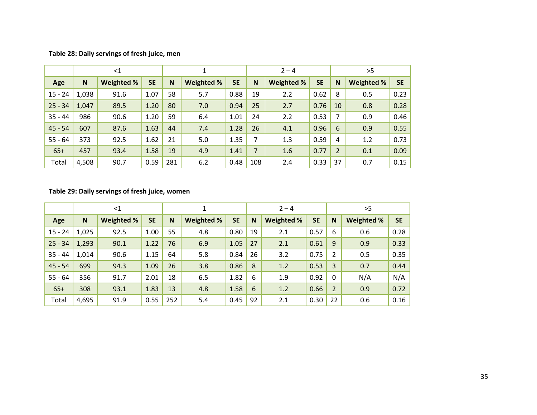#### **Table 28: Daily servings of fresh juice, men**

|           | $\leq$ 1 |            |           |     |            |           | $2 - 4$ |            |           |                | >5                |           |  |  |
|-----------|----------|------------|-----------|-----|------------|-----------|---------|------------|-----------|----------------|-------------------|-----------|--|--|
| Age       | N        | Weighted % | <b>SE</b> | N   | Weighted % | <b>SE</b> | N       | Weighted % | <b>SE</b> | N              | <b>Weighted %</b> | <b>SE</b> |  |  |
| $15 - 24$ | 1,038    | 91.6       | 1.07      | 58  | 5.7        | 0.88      | 19      | 2.2        | 0.62      | 8              | 0.5               | 0.23      |  |  |
| $25 - 34$ | 1,047    | 89.5       | 1.20      | 80  | 7.0        | 0.94      | 25      | 2.7        | 0.76      | 10             | 0.8               | 0.28      |  |  |
| $35 - 44$ | 986      | 90.6       | 1.20      | 59  | 6.4        | 1.01      | 24      | 2.2        | 0.53      | 7              | 0.9               | 0.46      |  |  |
| $45 - 54$ | 607      | 87.6       | 1.63      | 44  | 7.4        | 1.28      | 26      | 4.1        | 0.96      | 6              | 0.9               | 0.55      |  |  |
| $55 - 64$ | 373      | 92.5       | 1.62      | 21  | 5.0        | 1.35      | 7       | 1.3        | 0.59      | 4              | 1.2               | 0.73      |  |  |
| $65+$     | 457      | 93.4       | 1.58      | 19  | 4.9        | 1.41      | 7       | 1.6        | 0.77      | $\overline{2}$ | 0.1               | 0.09      |  |  |
| Total     | 4,508    | 90.7       | 0.59      | 281 | 6.2        | 0.48      | 108     | 2.4        | 0.33      | 37             | 0.7               | 0.15      |  |  |

**Table 29: Daily servings of fresh juice, women**

|           | $<$ 1 |            |           |     | 1                 |           |    | $2 - 4$           |           |                | >5                |           |  |
|-----------|-------|------------|-----------|-----|-------------------|-----------|----|-------------------|-----------|----------------|-------------------|-----------|--|
| Age       | N     | Weighted % | <b>SE</b> | N   | <b>Weighted %</b> | <b>SE</b> | N  | <b>Weighted %</b> | <b>SE</b> | N              | <b>Weighted %</b> | <b>SE</b> |  |
| $15 - 24$ | 1,025 | 92.5       | 1.00      | 55  | 4.8               | 0.80      | 19 | 2.1               | 0.57      | 6              | 0.6               | 0.28      |  |
| $25 - 34$ | 1,293 | 90.1       | 1.22      | 76  | 6.9               | 1.05      | 27 | 2.1               | 0.61      | 9              | 0.9               | 0.33      |  |
| $35 - 44$ | 1,014 | 90.6       | 1.15      | 64  | 5.8               | 0.84      | 26 | 3.2               | 0.75      | 2              | 0.5               | 0.35      |  |
| $45 - 54$ | 699   | 94.3       | 1.09      | 26  | 3.8               | 0.86      | 8  | 1.2               | 0.53      | 3              | 0.7               | 0.44      |  |
| $55 - 64$ | 356   | 91.7       | 2.01      | 18  | 6.5               | 1.82      | 6  | 1.9               | 0.92      | $\mathbf 0$    | N/A               | N/A       |  |
| $65+$     | 308   | 93.1       | 1.83      | 13  | 4.8               | 1.58      | 6  | 1.2               | 0.66      | $\overline{2}$ | 0.9               | 0.72      |  |
| Total     | 4,695 | 91.9       | 0.55      | 252 | 5.4               | 0.45      | 92 | 2.1               | 0.30      | 22             | 0.6               | 0.16      |  |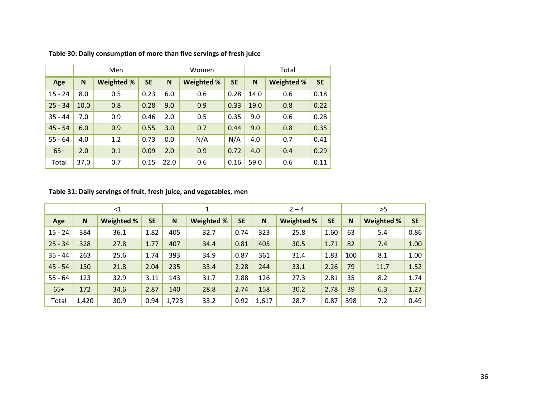|           |      | Men                     |      |      | Women             |           | Total |                   |           |  |
|-----------|------|-------------------------|------|------|-------------------|-----------|-------|-------------------|-----------|--|
| Age       | N    | <b>SE</b><br>Weighted % |      | N    | <b>Weighted %</b> | <b>SE</b> | N     | <b>Weighted %</b> | <b>SE</b> |  |
| $15 - 24$ | 8.0  | 0.5                     | 0.23 | 6.0  | 0.6               | 0.28      | 14.0  | 0.6               | 0.18      |  |
| $25 - 34$ | 10.0 | 0.8                     | 0.28 | 9.0  | 0.9               | 0.33      | 19.0  | 0.8               | 0.22      |  |
| $35 - 44$ | 7.0  | 0.9                     | 0.46 | 2.0  | 0.5               | 0.35      | 9.0   | 0.6               | 0.28      |  |
| $45 - 54$ | 6.0  | 0.9                     | 0.55 | 3.0  | 0.7               | 0.44      | 9.0   | 0.8               | 0.35      |  |
| $55 - 64$ | 4.0  | 1.2                     | 0.73 | 0.0  | N/A               | N/A       | 4.0   | 0.7               | 0.41      |  |
| $65+$     | 2.0  | 0.1                     | 0.09 | 2.0  | 0.9               | 0.72      | 4.0   | 0.4               | 0.29      |  |
| Total     | 37.0 | 0.7                     | 0.15 | 22.0 | 0.6               | 0.16      | 59.0  | 0.6               | 0.11      |  |

**Table 30: Daily consumption of more than five servings of fresh juice**

#### **Table 31: Daily servings of fruit, fresh juice, and vegetables, men**

|           | $<$ 1 |            |           |       | 1          |           | $2 - 4$ |                   |           | >5  |            |           |
|-----------|-------|------------|-----------|-------|------------|-----------|---------|-------------------|-----------|-----|------------|-----------|
| Age       | N     | Weighted % | <b>SE</b> | N     | Weighted % | <b>SE</b> | N       | <b>Weighted %</b> | <b>SE</b> | N   | Weighted % | <b>SE</b> |
| $15 - 24$ | 384   | 36.1       | 1.82      | 405   | 32.7       | 0.74      | 323     | 25.8              | 1.60      | 63  | 5.4        | 0.86      |
| $25 - 34$ | 328   | 27.8       | 1.77      | 407   | 34.4       | 0.81      | 405     | 30.5              | 1.71      | 82  | 7.4        | 1.00      |
| $35 - 44$ | 263   | 25.6       | 1.74      | 393   | 34.9       | 0.87      | 361     | 31.4              | 1.83      | 100 | 8.1        | 1.00      |
| $45 - 54$ | 150   | 21.8       | 2.04      | 235   | 33.4       | 2.28      | 244     | 33.1              | 2.26      | 79  | 11.7       | 1.52      |
| $55 - 64$ | 123   | 32.9       | 3.11      | 143   | 31.7       | 2.88      | 126     | 27.3              | 2.81      | 35  | 8.2        | 1.74      |
| $65+$     | 172   | 34.6       | 2.87      | 140   | 28.8       | 2.74      | 158     | 30.2              | 2.78      | 39  | 6.3        | 1.27      |
| Total     | 1,420 | 30.9       | 0.94      | 1,723 | 33.2       | 0.92      | 1,617   | 28.7              | 0.87      | 398 | 7.2        | 0.49      |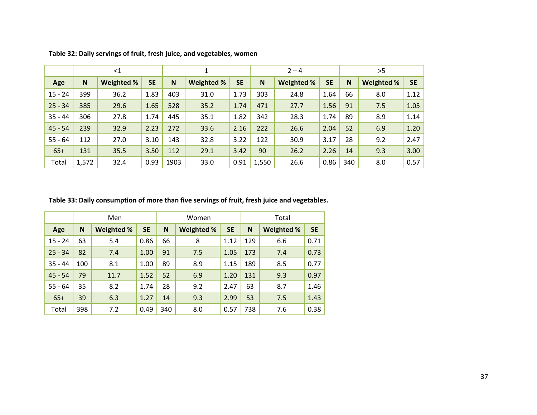|           | $<$ 1 |            |           |      |            |           |              | $2 - 4$           |           |     | >5                |           |
|-----------|-------|------------|-----------|------|------------|-----------|--------------|-------------------|-----------|-----|-------------------|-----------|
| Age       | N     | Weighted % | <b>SE</b> | N    | Weighted % | <b>SE</b> | $\mathsf{N}$ | <b>Weighted %</b> | <b>SE</b> | N   | <b>Weighted %</b> | <b>SE</b> |
| $15 - 24$ | 399   | 36.2       | 1.83      | 403  | 31.0       | 1.73      | 303          | 24.8              | 1.64      | 66  | 8.0               | 1.12      |
| $25 - 34$ | 385   | 29.6       | 1.65      | 528  | 35.2       | 1.74      | 471          | 27.7              | 1.56      | 91  | 7.5               | 1.05      |
| $35 - 44$ | 306   | 27.8       | 1.74      | 445  | 35.1       | 1.82      | 342          | 28.3              | 1.74      | 89  | 8.9               | 1.14      |
| $45 - 54$ | 239   | 32.9       | 2.23      | 272  | 33.6       | 2.16      | 222          | 26.6              | 2.04      | 52  | 6.9               | 1.20      |
| $55 - 64$ | 112   | 27.0       | 3.10      | 143  | 32.8       | 3.22      | 122          | 30.9              | 3.17      | 28  | 9.2               | 2.47      |
| $65+$     | 131   | 35.5       | 3.50      | 112  | 29.1       | 3.42      | 90           | 26.2              | 2.26      | 14  | 9.3               | 3.00      |
| Total     | 1,572 | 32.4       | 0.93      | 1903 | 33.0       | 0.91      | 1,550        | 26.6              | 0.86      | 340 | 8.0               | 0.57      |

**Table 32: Daily servings of fruit, fresh juice, and vegetables, women**

**Table 33: Daily consumption of more than five servings of fruit, fresh juice and vegetables.**

|           |     | Men               |           |     | Women      |           | Total |            |           |  |  |
|-----------|-----|-------------------|-----------|-----|------------|-----------|-------|------------|-----------|--|--|
| Age       | N   | <b>Weighted %</b> | <b>SE</b> | N   | Weighted % | <b>SE</b> | N     | Weighted % | <b>SE</b> |  |  |
| $15 - 24$ | 63  | 5.4               | 0.86      | 66  | 8          | 1.12      | 129   | 6.6        | 0.71      |  |  |
| $25 - 34$ | 82  | 7.4               | 1.00      | 91  | 7.5        | 1.05      | 173   | 7.4        | 0.73      |  |  |
| $35 - 44$ | 100 | 8.1               | 1.00      | 89  | 8.9        | 1.15      | 189   | 8.5        | 0.77      |  |  |
| $45 - 54$ | 79  | 11.7              | 1.52      | 52  | 6.9        | 1.20      | 131   | 9.3        | 0.97      |  |  |
| $55 - 64$ | 35  | 8.2               | 1.74      | 28  | 9.2        | 2.47      | 63    | 8.7        | 1.46      |  |  |
| $65+$     | 39  | 6.3               | 1.27      | 14  | 9.3        | 2.99      | 53    | 7.5        | 1.43      |  |  |
| Total     | 398 | 7.2               | 0.49      | 340 | 8.0        | 0.57      | 738   | 7.6        | 0.38      |  |  |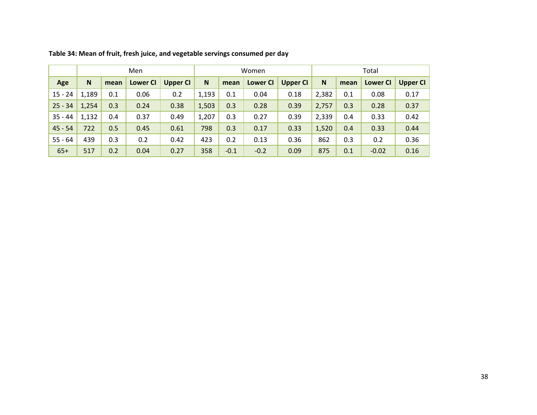|           |       |      | Men             |                 |       |        | Women           |          | Total |      |                 |                 |  |
|-----------|-------|------|-----------------|-----------------|-------|--------|-----------------|----------|-------|------|-----------------|-----------------|--|
| Age       | N     | mean | <b>Lower CI</b> | <b>Upper CI</b> | N     | mean   | <b>Lower CI</b> | Upper CI | N     | mean | <b>Lower CI</b> | <b>Upper CI</b> |  |
| $15 - 24$ | 1,189 | 0.1  | 0.06            | 0.2             | 1,193 | 0.1    | 0.04            | 0.18     | 2,382 | 0.1  | 0.08            | 0.17            |  |
| $25 - 34$ | 1,254 | 0.3  | 0.24            | 0.38            | 1,503 | 0.3    | 0.28            | 0.39     | 2,757 | 0.3  | 0.28            | 0.37            |  |
| $35 - 44$ | 1,132 | 0.4  | 0.37            | 0.49            | 1,207 | 0.3    | 0.27            | 0.39     | 2,339 | 0.4  | 0.33            | 0.42            |  |
| $45 - 54$ | 722   | 0.5  | 0.45            | 0.61            | 798   | 0.3    | 0.17            | 0.33     | 1,520 | 0.4  | 0.33            | 0.44            |  |
| $55 - 64$ | 439   | 0.3  | 0.2             | 0.42            | 423   | 0.2    | 0.13            | 0.36     | 862   | 0.3  | 0.2             | 0.36            |  |
| $65+$     | 517   | 0.2  | 0.04            | 0.27            | 358   | $-0.1$ | $-0.2$          | 0.09     | 875   | 0.1  | $-0.02$         | 0.16            |  |

**Table 34: Mean of fruit, fresh juice, and vegetable servings consumed per day**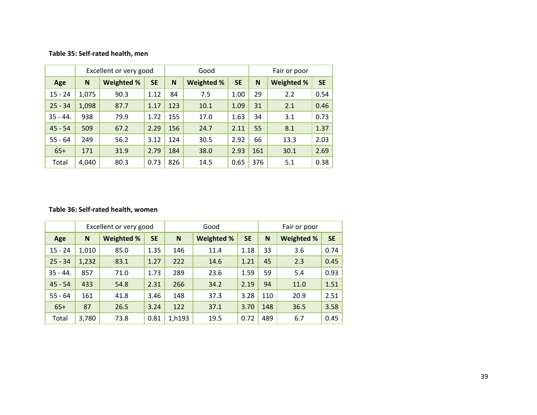#### **Table 35: Self‐rated health, men**

|            |       | Excellent or very good |           |     | Good              |           | Fair or poor |            |           |  |  |
|------------|-------|------------------------|-----------|-----|-------------------|-----------|--------------|------------|-----------|--|--|
| Age        | N     | Weighted %             | <b>SE</b> | N   | <b>Weighted %</b> | <b>SE</b> | N            | Weighted % | <b>SE</b> |  |  |
| $15 - 24$  | 1,075 | 90.3                   | 1.12      | 84  | 7.5               | 1.00      | 29           | 2.2        | 0.54      |  |  |
| $25 - 34$  | 1,098 | 87.7                   | 1.17      | 123 | 10.1              | 1.09      | 31           | 2.1        | 0.46      |  |  |
| $35 - 44.$ | 938   | 79.9                   | 1.72      | 155 | 17.0              | 1.63      | 34           | 3.1        | 0.73      |  |  |
| $45 - 54$  | 509   | 67.2                   | 2.29      | 156 | 24.7              | 2.11      | 55           | 8.1        | 1.37      |  |  |
| $55 - 64$  | 249   | 56.2                   | 3.12      | 124 | 30.5              | 2.92      | 66           | 13.3       | 2.03      |  |  |
| $65+$      | 171   | 31.9                   | 2.79      | 184 | 38.0              | 2.93      | 161          | 30.1       | 2.69      |  |  |
| Total      | 4,040 | 80.3                   | 0.73      | 826 | 14.5              | 0.65      | 376          | 5.1        | 0.38      |  |  |

#### **Table 36: Self‐rated health, women**

|            |       | Excellent or very good |           |        | Good       |           | Fair or poor |            |           |  |
|------------|-------|------------------------|-----------|--------|------------|-----------|--------------|------------|-----------|--|
| Age        | N     | <b>Weighted %</b>      | <b>SE</b> | N      | Weighted % | <b>SE</b> | N            | Weighted % | <b>SE</b> |  |
| $15 - 24$  | 1,010 | 85.0                   | 1.35      | 146    | 11.4       | 1.18      | 33           | 3.6        | 0.74      |  |
| $25 - 34$  | 1,232 | 83.1                   | 1.27      | 222    | 14.6       | 1.21      | 45           | 2.3        | 0.45      |  |
| $35 - 44.$ | 857   | 71.0                   | 1.73      | 289    | 23.6       | 1.59      | 59           | 5.4        | 0.93      |  |
| $45 - 54$  | 433   | 54.8                   | 2.31      | 266    | 34.2       | 2.19      | 94           | 11.0       | 1.51      |  |
| $55 - 64$  | 161   | 41.8                   | 3.46      | 148    | 37.3       | 3.28      | 110          | 20.9       | 2.51      |  |
| $65+$      | 87    | 26.5                   | 3.24      | 122    | 37.1       | 3.70      | 148          | 36.5       | 3.58      |  |
| Total      | 3,780 | 73.8                   | 0.81      | 1,h193 | 19.5       | 0.72      | 489          | 6.7        | 0.45      |  |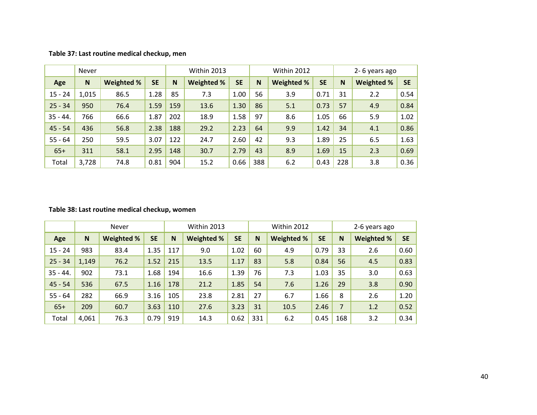|            | Never |            |           |     | Within 2013       |           |     | Within 2012 |           |     | 2-6 years ago |           |
|------------|-------|------------|-----------|-----|-------------------|-----------|-----|-------------|-----------|-----|---------------|-----------|
| Age        | N     | Weighted % | <b>SE</b> | N   | <b>Weighted %</b> | <b>SE</b> | N   | Weighted %  | <b>SE</b> | N   | Weighted %    | <b>SE</b> |
| $15 - 24$  | 1,015 | 86.5       | 1.28      | 85  | 7.3               | 1.00      | 56  | 3.9         | 0.71      | 31  | 2.2           | 0.54      |
| $25 - 34$  | 950   | 76.4       | 1.59      | 159 | 13.6              | 1.30      | 86  | 5.1         | 0.73      | 57  | 4.9           | 0.84      |
| $35 - 44.$ | 766   | 66.6       | 1.87      | 202 | 18.9              | 1.58      | 97  | 8.6         | 1.05      | 66  | 5.9           | 1.02      |
| $45 - 54$  | 436   | 56.8       | 2.38      | 188 | 29.2              | 2.23      | 64  | 9.9         | 1.42      | 34  | 4.1           | 0.86      |
| $55 - 64$  | 250   | 59.5       | 3.07      | 122 | 24.7              | 2.60      | 42  | 9.3         | 1.89      | 25  | 6.5           | 1.63      |
| $65+$      | 311   | 58.1       | 2.95      | 148 | 30.7              | 2.79      | 43  | 8.9         | 1.69      | 15  | 2.3           | 0.69      |
| Total      | 3,728 | 74.8       | 0.81      | 904 | 15.2              | 0.66      | 388 | 6.2         | 0.43      | 228 | 3.8           | 0.36      |

#### **Table 37: Last routine medical checkup, men**

#### **Table 38: Last routine medical checkup, women**

|            |       | Never      |           |     | Within 2013 |           |     | Within 2012 |           |                | 2-6 years ago     |           |
|------------|-------|------------|-----------|-----|-------------|-----------|-----|-------------|-----------|----------------|-------------------|-----------|
| Age        | N     | Weighted % | <b>SE</b> | N   | Weighted %  | <b>SE</b> | N   | Weighted %  | <b>SE</b> | N              | <b>Weighted %</b> | <b>SE</b> |
| $15 - 24$  | 983   | 83.4       | 1.35      | 117 | 9.0         | 1.02      | 60  | 4.9         | 0.79      | 33             | 2.6               | 0.60      |
| $25 - 34$  | 1,149 | 76.2       | 1.52      | 215 | 13.5        | 1.17      | 83  | 5.8         | 0.84      | 56             | 4.5               | 0.83      |
| $35 - 44.$ | 902   | 73.1       | 1.68      | 194 | 16.6        | 1.39      | 76  | 7.3         | 1.03      | 35             | 3.0               | 0.63      |
| $45 - 54$  | 536   | 67.5       | 1.16      | 178 | 21.2        | 1.85      | 54  | 7.6         | 1.26      | 29             | 3.8               | 0.90      |
| $55 - 64$  | 282   | 66.9       | 3.16      | 105 | 23.8        | 2.81      | 27  | 6.7         | 1.66      | 8              | 2.6               | 1.20      |
| $65+$      | 209   | 60.7       | 3.63      | 110 | 27.6        | 3.23      | 31  | 10.5        | 2.46      | $\overline{7}$ | 1.2               | 0.52      |
| Total      | 4,061 | 76.3       | 0.79      | 919 | 14.3        | 0.62      | 331 | 6.2         | 0.45      | 168            | 3.2               | 0.34      |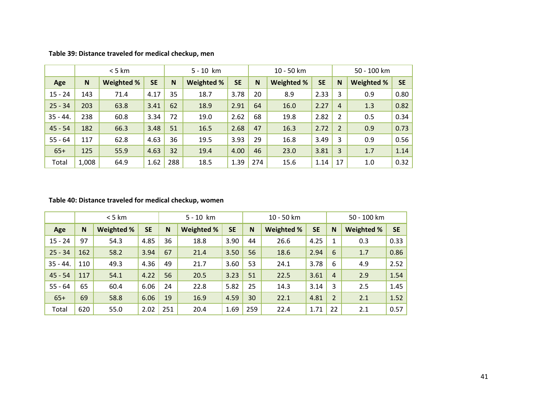|            |       | < 5 km     |           | $5 - 10$ km |                   |           | 10 - 50 km |                   |           |                | 50 - 100 km |           |
|------------|-------|------------|-----------|-------------|-------------------|-----------|------------|-------------------|-----------|----------------|-------------|-----------|
| Age        | N     | Weighted % | <b>SE</b> | N           | <b>Weighted %</b> | <b>SE</b> | N          | <b>Weighted %</b> | <b>SE</b> | N              | Weighted %  | <b>SE</b> |
| $15 - 24$  | 143   | 71.4       | 4.17      | 35          | 18.7              | 3.78      | 20         | 8.9               | 2.33      | 3              | 0.9         | 0.80      |
| $25 - 34$  | 203   | 63.8       | 3.41      | 62          | 18.9              | 2.91      | 64         | 16.0              | 2.27      | $\overline{4}$ | 1.3         | 0.82      |
| $35 - 44.$ | 238   | 60.8       | 3.34      | 72          | 19.0              | 2.62      | 68         | 19.8              | 2.82      | $\overline{2}$ | 0.5         | 0.34      |
| $45 - 54$  | 182   | 66.3       | 3.48      | 51          | 16.5              | 2.68      | 47         | 16.3              | 2.72      | $\overline{2}$ | 0.9         | 0.73      |
| $55 - 64$  | 117   | 62.8       | 4.63      | 36          | 19.5              | 3.93      | 29         | 16.8              | 3.49      | 3              | 0.9         | 0.56      |
| $65+$      | 125   | 55.9       | 4.63      | 32          | 19.4              | 4.00      | 46         | 23.0              | 3.81      | 3              | 1.7         | 1.14      |
| Total      | 1,008 | 64.9       | 1.62      | 288         | 18.5              | 1.39      | 274        | 15.6              | 1.14      | 17             | 1.0         | 0.32      |

#### **Table 39: Distance traveled for medical checkup, men**

#### **Table 40: Distance traveled for medical checkup, women**

|            |     | $<$ 5 km   |           |     | $5 - 10$ km |           |     | 10 - 50 km        |           |                | 50 - 100 km       |           |
|------------|-----|------------|-----------|-----|-------------|-----------|-----|-------------------|-----------|----------------|-------------------|-----------|
| Age        | N   | Weighted % | <b>SE</b> | N   | Weighted %  | <b>SE</b> | N   | <b>Weighted %</b> | <b>SE</b> | N              | <b>Weighted %</b> | <b>SE</b> |
| $15 - 24$  | 97  | 54.3       | 4.85      | 36  | 18.8        | 3.90      | 44  | 26.6              | 4.25      | 1              | 0.3               | 0.33      |
| $25 - 34$  | 162 | 58.2       | 3.94      | 67  | 21.4        | 3.50      | 56  | 18.6              | 2.94      | 6              | 1.7               | 0.86      |
| $35 - 44.$ | 110 | 49.3       | 4.36      | 49  | 21.7        | 3.60      | 53  | 24.1              | 3.78      | 6              | 4.9               | 2.52      |
| $45 - 54$  | 117 | 54.1       | 4.22      | 56  | 20.5        | 3.23      | 51  | 22.5              | 3.61      | $\overline{4}$ | 2.9               | 1.54      |
| $55 - 64$  | 65  | 60.4       | 6.06      | 24  | 22.8        | 5.82      | 25  | 14.3              | 3.14      | 3              | 2.5               | 1.45      |
| $65+$      | 69  | 58.8       | 6.06      | 19  | 16.9        | 4.59      | 30  | 22.1              | 4.81      | 2              | 2.1               | 1.52      |
| Total      | 620 | 55.0       | 2.02      | 251 | 20.4        | 1.69      | 259 | 22.4              | 1.71      | 22             | 2.1               | 0.57      |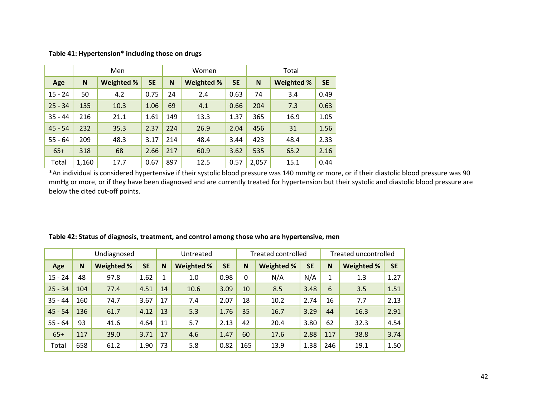|           |       | Men               |           |     | Women      |           | Total |                   |           |  |  |
|-----------|-------|-------------------|-----------|-----|------------|-----------|-------|-------------------|-----------|--|--|
| Age       | N     | <b>Weighted %</b> | <b>SE</b> | N   | Weighted % | <b>SE</b> | N     | <b>Weighted %</b> | <b>SE</b> |  |  |
| $15 - 24$ | 50    | 4.2               | 0.75      | 24  | 2.4        | 0.63      | 74    | 3.4               | 0.49      |  |  |
| $25 - 34$ | 135   | 10.3              | 1.06      | 69  | 4.1        | 0.66      | 204   | 7.3               | 0.63      |  |  |
| $35 - 44$ | 216   | 21.1              | 1.61      | 149 | 13.3       | 1.37      | 365   | 16.9              | 1.05      |  |  |
| $45 - 54$ | 232   | 35.3              | 2.37      | 224 | 26.9       | 2.04      | 456   | 31                | 1.56      |  |  |
| $55 - 64$ | 209   | 48.3              | 3.17      | 214 | 48.4       | 3.44      | 423   | 48.4              | 2.33      |  |  |
| $65+$     | 318   | 68                | 2.66      | 217 | 60.9       | 3.62      | 535   | 65.2              | 2.16      |  |  |
| Total     | 1,160 | 17.7              | 0.67      | 897 | 12.5       | 0.57      | 2,057 | 15.1              | 0.44      |  |  |

**Table 41: Hypertension\* including those on drugs**

\*An individual is considered hypertensive if their systolic blood pressure was 140 mmHg or more, or if their diastolic blood pressure was 90 mmHg or more, or if they have been diagnosed and are currently treated for hypertension but their systolic and diastolic blood pressure are below the cited cut‐off points.

|           |     | Undiagnosed |           |    | Untreated         |           |          | <b>Treated controlled</b> |           |          | Treated uncontrolled |           |
|-----------|-----|-------------|-----------|----|-------------------|-----------|----------|---------------------------|-----------|----------|----------------------|-----------|
| Age       | N   | Weighted %  | <b>SE</b> | N  | <b>Weighted %</b> | <b>SE</b> | N        | Weighted %                | <b>SE</b> | <b>N</b> | Weighted %           | <b>SE</b> |
| $15 - 24$ | 48  | 97.8        | 1.62      | 1  | 1.0               | 0.98      | $\Omega$ | N/A                       | N/A       | 1        | 1.3                  | 1.27      |
| $25 - 34$ | 104 | 77.4        | 4.51      | 14 | 10.6              | 3.09      | 10       | 8.5                       | 3.48      | 6        | 3.5                  | 1.51      |
| $35 - 44$ | 160 | 74.7        | 3.67      | 17 | 7.4               | 2.07      | 18       | 10.2                      | 2.74      | 16       | 7.7                  | 2.13      |
| $45 - 54$ | 136 | 61.7        | 4.12      | 13 | 5.3               | 1.76      | 35       | 16.7                      | 3.29      | 44       | 16.3                 | 2.91      |
| $55 - 64$ | 93  | 41.6        | 4.64      | 11 | 5.7               | 2.13      | 42       | 20.4                      | 3.80      | 62       | 32.3                 | 4.54      |
| $65+$     | 117 | 39.0        | 3.71      | 17 | 4.6               | 1.47      | 60       | 17.6                      | 2.88      | 117      | 38.8                 | 3.74      |
| Total     | 658 | 61.2        | 1.90      | 73 | 5.8               | 0.82      | 165      | 13.9                      | 1.38      | 246      | 19.1                 | 1.50      |

#### **Table 42: Status of diagnosis, treatment, and control among those who are hypertensive, men**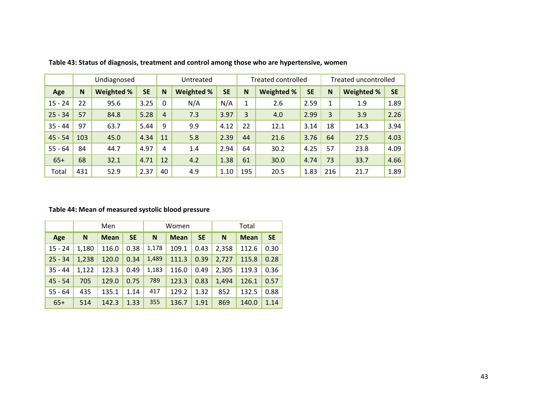|           |     | Undiagnosed       |           |                | Untreated         |           |     | <b>Treated controlled</b> |           |              | Treated uncontrolled |           |
|-----------|-----|-------------------|-----------|----------------|-------------------|-----------|-----|---------------------------|-----------|--------------|----------------------|-----------|
| Age       | N   | <b>Weighted %</b> | <b>SE</b> | N              | <b>Weighted %</b> | <b>SE</b> | N   | <b>Weighted %</b>         | <b>SE</b> | N            | Weighted %           | <b>SE</b> |
| $15 - 24$ | 22  | 95.6              | 3.25      | $\Omega$       | N/A               | N/A       |     | 2.6                       | 2.59      | $\mathbf{1}$ | 1.9                  | 1.89      |
| $25 - 34$ | 57  | 84.8              | 5.28      | $\overline{4}$ | 7.3               | 3.97      | 3   | 4.0                       | 2.99      | 3            | 3.9                  | 2.26      |
| $35 - 44$ | 97  | 63.7              | 5.44      | 9              | 9.9               | 4.12      | 22  | 12.1                      | 3.14      | 18           | 14.3                 | 3.94      |
| $45 - 54$ | 103 | 45.0              | 4.34      | 11             | 5.8               | 2.39      | 44  | 21.6                      | 3.76      | 64           | 27.5                 | 4.03      |
| $55 - 64$ | 84  | 44.7              | 4.97      | 4              | 1.4               | 2.94      | 64  | 30.2                      | 4.25      | 57           | 23.8                 | 4.09      |
| $65+$     | 68  | 32.1              | 4.71      | 12             | 4.2               | 1.38      | 61  | 30.0                      | 4.74      | 73           | 33.7                 | 4.66      |
| Total     | 431 | 52.9              | 2.37      | 40             | 4.9               | 1.10      | 195 | 20.5                      | 1.83      | 216          | 21.7                 | 1.89      |

**Table 43: Status of diagnosis, treatment and control among those who are hypertensive, women**

#### **Table 44: Mean of measured systolic blood pressure**

|           |       | Men         |           |       | Women       |           | Total |             |           |  |
|-----------|-------|-------------|-----------|-------|-------------|-----------|-------|-------------|-----------|--|
| Age       | N     | <b>Mean</b> | <b>SE</b> | N     | <b>Mean</b> | <b>SE</b> | N     | <b>Mean</b> | <b>SE</b> |  |
| $15 - 24$ | 1,180 | 116.0       | 0.38      | 1,178 | 109.1       | 0.43      | 2,358 | 112.6       | 0.30      |  |
| $25 - 34$ | 1,238 | 120.0       | 0.34      | 1,489 | 111.3       | 0.39      | 2,727 | 115.8       | 0.28      |  |
| $35 - 44$ | 1,122 | 123.3       | 0.49      | 1,183 | 116.0       | 0.49      | 2,305 | 119.3       | 0.36      |  |
| $45 - 54$ | 705   | 129.0       | 0.75      | 789   | 123.3       | 0.83      | 1,494 | 126.1       | 0.57      |  |
| $55 - 64$ | 435   | 135.1       | 1.14      | 417   | 129.2       | 1.32      | 852   | 132.5       | 0.88      |  |
| $65+$     | 514   | 142.3       | 1.33      | 355   | 136.7       | 1.91      | 869   | 140.0       | 1.14      |  |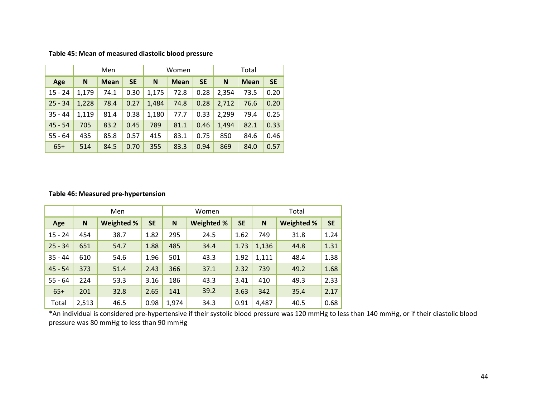| Table 45: Mean of measured diastolic blood pressure |  |  |  |
|-----------------------------------------------------|--|--|--|
|-----------------------------------------------------|--|--|--|

|           |       | Men         |           |       | Women       |           | Total |             |           |  |
|-----------|-------|-------------|-----------|-------|-------------|-----------|-------|-------------|-----------|--|
| Age       | N     | <b>Mean</b> | <b>SE</b> | N     | <b>Mean</b> | <b>SE</b> | N     | <b>Mean</b> | <b>SE</b> |  |
| $15 - 24$ | 1,179 | 74.1        | 0.30      | 1,175 | 72.8        | 0.28      | 2,354 | 73.5        | 0.20      |  |
| $25 - 34$ | 1,228 | 78.4        | 0.27      | 1,484 | 74.8        | 0.28      | 2,712 | 76.6        | 0.20      |  |
| $35 - 44$ | 1,119 | 81.4        | 0.38      | 1,180 | 77.7        | 0.33      | 2,299 | 79.4        | 0.25      |  |
| $45 - 54$ | 705   | 83.2        | 0.45      | 789   | 81.1        | 0.46      | 1.494 | 82.1        | 0.33      |  |
| $55 - 64$ | 435   | 85.8        | 0.57      | 415   | 83.1        | 0.75      | 850   | 84.6        | 0.46      |  |
| $65+$     | 514   | 84.5        | 0.70      | 355   | 83.3        | 0.94      | 869   | 84.0        | 0.57      |  |

#### **Table 46: Measured pre‐hypertension**

|           |       | Men        |           |       | Women      |           | Total |            |           |  |
|-----------|-------|------------|-----------|-------|------------|-----------|-------|------------|-----------|--|
| Age       | N     | Weighted % | <b>SE</b> | N     | Weighted % | <b>SE</b> | N     | Weighted % | <b>SE</b> |  |
| $15 - 24$ | 454   | 38.7       | 1.82      | 295   | 24.5       | 1.62      | 749   | 31.8       | 1.24      |  |
| $25 - 34$ | 651   | 54.7       | 1.88      | 485   | 34.4       | 1.73      | 1,136 | 44.8       | 1.31      |  |
| $35 - 44$ | 610   | 54.6       | 1.96      | 501   | 43.3       | 1.92      | 1,111 | 48.4       | 1.38      |  |
| $45 - 54$ | 373   | 51.4       | 2.43      | 366   | 37.1       | 2.32      | 739   | 49.2       | 1.68      |  |
| $55 - 64$ | 224   | 53.3       | 3.16      | 186   | 43.3       | 3.41      | 410   | 49.3       | 2.33      |  |
| $65+$     | 201   | 32.8       | 2.65      | 141   | 39.2       | 3.63      | 342   | 35.4       | 2.17      |  |
| Total     | 2,513 | 46.5       | 0.98      | 1,974 | 34.3       | 0.91      | 4,487 | 40.5       | 0.68      |  |

\*An individual is considered pre‐hypertensive if their systolic blood pressure was 120 mmHg to less than 140 mmHg, or if their diastolic blood pressure was 80 mmHg to less than 90 mmHg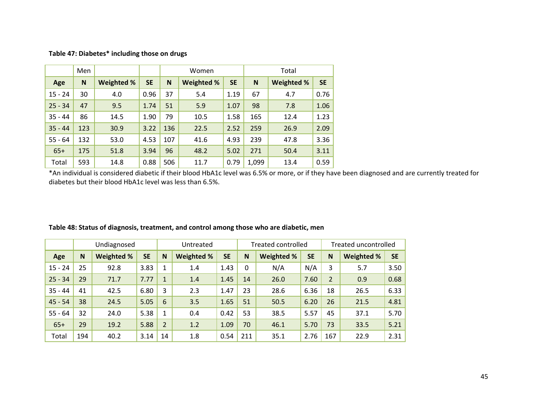|           | Men |            |           |     | Women             |           | Total |            |           |  |
|-----------|-----|------------|-----------|-----|-------------------|-----------|-------|------------|-----------|--|
| Age       | N   | Weighted % | <b>SE</b> | N   | <b>Weighted %</b> | <b>SE</b> | N     | Weighted % | <b>SE</b> |  |
| $15 - 24$ | 30  | 4.0        | 0.96      | 37  | 5.4               | 1.19      | 67    | 4.7        | 0.76      |  |
| $25 - 34$ | 47  | 9.5        | 1.74      | 51  | 5.9               | 1.07      | 98    | 7.8        | 1.06      |  |
| $35 - 44$ | 86  | 14.5       | 1.90      | 79  | 10.5              | 1.58      | 165   | 12.4       | 1.23      |  |
| $35 - 44$ | 123 | 30.9       | 3.22      | 136 | 22.5              | 2.52      | 259   | 26.9       | 2.09      |  |
| $55 - 64$ | 132 | 53.0       | 4.53      | 107 | 41.6              | 4.93      | 239   | 47.8       | 3.36      |  |
| $65+$     | 175 | 51.8       | 3.94      | 96  | 48.2              | 5.02      | 271   | 50.4       | 3.11      |  |
| Total     | 593 | 14.8       | 0.88      | 506 | 11.7              | 0.79      | 1,099 | 13.4       | 0.59      |  |

\*An individual is considered diabetic if their blood HbA1c level was 6.5% or more, or if they have been diagnosed and are currently treated for diabetes but their blood HbA1c level was less than 6.5%.

|           |     | Undiagnosed       |           | Untreated      |            |           | <b>Treated controlled</b> |                   |           | Treated uncontrolled |            |           |
|-----------|-----|-------------------|-----------|----------------|------------|-----------|---------------------------|-------------------|-----------|----------------------|------------|-----------|
| Age       | N   | <b>Weighted %</b> | <b>SE</b> | N              | Weighted % | <b>SE</b> | N                         | <b>Weighted %</b> | <b>SE</b> | N                    | Weighted % | <b>SE</b> |
| $15 - 24$ | 25  | 92.8              | 3.83      | 1              | 1.4        | 1.43      | $\Omega$                  | N/A               | N/A       | 3                    | 5.7        | 3.50      |
| $25 - 34$ | 29  | 71.7              | 7.77      | $\mathbf{1}$   | 1.4        | 1.45      | 14                        | 26.0              | 7.60      | 2                    | 0.9        | 0.68      |
| $35 - 44$ | 41  | 42.5              | 6.80      | 3              | 2.3        | 1.47      | 23                        | 28.6              | 6.36      | 18                   | 26.5       | 6.33      |
| $45 - 54$ | 38  | 24.5              | 5.05      | 6              | 3.5        | 1.65      | 51                        | 50.5              | 6.20      | 26                   | 21.5       | 4.81      |
| $55 - 64$ | 32  | 24.0              | 5.38      | 1              | 0.4        | 0.42      | 53                        | 38.5              | 5.57      | 45                   | 37.1       | 5.70      |
| $65+$     | 29  | 19.2              | 5.88      | $\overline{2}$ | 1.2        | 1.09      | 70                        | 46.1              | 5.70      | 73                   | 33.5       | 5.21      |
| Total     | 194 | 40.2              | 3.14      | 14             | 1.8        | 0.54      | 211                       | 35.1              | 2.76      | 167                  | 22.9       | 2.31      |

**Table 48: Status of diagnosis, treatment, and control among those who are diabetic, men**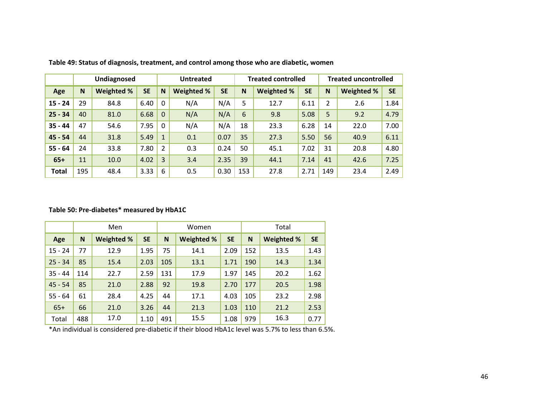|              |     | Undiagnosed |           | <b>Untreated</b> |            |           | <b>Treated controlled</b> |            |           | <b>Treated uncontrolled</b> |            |           |
|--------------|-----|-------------|-----------|------------------|------------|-----------|---------------------------|------------|-----------|-----------------------------|------------|-----------|
| Age          | N   | Weighted %  | <b>SE</b> | N                | Weighted % | <b>SE</b> | N                         | Weighted % | <b>SE</b> | <b>N</b>                    | Weighted % | <b>SE</b> |
| $15 - 24$    | 29  | 84.8        | 6.40      | $\Omega$         | N/A        | N/A       | 5                         | 12.7       | 6.11      | $\overline{2}$              | 2.6        | 1.84      |
| $25 - 34$    | 40  | 81.0        | 6.68      | $\overline{0}$   | N/A        | N/A       | 6                         | 9.8        | 5.08      | 5                           | 9.2        | 4.79      |
| $35 - 44$    | 47  | 54.6        | 7.95      | $\mathbf{0}$     | N/A        | N/A       | 18                        | 23.3       | 6.28      | 14                          | 22.0       | 7.00      |
| $45 - 54$    | 44  | 31.8        | 5.49      |                  | 0.1        | 0.07      | 35                        | 27.3       | 5.50      | 56                          | 40.9       | 6.11      |
| $55 - 64$    | 24  | 33.8        | 7.80      | $\overline{2}$   | 0.3        | 0.24      | 50                        | 45.1       | 7.02      | 31                          | 20.8       | 4.80      |
| $65+$        | 11  | 10.0        | 4.02      | 3                | 3.4        | 2.35      | 39                        | 44.1       | 7.14      | 41                          | 42.6       | 7.25      |
| <b>Total</b> | 195 | 48.4        | 3.33      | 6                | 0.5        | 0.30      | 153                       | 27.8       | 2.71      | 149                         | 23.4       | 2.49      |

**Table 49: Status of diagnosis, treatment, and control among those who are diabetic, women**

**Table 50: Pre‐diabetes\* measured by HbA1C**

|           |     | Men               |           |     | Women             |           | Total |                   |           |  |
|-----------|-----|-------------------|-----------|-----|-------------------|-----------|-------|-------------------|-----------|--|
| Age       | N   | <b>Weighted %</b> | <b>SE</b> | N   | <b>Weighted %</b> | <b>SE</b> | N     | <b>Weighted %</b> | <b>SE</b> |  |
| $15 - 24$ | 77  | 12.9              | 1.95      | 75  | 14.1              | 2.09      | 152   | 13.5              | 1.43      |  |
| $25 - 34$ | 85  | 15.4              | 2.03      | 105 | 13.1              | 1.71      | 190   | 14.3              | 1.34      |  |
| $35 - 44$ | 114 | 22.7              | 2.59      | 131 | 17.9              | 1.97      | 145   | 20.2              | 1.62      |  |
| $45 - 54$ | 85  | 21.0              | 2.88      | 92  | 19.8              | 2.70      | 177   | 20.5              | 1.98      |  |
| $55 - 64$ | 61  | 28.4              | 4.25      | 44  | 17.1              | 4.03      | 105   | 23.2              | 2.98      |  |
| $65+$     | 66  | 21.0              | 3.26      | 44  | 21.3              | 1.03      | 110   | 21.2              | 2.53      |  |
| Total     | 488 | 17.0              | 1.10      | 491 | 15.5              | 1.08      | 979   | 16.3              | 0.77      |  |

\*An individual is considered pre‐diabetic if their blood HbA1c level was 5.7% to less than 6.5%.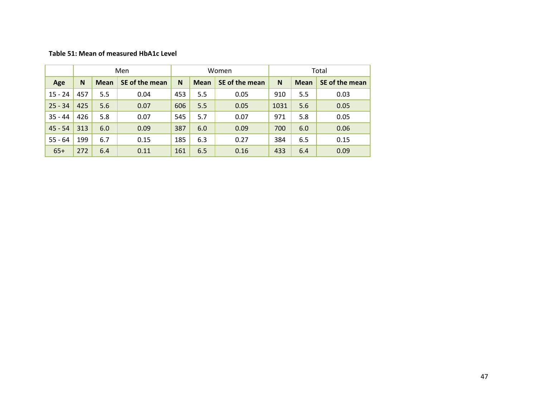#### **Table 51: Mean of measured HbA1c Level**

|           |              |             | Men            |                  |     | Women          | Total |             |                |  |
|-----------|--------------|-------------|----------------|------------------|-----|----------------|-------|-------------|----------------|--|
| Age       | <sub>N</sub> | <b>Mean</b> | SE of the mean | N<br><b>Mean</b> |     | SE of the mean | N     | <b>Mean</b> | SE of the mean |  |
| $15 - 24$ | 457          | 5.5         | 0.04           | 453              | 5.5 | 0.05           | 910   | 5.5         | 0.03           |  |
| $25 - 34$ | 425          | 5.6         | 0.07           | 606              | 5.5 | 0.05           | 1031  | 5.6         | 0.05           |  |
| $35 - 44$ | 426          | 5.8         | 0.07           | 545              | 5.7 | 0.07           | 971   | 5.8         | 0.05           |  |
| $45 - 54$ | 313          | 6.0         | 0.09           | 387              | 6.0 | 0.09           | 700   | 6.0         | 0.06           |  |
| $55 - 64$ | 199          | 6.7         | 0.15           | 185              | 6.3 | 0.27           | 384   | 6.5         | 0.15           |  |
| $65+$     | 272          | 6.4         | 0.11           | 161              | 6.5 | 0.16           | 433   | 6.4         | 0.09           |  |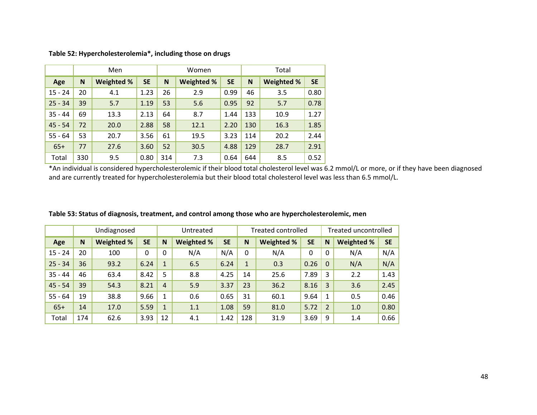|           |     | Men               |           |     | Women             |           | Total |                   |           |  |
|-----------|-----|-------------------|-----------|-----|-------------------|-----------|-------|-------------------|-----------|--|
| Age       | N   | <b>Weighted %</b> | <b>SE</b> | N   | <b>Weighted %</b> | <b>SE</b> | N     | <b>Weighted %</b> | <b>SE</b> |  |
| $15 - 24$ | 20  | 4.1               | 1.23      | 26  | 2.9               | 0.99      | 46    | 3.5               | 0.80      |  |
| $25 - 34$ | 39  | 5.7               | 1.19      | 53  | 5.6               | 0.95      | 92    | 5.7               | 0.78      |  |
| $35 - 44$ | 69  | 13.3              | 2.13      | 64  | 8.7               | 1.44      | 133   | 10.9              | 1.27      |  |
| $45 - 54$ | 72  | 20.0              | 2.88      | 58  | 12.1              | 2.20      | 130   | 16.3              | 1.85      |  |
| $55 - 64$ | 53  | 20.7              | 3.56      | 61  | 19.5              | 3.23      | 114   | 20.2              | 2.44      |  |
| $65+$     | 77  | 27.6              | 3.60      | 52  | 30.5              | 4.88      | 129   | 28.7              | 2.91      |  |
| Total     | 330 | 9.5               | 0.80      | 314 | 7.3               | 0.64      | 644   | 8.5               | 0.52      |  |

**Table 52: Hypercholesterolemia\*, including those on drugs**

\*An individual is considered hypercholesterolemic if their blood total cholesterol level was 6.2 mmol/L or more, or if they have been diagnosed and are currently treated for hypercholesterolemia but their blood total cholesterol level was less than 6.5 mmol/L.

|           |     | Undiagnosed |           |                | Untreated  |           | <b>Treated controlled</b> |                   |           |              | Treated uncontrolled |           |  |
|-----------|-----|-------------|-----------|----------------|------------|-----------|---------------------------|-------------------|-----------|--------------|----------------------|-----------|--|
| Age       | N   | Weighted %  | <b>SE</b> | N              | Weighted % | <b>SE</b> | N                         | <b>Weighted %</b> | <b>SE</b> | N            | Weighted %           | <b>SE</b> |  |
| $15 - 24$ | 20  | 100         | 0         | $\Omega$       | N/A        | N/A       | $\Omega$                  | N/A               | 0         | $\mathbf{0}$ | N/A                  | N/A       |  |
| $25 - 34$ | 36  | 93.2        | 6.24      | $\mathbf{1}$   | 6.5        | 6.24      | $\mathbf{1}$              | 0.3               | 0.26      | $\mathbf{0}$ | N/A                  | N/A       |  |
| $35 - 44$ | 46  | 63.4        | 8.42      | 5              | 8.8        | 4.25      | 14                        | 25.6              | 7.89      | 3            | 2.2                  | 1.43      |  |
| $45 - 54$ | 39  | 54.3        | 8.21      | $\overline{4}$ | 5.9        | 3.37      | 23                        | 36.2              | 8.16      | 3            | 3.6                  | 2.45      |  |
| $55 - 64$ | 19  | 38.8        | 9.66      | 1              | 0.6        | 0.65      | 31                        | 60.1              | 9.64      | $\mathbf{1}$ | 0.5                  | 0.46      |  |
| $65+$     | 14  | 17.0        | 5.59      | $\mathbf{1}$   | 1.1        | 1.08      | 59                        | 81.0              | 5.72      | 2            | 1.0                  | 0.80      |  |
| Total     | 174 | 62.6        | 3.93      | 12             | 4.1        | 1.42      | 128                       | 31.9              | 3.69      | 9            | 1.4                  | 0.66      |  |

**Table 53: Status of diagnosis, treatment, and control among those who are hypercholesterolemic, men**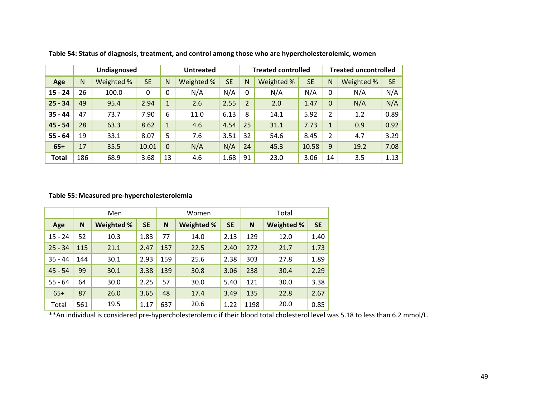|              |     | Undiagnosed |           |              | <b>Untreated</b> |           |                | <b>Treated controlled</b> |           |                | <b>Treated uncontrolled</b> |           |  |
|--------------|-----|-------------|-----------|--------------|------------------|-----------|----------------|---------------------------|-----------|----------------|-----------------------------|-----------|--|
| Age          | N   | Weighted %  | <b>SE</b> | N            | Weighted %       | <b>SE</b> | N              | Weighted %                | <b>SE</b> | $\mathsf{N}$   | Weighted %                  | <b>SE</b> |  |
| $15 - 24$    | 26  | 100.0       | $\Omega$  | $\mathbf{0}$ | N/A              | N/A       | $\mathbf 0$    | N/A                       | N/A       | $\mathbf 0$    | N/A                         | N/A       |  |
| $25 - 34$    | 49  | 95.4        | 2.94      | $\mathbf{1}$ | 2.6              | 2.55      | $\overline{2}$ | 2.0                       | 1.47      | $\mathbf{0}$   | N/A                         | N/A       |  |
| $35 - 44$    | 47  | 73.7        | 7.90      | 6            | 11.0             | 6.13      | 8              | 14.1                      | 5.92      | $\overline{2}$ | 1.2                         | 0.89      |  |
| $45 - 54$    | 28  | 63.3        | 8.62      | $\mathbf{1}$ | 4.6              | 4.54      | 25             | 31.1                      | 7.73      | $\mathbf{1}$   | 0.9                         | 0.92      |  |
| $55 - 64$    | 19  | 33.1        | 8.07      | 5            | 7.6              | 3.51      | 32             | 54.6                      | 8.45      | $\overline{2}$ | 4.7                         | 3.29      |  |
| $65+$        | 17  | 35.5        | 10.01     | $\theta$     | N/A              | N/A       | 24             | 45.3                      | 10.58     | 9              | 19.2                        | 7.08      |  |
| <b>Total</b> | 186 | 68.9        | 3.68      | 13           | 4.6              | 1.68      | 91             | 23.0                      | 3.06      | 14             | 3.5                         | 1.13      |  |

**Table 54: Status of diagnosis, treatment, and control among those who are hypercholesterolemic, women**

#### **Table 55: Measured pre‐hypercholesterolemia**

|           |     | Men               |           |     | Women      |           | Total |            |           |  |
|-----------|-----|-------------------|-----------|-----|------------|-----------|-------|------------|-----------|--|
| Age       | N   | <b>Weighted %</b> | <b>SE</b> | N   | Weighted % | <b>SE</b> | N     | Weighted % | <b>SE</b> |  |
| $15 - 24$ | 52  | 10.3              | 1.83      | 77  | 14.0       | 2.13      | 129   | 12.0       | 1.40      |  |
| $25 - 34$ | 115 | 21.1              | 2.47      | 157 | 22.5       | 2.40      | 272   | 21.7       | 1.73      |  |
| $35 - 44$ | 144 | 30.1              | 2.93      | 159 | 25.6       | 2.38      | 303   | 27.8       | 1.89      |  |
| $45 - 54$ | 99  | 30.1              | 3.38      | 139 | 30.8       | 3.06      | 238   | 30.4       | 2.29      |  |
| $55 - 64$ | 64  | 30.0              | 2.25      | 57  | 30.0       | 5.40      | 121   | 30.0       | 3.38      |  |
| $65+$     | 87  | 26.0              | 3.65      | 48  | 17.4       | 3.49      | 135   | 22.8       | 2.67      |  |
| Total     | 561 | 19.5              | 1.17      | 637 | 20.6       | 1.22      | 1198  | 20.0       | 0.85      |  |

\*\*An individual is considered pre‐hypercholesterolemic if their blood total cholesterol level was 5.18 to less than 6.2 mmol/L.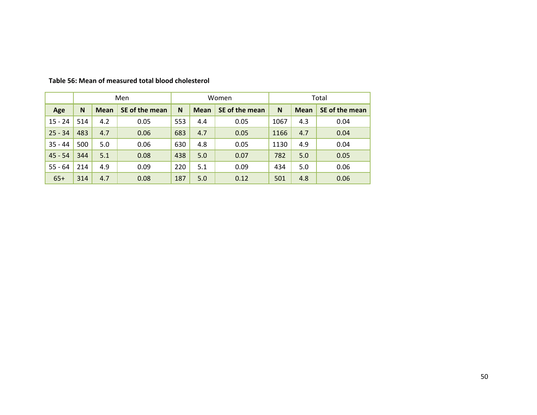|           |     |             | Men            |     |             | Women          | Total |             |                |  |
|-----------|-----|-------------|----------------|-----|-------------|----------------|-------|-------------|----------------|--|
| Age       | N   | <b>Mean</b> | SE of the mean | N   | <b>Mean</b> | SE of the mean | N     | <b>Mean</b> | SE of the mean |  |
| $15 - 24$ | 514 | 4.2         | 0.05           | 553 | 4.4         | 0.05           | 1067  | 4.3         | 0.04           |  |
| $25 - 34$ | 483 | 4.7         | 0.06           | 683 | 4.7         | 0.05           | 1166  | 4.7         | 0.04           |  |
| $35 - 44$ | 500 | 5.0         | 0.06           | 630 | 4.8         | 0.05           | 1130  | 4.9         | 0.04           |  |
| $45 - 54$ | 344 | 5.1         | 0.08           | 438 | 5.0         | 0.07           | 782   | 5.0         | 0.05           |  |
| $55 - 64$ | 214 | 4.9         | 0.09           | 220 | 5.1         | 0.09           | 434   | 5.0         | 0.06           |  |
| $65+$     | 314 | 4.7         | 0.08           | 187 | 5.0         | 0.12           | 501   | 4.8         | 0.06           |  |

#### **Table 56: Mean of measured total blood cholesterol**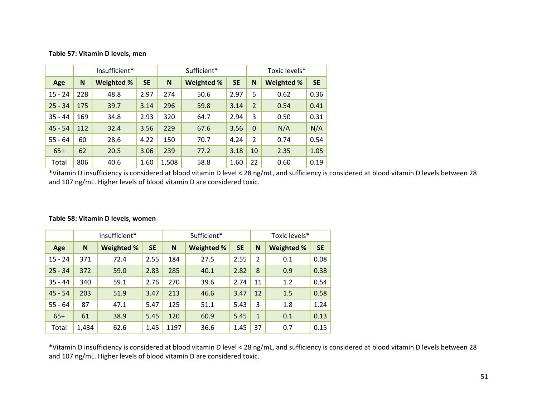#### **Table 57: Vitamin D levels, men**

|           |     | Insufficient*     |           |       | Sufficient*       | Toxic levels* |                |                   |           |
|-----------|-----|-------------------|-----------|-------|-------------------|---------------|----------------|-------------------|-----------|
| Age       | N   | <b>Weighted %</b> | <b>SE</b> | N     | <b>Weighted %</b> | <b>SE</b>     | N              | <b>Weighted %</b> | <b>SE</b> |
| $15 - 24$ | 228 | 48.8              | 2.97      | 274   | 50.6              | 2.97          | 5              | 0.62              | 0.36      |
| $25 - 34$ | 175 | 39.7              | 3.14      | 296   | 59.8              | 3.14          | $\overline{2}$ | 0.54              | 0.41      |
| $35 - 44$ | 169 | 34.8              | 2.93      | 320   | 64.7              | 2.94          | 3              | 0.50              | 0.31      |
| $45 - 54$ | 112 | 32.4              | 3.56      | 229   | 67.6              | 3.56          | $\Omega$       | N/A               | N/A       |
| $55 - 64$ | 60  | 28.6              | 4.22      | 150   | 70.7              | 4.24          | $\overline{2}$ | 0.74              | 0.54      |
| $65+$     | 62  | 20.5              | 3.06      | 239   | 77.2              | 3.18          | 10             | 2.35              | 1.05      |
| Total     | 806 | 40.6              | 1.60      | 1,508 | 58.8              | 1.60          | 22             | 0.60              | 0.19      |

\*Vitamin D insufficiency is considered at blood vitamin D level <sup>&</sup>lt; 28 ng/mL, and sufficiency is considered at blood vitamin D levels between 28 and 107 ng/mL. Higher levels of blood vitamin D are considered toxic.

|           |       | Insufficient*     |           | Sufficient* |            |           |              | Toxic levels* |           |  |  |
|-----------|-------|-------------------|-----------|-------------|------------|-----------|--------------|---------------|-----------|--|--|
| Age       | N     | <b>Weighted %</b> | <b>SE</b> | N           | Weighted % | <b>SE</b> | N            | Weighted %    | <b>SE</b> |  |  |
| $15 - 24$ | 371   | 72.4              | 2.55      | 184         | 27.5       | 2.55      | 2            | 0.1           | 0.08      |  |  |
| $25 - 34$ | 372   | 59.0              | 2.83      | 285         | 40.1       | 2.82      | 8            | 0.9           | 0.38      |  |  |
| $35 - 44$ | 340   | 59.1              | 2.76      | 270         | 39.6       | 2.74      | 11           | 1.2           | 0.54      |  |  |
| $45 - 54$ | 203   | 51.9              | 3.47      | 213         | 46.6       | 3.47      | 12           | 1.5           | 0.58      |  |  |
| $55 - 64$ | 87    | 47.1              | 5.47      | 125         | 51.1       | 5.43      | 3            | 1.8           | 1.24      |  |  |
| $65+$     | 61    | 38.9              | 5.45      | 120         | 60.9       | 5.45      | $\mathbf{1}$ | 0.1           | 0.13      |  |  |
| Total     | 1,434 | 62.6              | 1.45      | 1197        | 36.6       | 1.45      | 37           | 0.7           | 0.15      |  |  |

#### **Table 58: Vitamin D levels, women**

\*Vitamin D insufficiency is considered at blood vitamin D level <sup>&</sup>lt; 28 ng/mL, and sufficiency is considered at blood vitamin D levels between 28 and 107 ng/mL. Higher levels of blood vitamin D are considered toxic.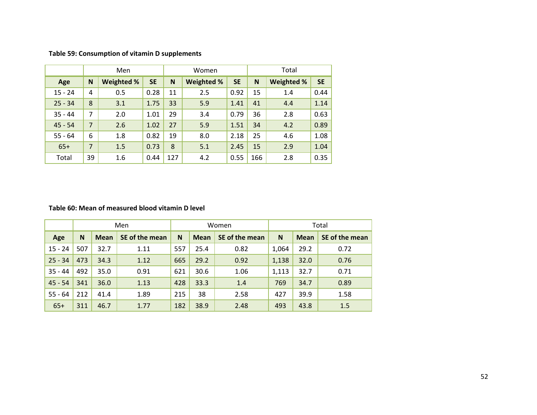|           |                              | Men |      |                   | Women     |      | Total             |           |      |  |
|-----------|------------------------------|-----|------|-------------------|-----------|------|-------------------|-----------|------|--|
| Age       | <b>SE</b><br>Weighted %<br>N |     | N    | <b>Weighted %</b> | <b>SE</b> | N    | <b>Weighted %</b> | <b>SE</b> |      |  |
| $15 - 24$ | 4                            | 0.5 | 0.28 | 11                | 2.5       | 0.92 | 15                | 1.4       | 0.44 |  |
| $25 - 34$ | 8                            | 3.1 | 1.75 | 33                | 5.9       | 1.41 | 41                | 4.4       | 1.14 |  |
| $35 - 44$ | 7                            | 2.0 | 1.01 | 29                | 3.4       | 0.79 | 36                | 2.8       | 0.63 |  |
| $45 - 54$ | $\overline{7}$               | 2.6 | 1.02 | 27                | 5.9       | 1.51 | 34                | 4.2       | 0.89 |  |
| $55 - 64$ | 6                            | 1.8 | 0.82 | 19                | 8.0       | 2.18 | 25                | 4.6       | 1.08 |  |
| $65+$     | $\overline{7}$               | 1.5 | 0.73 | 8                 | 5.1       | 2.45 | 15                | 2.9       | 1.04 |  |
| Total     | 39                           | 1.6 | 0.44 | 127               | 4.2       | 0.55 | 166               | 2.8       | 0.35 |  |

**Table 59: Consumption of vitamin D supplements**

#### **Table 60: Mean of measured blood vitamin D level**

|           |     |             | Men            |     |             | Women          | Total |             |                |  |
|-----------|-----|-------------|----------------|-----|-------------|----------------|-------|-------------|----------------|--|
| Age       | N   | <b>Mean</b> | SE of the mean | N   | <b>Mean</b> | SE of the mean | N     | <b>Mean</b> | SE of the mean |  |
| $15 - 24$ | 507 | 32.7        | 1.11           | 557 | 25.4        | 0.82           | 1,064 | 29.2        | 0.72           |  |
| $25 - 34$ | 473 | 34.3        | 1.12           | 665 | 29.2        | 0.92           | 1,138 | 32.0        | 0.76           |  |
| $35 - 44$ | 492 | 35.0        | 0.91           | 621 | 30.6        | 1.06           | 1,113 | 32.7        | 0.71           |  |
| $45 - 54$ | 341 | 36.0        | 1.13           | 428 | 33.3        | 1.4            | 769   | 34.7        | 0.89           |  |
| $55 - 64$ | 212 | 41.4        | 1.89           | 215 | 38          | 2.58           | 427   | 39.9        | 1.58           |  |
| $65+$     | 311 | 46.7        | 1.77           | 182 | 38.9        | 2.48           | 493   | 43.8        | 1.5            |  |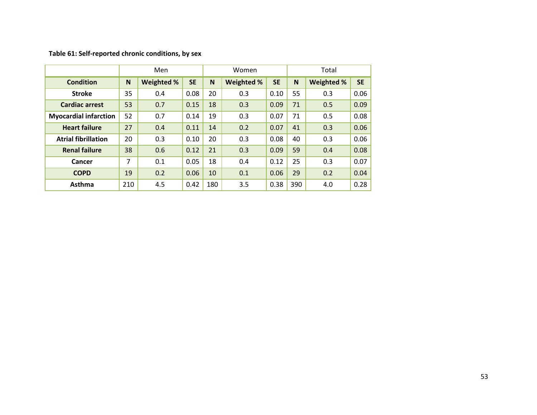#### **Table 61: Self‐reported chronic conditions, by sex**

|                              |     | Men               |           |     | Women      |           |     | Total             |           |  |
|------------------------------|-----|-------------------|-----------|-----|------------|-----------|-----|-------------------|-----------|--|
| <b>Condition</b>             | N   | <b>Weighted %</b> | <b>SE</b> | N   | Weighted % | <b>SE</b> | N   | <b>Weighted %</b> | <b>SE</b> |  |
| <b>Stroke</b>                | 35  | 0.4               | 0.08      | 20  | 0.3        | 0.10      | 55  | 0.3               | 0.06      |  |
| <b>Cardiac arrest</b>        | 53  | 0.7               | 0.15      | 18  | 0.3        | 0.09      | 71  | 0.5               | 0.09      |  |
| <b>Myocardial infarction</b> | 52  | 0.7               | 0.14      | 19  | 0.3        | 0.07      | 71  | 0.5               | 0.08      |  |
| <b>Heart failure</b>         | 27  | 0.4               | 0.11      | 14  | 0.2        | 0.07      | 41  | 0.3               | 0.06      |  |
| <b>Atrial fibrillation</b>   | 20  | 0.3               | 0.10      | 20  | 0.3        | 0.08      | 40  | 0.3               | 0.06      |  |
| <b>Renal failure</b>         | 38  | 0.6               | 0.12      | 21  | 0.3        | 0.09      | 59  | 0.4               | 0.08      |  |
| Cancer                       | 7   | 0.1               | 0.05      | 18  | 0.4        | 0.12      | 25  | 0.3               | 0.07      |  |
| <b>COPD</b>                  | 19  | 0.2               | 0.06      | 10  | 0.1        | 0.06      | 29  | 0.2               | 0.04      |  |
| Asthma                       | 210 | 4.5               | 0.42      | 180 | 3.5        | 0.38      | 390 | 4.0               | 0.28      |  |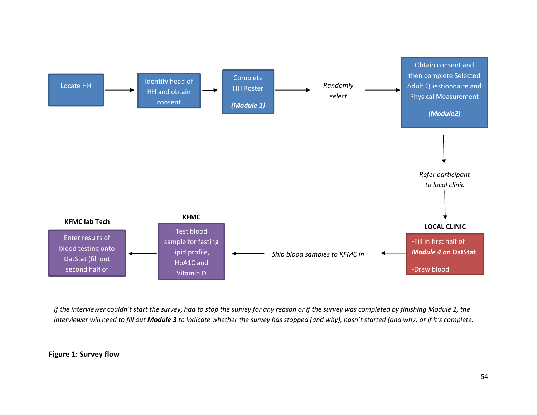

If the interviewer couldn't start the survey, had to stop the survey for any reason or if the survey was completed by finishing Module 2, the interviewer will need to fill out **Module 3** to indicate whether the survey has stopped (and why), hasn't started (and why) or if it's complete.

### **Figure 1: Survey flow**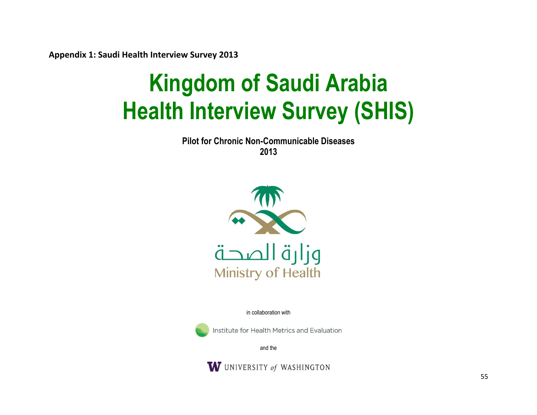**Appendix 1: Saudi Health Interview Survey 2013**

# **Kingdom of Saudi Arabia Health Interview Survey (SHIS)**

**Pilot for Chronic Non-Communicable Diseases 2013** 



in collaboration with



Institute for Health Metrics and Evaluation

and the

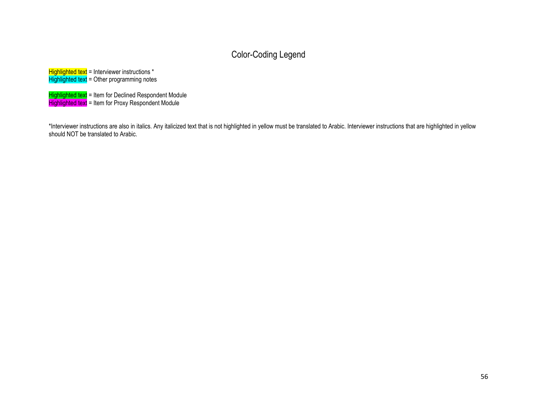# Color-Coding Legend

 $Highlighted text = Interviewer instructions *$ Highlighted text = Other programming notes

Highlighted text = Item for Declined Respondent Module Highlighted text = Item for Proxy Respondent Module

\*Interviewer instructions are also in italics. Any italicized text that is not highlighted in yellow must be translated to Arabic. Interviewer instructions that are highlighted in yellow should NOT be translated to Arabic.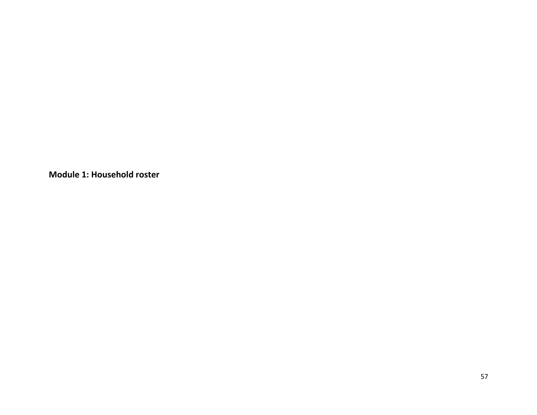**Module 1: Household roster**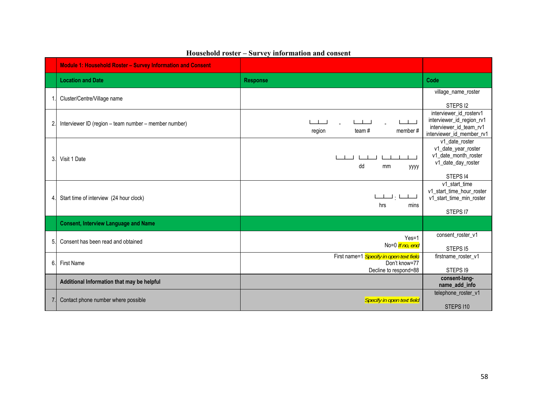|    | <b>Module 1: Household Roster - Survey Information and Consent</b> |                                                                                   |                                                                                                              |
|----|--------------------------------------------------------------------|-----------------------------------------------------------------------------------|--------------------------------------------------------------------------------------------------------------|
|    | <b>Location and Date</b>                                           | <b>Response</b>                                                                   | Code                                                                                                         |
|    | Cluster/Centre/Village name                                        |                                                                                   | village_name_roster                                                                                          |
|    |                                                                    |                                                                                   | STEPS <sub>12</sub>                                                                                          |
| 2. | Interviewer ID (region - team number - member number)              | - 11<br>member#<br>region<br>team#                                                | interviewer id rosterv1<br>interviewer_id_region_rv1<br>interviewer id team rv1<br>interviewer_id_member_rv1 |
| 3. | Visit 1 Date                                                       | dd<br>mm<br>уууу                                                                  | v1 date roster<br>v1_date_year_roster<br>v1_date_month_roster<br>v1_date_day_roster                          |
| 4  | Start time of interview (24 hour clock)                            | لمملكا رابطت<br>hrs<br>mins                                                       | STEPS 14<br>v1 start time<br>v1_start_time_hour_roster<br>v1_start_time_min_roster<br>STEPS 17               |
|    | <b>Consent, Interview Language and Name</b>                        |                                                                                   |                                                                                                              |
| 5. | Consent has been read and obtained                                 | $Yes=1$<br>No=0 If no, end                                                        | consent_roster_v1<br>STEPS 15                                                                                |
| 6. | <b>First Name</b>                                                  | First name=1 Specify in open text field<br>Don't know=77<br>Decline to respond=88 | firstname_roster_v1<br>STEPS 19                                                                              |
|    | Additional Information that may be helpful                         |                                                                                   | consent-lang-<br>name_add_info                                                                               |
|    | Contact phone number where possible                                | Specify in open text field                                                        | telephone_roster_v1<br>STEPS 110                                                                             |

# **Household roster – Survey information and consent**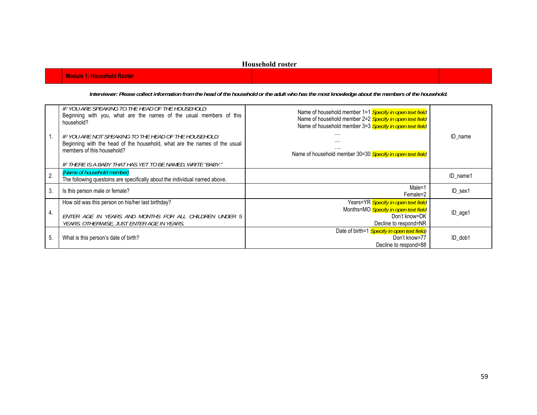#### **Household roster**

**Module 1: Household Roster** 

*Interviewer: Please collect information from the head of the household or the adult who has the most knowledge about the members of the household.* 

|    | IF YOU ARE SPEAKING TO THE HEAD OF THE HOUSEHOLD:<br>Beginning with you, what are the names of the usual members of this<br>household?                           | Name of household member 1=1 Specify in open text field<br>Name of household member 2=2 Specify in open text field<br>Name of household member 3=3 Specify in open text field |          |
|----|------------------------------------------------------------------------------------------------------------------------------------------------------------------|-------------------------------------------------------------------------------------------------------------------------------------------------------------------------------|----------|
|    | IF YOU ARE NOT SPEAKING TO THE HEAD OF THE HOUSEHOLD:<br>Beginning with the head of the household, what are the names of the usual<br>members of this household? | <br>.<br>Name of household member 30=30 Specify in open text field                                                                                                            | ID name  |
|    | IF THERE IS A BABY THAT HAS YET TO BE NAMED, WRITE "BABY."                                                                                                       |                                                                                                                                                                               |          |
| 2. | {Name of household member}<br>The following questoins are specifically about the individual named above.                                                         |                                                                                                                                                                               | ID name1 |
| 3. | Is this person male or female?                                                                                                                                   | Male=1<br>Female=2                                                                                                                                                            | ID sex1  |
|    | How old was this person on his/her last birthday?                                                                                                                | Years=YR Specify in open text field                                                                                                                                           |          |
| 4. | ENTER AGE IN YEARS AND MONTHS FOR ALL CHILDREN UNDER 5<br>YEARS. OTHERWISE, JUST ENTER AGE IN YEARS.                                                             | Months=MO Specify in open text field<br>Don't know=DK<br>Decline to respond=NR                                                                                                | ID_age1  |
| 5. | What is this person's date of birth?                                                                                                                             | Date of birth=1 Specify in open text field)<br>Don't know=77<br>Decline to respond=88                                                                                         | ID dob1  |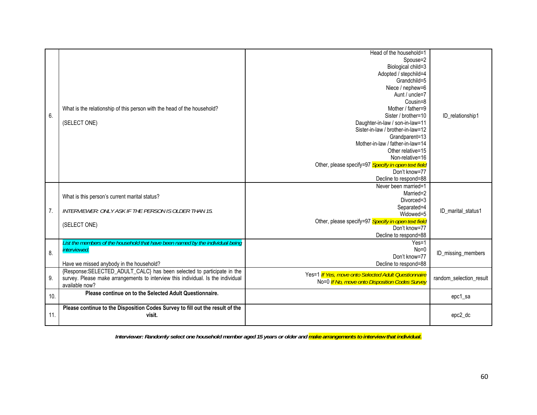|                  |                                                                                  | Head of the household=1                              |                         |
|------------------|----------------------------------------------------------------------------------|------------------------------------------------------|-------------------------|
|                  |                                                                                  | Spouse=2                                             |                         |
|                  |                                                                                  | Biological child=3                                   |                         |
|                  |                                                                                  | Adopted / stepchild=4                                |                         |
|                  |                                                                                  | Grandchild=5                                         |                         |
|                  |                                                                                  | Niece / nephew=6                                     |                         |
|                  |                                                                                  | Aunt / uncle=7                                       |                         |
|                  |                                                                                  | Cousin=8                                             |                         |
|                  | What is the relationship of this person with the head of the household?          | Mother / father=9                                    |                         |
| 6.               |                                                                                  | Sister / brother=10                                  | ID_relationship1        |
|                  | (SELECT ONE)                                                                     | Daughter-in-law / son-in-law=11                      |                         |
|                  |                                                                                  | Sister-in-law / brother-in-law=12                    |                         |
|                  |                                                                                  | Grandparent=13                                       |                         |
|                  |                                                                                  | Mother-in-law / father-in-law=14                     |                         |
|                  |                                                                                  | Other relative=15                                    |                         |
|                  |                                                                                  | Non-relative=16                                      |                         |
|                  |                                                                                  | Other, please specify=97 Specify in open text field  |                         |
|                  |                                                                                  | Don't know=77                                        |                         |
|                  |                                                                                  | Decline to respond=88                                |                         |
|                  |                                                                                  | Never been married=1                                 |                         |
|                  | What is this person's current marital status?                                    | Married=2<br>Divorced=3                              |                         |
|                  |                                                                                  | Separated=4                                          |                         |
| $\overline{7}$ . | INTERVIEWER: ONLY ASK IF THE PERSON IS OLDER THAN 15.                            | Widowed=5                                            | ID marital status1      |
|                  |                                                                                  | Other, please specify=97 Specify in open text field  |                         |
|                  | (SELECT ONE)                                                                     | Don't know=77                                        |                         |
|                  |                                                                                  | Decline to respond=88                                |                         |
|                  | List the members of the household that have been named by the individual being   | $Yes=1$                                              |                         |
|                  | interviewed.                                                                     | $No = 0$                                             |                         |
| 8.               |                                                                                  | Don't know=77                                        | ID_missing_members      |
|                  | Have we missed anybody in the household?                                         | Decline to respond=88                                |                         |
|                  | {Response:SELECTED_ADULT_CALC} has been selected to participate in the           |                                                      |                         |
| 9.               | survey. Please make arrangements to interview this individual. Is the individual | Yes=1 If Yes, move onto Selected Adult Questionnaire | random_selection_result |
|                  | available now?                                                                   | No=0 If No, move onto Disposition Codes Survey       |                         |
|                  | Please continue on to the Selected Adult Questionnaire.                          |                                                      |                         |
| 10.              |                                                                                  |                                                      | epc1_sa                 |
|                  | Please continue to the Disposition Codes Survey to fill out the result of the    |                                                      |                         |
| 11.              | visit.                                                                           |                                                      | epc2_dc                 |
|                  |                                                                                  |                                                      |                         |

*Interviewer: Randomly select one household member aged 15 years or older and make arrangements to interview that individual.*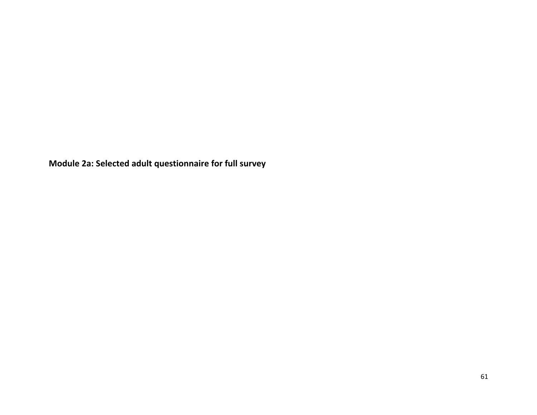**Module 2a: Selected adult questionnaire for full survey**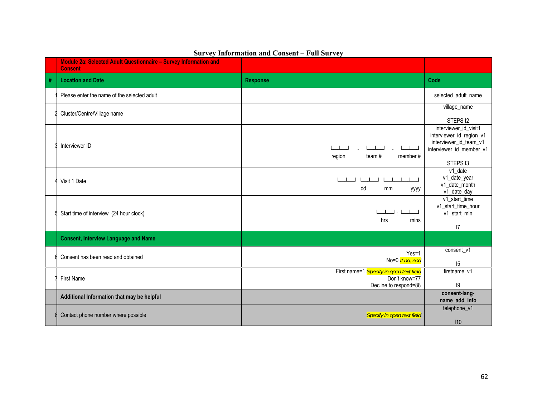|   | Module 2a: Selected Adult Questionnaire - Survey Information and<br><b>Consent</b> |                                                                                   |                                                                                                                     |
|---|------------------------------------------------------------------------------------|-----------------------------------------------------------------------------------|---------------------------------------------------------------------------------------------------------------------|
| # | <b>Location and Date</b>                                                           | <b>Response</b>                                                                   | Code                                                                                                                |
|   | Please enter the name of the selected adult                                        |                                                                                   | selected_adult_name                                                                                                 |
|   | Cluster/Centre/Village name                                                        |                                                                                   | village_name<br>STEPS I2                                                                                            |
|   | Interviewer ID                                                                     | team#<br>region<br>member#                                                        | interviewer_id_visit1<br>interviewer_id_region_v1<br>interviewer_id_team_v1<br>interviewer_id_member_v1<br>STEPS 13 |
|   | Visit 1 Date                                                                       | dd<br>mm<br>уууу                                                                  | v1 date<br>v1_date_year<br>v1_date_month<br>v1_date_day                                                             |
|   | Start time of interview (24 hour clock)                                            | $\perp\perp\perp\perp\perp$<br>hrs<br>mins                                        | v1_start_time<br>v1_start_time_hour<br>v1_start_min<br> 7                                                           |
|   | <b>Consent, Interview Language and Name</b>                                        |                                                                                   |                                                                                                                     |
|   | Consent has been read and obtained                                                 | $Yes=1$<br>No=0 If no, end                                                        | consent_v1<br>15                                                                                                    |
|   | <b>First Name</b>                                                                  | First name=1 Specify in open text field<br>Don't know=77<br>Decline to respond=88 | firstname_v1<br> 9                                                                                                  |
|   | Additional Information that may be helpful                                         |                                                                                   | consent-lang-<br>name_add_info                                                                                      |
|   | Contact phone number where possible                                                | Specify in open text field                                                        | telephone_v1<br>110                                                                                                 |

## **Survey Information and Consent – Full Survey**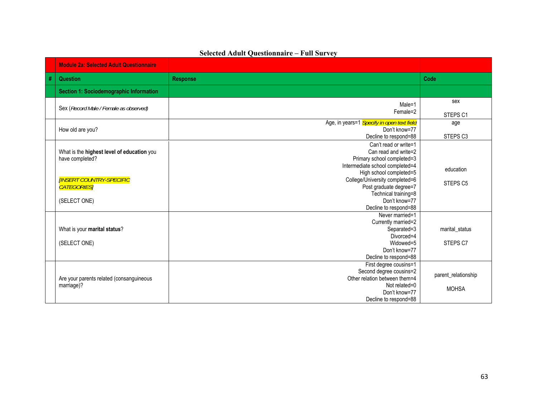|                             | <b>Module 2a: Selected Adult Questionnaire</b>                |                                                                             |                     |
|-----------------------------|---------------------------------------------------------------|-----------------------------------------------------------------------------|---------------------|
| $\overline{\boldsymbol{t}}$ | <b>Question</b>                                               | <b>Response</b>                                                             | Code                |
|                             | Section 1: Sociodemographic Information                       |                                                                             |                     |
|                             | Sex (Record Male / Female as observed)                        | Male=1                                                                      | sex                 |
|                             |                                                               | Female=2                                                                    | STEPS <sub>C1</sub> |
|                             | How old are you?                                              | Age, in years=1 Specify in open text field<br>Don't know=77                 | age                 |
|                             |                                                               | Decline to respond=88                                                       | STEPS <sub>C3</sub> |
|                             | What is the highest level of education you<br>have completed? | Can't read or write=1<br>Can read and write=2<br>Primary school completed=3 |                     |
|                             |                                                               | Intermediate school completed=4<br>High school completed=5                  | education           |
|                             | <b>IINSERT COUNTRY-SPECIFIC</b><br><b>CATEGORIES</b>          | College/University completed=6<br>Post graduate degree=7                    | STEPS <sub>C5</sub> |
|                             | (SELECT ONE)                                                  | Technical training=8<br>Don't know=77                                       |                     |
|                             |                                                               | Decline to respond=88                                                       |                     |
|                             |                                                               | Never married=1                                                             |                     |
|                             | What is your marital status?                                  | Currently married=2<br>Separated=3                                          | marital_status      |
|                             |                                                               | Divorced=4                                                                  |                     |
|                             | (SELECT ONE)                                                  | Widowed=5                                                                   | STEPS C7            |
|                             |                                                               | Don't know=77                                                               |                     |
|                             |                                                               | Decline to respond=88                                                       |                     |
|                             |                                                               | First degree cousins=1<br>Second degree cousins=2                           |                     |
|                             | Are your parents related (consanguineous                      | Other relation between them=4                                               | parent_relationship |
|                             | marriage)?                                                    | Not related=0                                                               | <b>MOHSA</b>        |
|                             |                                                               | Don't know=77                                                               |                     |
|                             |                                                               | Decline to respond=88                                                       |                     |

# **Selected Adult Questionnaire – Full Survey**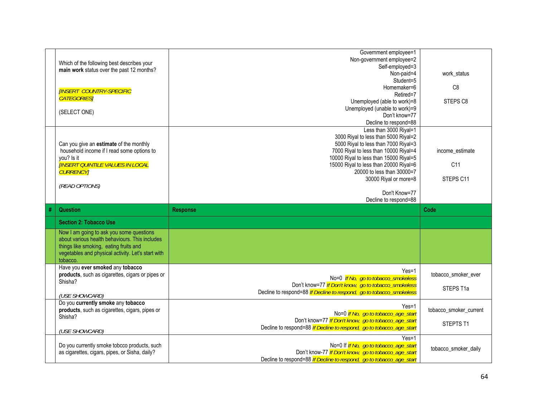|                                                    | Government employee=1                                                |                        |
|----------------------------------------------------|----------------------------------------------------------------------|------------------------|
| Which of the following best describes your         | Non-government employee=2                                            |                        |
| main work status over the past 12 months?          | Self-employed=3                                                      |                        |
|                                                    | Non-paid=4                                                           | work_status            |
|                                                    | Student=5                                                            |                        |
|                                                    | Homemaker=6                                                          | C <sub>8</sub>         |
| <b>[INSERT COUNTRY-SPECIFIC</b>                    | Retired=7                                                            |                        |
| <b>CATEGORIES</b>                                  | Unemployed (able to work)=8                                          | STEPS <sub>C8</sub>    |
|                                                    | Unemployed (unable to work)=9                                        |                        |
| (SELECT ONE)                                       | Don't know=77                                                        |                        |
|                                                    | Decline to respond=88                                                |                        |
|                                                    |                                                                      |                        |
|                                                    | Less than 3000 Riyal=1                                               |                        |
|                                                    | 3000 Riyal to less than 5000 Riyal=2                                 |                        |
| Can you give an estimate of the monthly            | 5000 Riyal to less than 7000 Riyal=3                                 |                        |
| household income if I read some options to         | 7000 Riyal to less than 10000 Riyal=4                                | income_estimate        |
| you? Is it                                         | 10000 Riyal to less than 15000 Riyal=5                               |                        |
| <b>INSERT QUINTILE VALUES IN LOCAL</b>             | 15000 Riyal to less than 20000 Riyal=6                               | C <sub>11</sub>        |
| <b>CURRENCY</b>                                    | 20000 to less than 30000=7                                           |                        |
|                                                    | 30000 Riyal or more=8                                                | STEPS C11              |
| (READ OPTIONS)                                     |                                                                      |                        |
|                                                    | Don't Know=77                                                        |                        |
|                                                    | Decline to respond=88                                                |                        |
|                                                    |                                                                      |                        |
|                                                    |                                                                      |                        |
| <b>Question</b>                                    | <b>Response</b>                                                      | Code                   |
| <b>Section 2: Tobacco Use</b>                      |                                                                      |                        |
|                                                    |                                                                      |                        |
| Now I am going to ask you some questions           |                                                                      |                        |
| about various health behaviours. This includes     |                                                                      |                        |
| things like smoking, eating fruits and             |                                                                      |                        |
| vegetables and physical activity. Let's start with |                                                                      |                        |
| tobacco.                                           |                                                                      |                        |
| Have you ever smoked any tobacco                   | $Yes=1$                                                              |                        |
| products, such as cigarettes, cigars or pipes or   | No=0 If No, go to tobacco_smokeless                                  | tobacco_smoker_ever    |
| Shisha?                                            | Don't know=77 If Don't know, go to tobacco_smokeless                 |                        |
|                                                    | Decline to respond=88 If Decline to respond, go to tobacco_smokeless | STEPS T1a              |
| (USE SHOWCARD)                                     |                                                                      |                        |
| Do you currently smoke any tobacco                 | $Yes=1$                                                              |                        |
| products, such as cigarettes, cigars, pipes or     |                                                                      | tobacco_smoker_current |
| Shisha?                                            | No=0 If No, go to tobacco_age_start                                  |                        |
|                                                    | Don't know=77 If Don't know, go to tobacco_age_start                 | STEPTS T1              |
| (USE SHOWCARD)                                     | Decline to respond=88 If Decline to respond, go to tobacco_age_start |                        |
|                                                    | $Yes=1$                                                              |                        |
| Do you currently smoke tobcco products, such       | No=0 If If No, go to tobacco_age_start                               |                        |
| as cigarettes, cigars, pipes, or Sisha, daily?     | Don't know-77 If Don't know, go to tobacco_age_start                 | tobacco_smoker_daily   |
|                                                    | Decline to respond=88 If Decline to respond, go to tobacco_age_start |                        |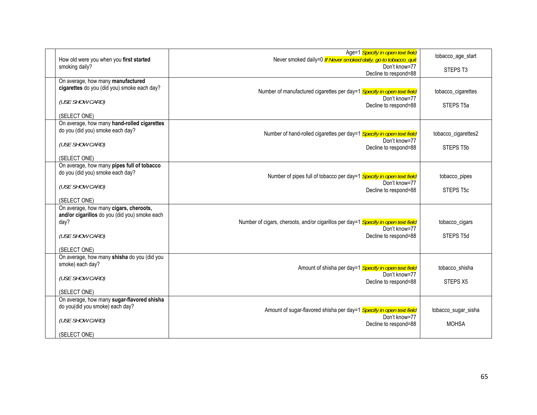| How old were you when you first started                                                                            | Age=1 Specify in open text field<br>Never smoked daily=0 If Never smoked daily, go to tobacco_quit                           | tobacco_age_start           |
|--------------------------------------------------------------------------------------------------------------------|------------------------------------------------------------------------------------------------------------------------------|-----------------------------|
| smoking daily?                                                                                                     | Don't know=77<br>Decline to respond=88                                                                                       | STEPS <sub>T3</sub>         |
| On average, how many manufactured<br>cigarettes do you (did you) smoke each day?                                   | Number of manufactured cigarettes per day=1 Specify in open text field<br>Don't know=77                                      | tobacco_cigarettes          |
| (USE SHOW CARD)                                                                                                    | Decline to respond=88                                                                                                        | STEPS T5a                   |
| (SELECT ONE)                                                                                                       |                                                                                                                              |                             |
| On average, how many hand-rolled cigarettes<br>do you (did you) smoke each day?                                    | Number of hand-rolled cigarettes per day=1 Specify in open text field                                                        | tobacco_cigarettes2         |
| (USE SHOW CARD)                                                                                                    | Don't know=77<br>Decline to respond=88                                                                                       | STEPS T5b                   |
| (SELECT ONE)                                                                                                       |                                                                                                                              |                             |
| On average, how many pipes full of tobacco<br>do you (did you) smoke each day?                                     | Number of pipes full of tobacco per day=1 Specify in open text field                                                         | tobacco_pipes               |
| (USE SHOW CARD)                                                                                                    | Don't know=77<br>Decline to respond=88                                                                                       | STEPS T5c                   |
| (SELECT ONE)                                                                                                       |                                                                                                                              |                             |
| On average, how many cigars, cheroots,<br>and/or cigarillos do you (did you) smoke each<br>day?<br>(USE SHOW CARD) | Number of cigars, cheroots, and/or cigarillos per day=1 Specify in open text field<br>Don't know=77<br>Decline to respond=88 | tobacco_cigars<br>STEPS T5d |
| (SELECT ONE)                                                                                                       |                                                                                                                              |                             |
| On average, how many shisha do you (did you<br>smoke) each day?                                                    | Amount of shisha per day=1 Specify in open text field<br>Don't know=77                                                       | tobacco shisha              |
| (USE SHOW CARD)                                                                                                    | Decline to respond=88                                                                                                        | STEPS X5                    |
| (SELECT ONE)                                                                                                       |                                                                                                                              |                             |
| On average, how many sugar-flavored shisha<br>do you(did you smoke) each day?                                      | Amount of sugar-flavored shisha per day=1 Specify in open text field                                                         | tobacco_sugar_sisha         |
| (USE SHOW CARD)                                                                                                    | Don't know=77<br>Decline to respond=88                                                                                       | <b>MOHSA</b>                |
| (SELECT ONE)                                                                                                       |                                                                                                                              |                             |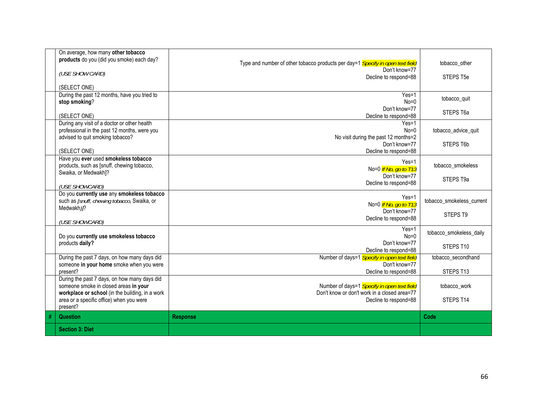| <b>Section 3: Diet</b>                                                                                                                           |                                                                                                                                                                             |                                                                                               |
|--------------------------------------------------------------------------------------------------------------------------------------------------|-----------------------------------------------------------------------------------------------------------------------------------------------------------------------------|-----------------------------------------------------------------------------------------------|
| <b>Question</b>                                                                                                                                  | <b>Response</b>                                                                                                                                                             | Code                                                                                          |
| someone smoke in closed areas in your<br>workplace or school (in the building, in a work<br>area or a specific office) when you were<br>present? | Number of days=1 Specify in open text field<br>Don't know or don't work in a closed area=77<br>Decline to respond=88                                                        | tobacco_work<br>STEPS T14                                                                     |
| During the past 7 days, on how many days did                                                                                                     |                                                                                                                                                                             |                                                                                               |
| someone in your home smoke when you were                                                                                                         | Don't know=77                                                                                                                                                               | tobacco_secondhand<br>STEPS T13                                                               |
| Do you currently use smokeless tobacco<br>products daily?                                                                                        | Yes=1<br>$No=0$<br>Don't know=77<br>Decline to respond=88                                                                                                                   | tobacco_smokeless_daily<br>STEPS T10                                                          |
| Do you currently use any smokeless tobacco<br>such as [snuff, chewing tobacco, Swaika, or<br>Medwakh)?<br>(USE SHOWCARD)                         | $Yes=1$<br>No=0 If No, go to T13<br>Don't know=77<br>Decline to respond=88                                                                                                  | tobacco smokeless current<br>STEPS T9                                                         |
| Have you ever used smokeless tobacco<br>products, such as [snuff, chewing tobacco,<br>Swaika, or Medwakh]?<br>(USE SHOWCARD)                     | $Yes=1$<br>No=0 If No, go to T13<br>Don't know=77<br>Decline to respond=88                                                                                                  | tobacco_smokeless<br>STEPS T9a                                                                |
| professional in the past 12 months, were you<br>advised to quit smoking tobacco?<br>(SELECT ONE)                                                 | $Yes=1$<br>$No=0$<br>No visit during the past 12 months=2<br>Don't know=77<br>Decline to respond=88                                                                         | tobacco_advice_quit<br>STEPS T6b                                                              |
| stop smoking?<br>(SELECT ONE)                                                                                                                    | $Yes=1$<br>$No=0$<br>Don't know=77<br>Decline to respond=88                                                                                                                 | tobacco_quit<br>STEPS T6a                                                                     |
| (SELECT ONE)                                                                                                                                     |                                                                                                                                                                             | STEPS T5e                                                                                     |
| On average, how many other tobacco<br>products do you (did you smoke) each day?                                                                  | Type and number of other tobacco products per day=1 Specify in open text field<br>Don't know=77                                                                             | tobacco other                                                                                 |
|                                                                                                                                                  | (USE SHOW CARD)<br>During the past 12 months, have you tried to<br>During any visit of a doctor or other health<br>During the past 7 days, on how many days did<br>present? | Decline to respond=88<br>Number of days=1 Specify in open text field<br>Decline to respond=88 |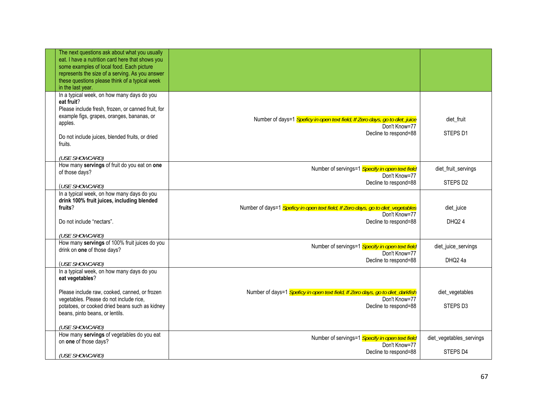| The next questions ask about what you usually<br>eat. I have a nutrition card here that shows you<br>some examples of local food. Each picture<br>represents the size of a serving. As you answer<br>these questions please think of a typical week<br>in the last year. |                                                                                                                            |                                            |
|--------------------------------------------------------------------------------------------------------------------------------------------------------------------------------------------------------------------------------------------------------------------------|----------------------------------------------------------------------------------------------------------------------------|--------------------------------------------|
| In a typical week, on how many days do you<br>eat fruit?<br>Please include fresh, frozen, or canned fruit, for<br>example figs, grapes, oranges, bananas, or<br>apples.<br>Do not include juices, blended fruits, or dried<br>fruits.<br>(USE SHOWCARD)                  | Number of days=1 Speficy in open text field, If Zero days, go to diet_juice<br>Don't Know=77<br>Decline to respond=88      | diet fruit<br>STEPS D1                     |
| How many servings of fruit do you eat on one<br>of those days?<br>(USE SHOWCARD)                                                                                                                                                                                         | Number of servings=1 Specify in open text field<br>Don't Know=77<br>Decline to respond=88                                  | diet_fruit_servings<br>STEPS D2            |
| In a typical week, on how many days do you<br>drink 100% fruit juices, including blended<br>fruits?<br>Do not include "nectars".<br>(USE SHOWCARD)                                                                                                                       | Number of days=1 Speficy in open text field, If Zero days, go to diet_vegetables<br>Don't Know=77<br>Decline to respond=88 | diet_juice<br>DHQ <sub>24</sub>            |
| How many servings of 100% fruit juices do you<br>drink on one of those days?<br>(USE SHOWCARD)                                                                                                                                                                           | Number of servings=1 Specify in open text field<br>Don't Know=77<br>Decline to respond=88                                  | diet_juice_servings<br>DHQ <sub>2</sub> 4a |
| In a typical week, on how many days do you<br>eat vegetables?<br>Please include raw, cooked, canned, or frozen<br>vegetables. Please do not include rice,<br>potatoes, or cooked dried beans such as kidney<br>beans, pinto beans, or lentils.<br>(USE SHOWCARD)         | Number of days=1 Speficy in open text field, If Zero days, go to diet_darkfish<br>Don't Know=77<br>Decline to respond=88   | diet_vegetables<br>STEPS D3                |
| How many servings of vegetables do you eat<br>on one of those days?<br>(USE SHOWCARD)                                                                                                                                                                                    | Number of servings=1 Specify in open text field<br>Don't Know=77<br>Decline to respond=88                                  | diet_vegetables_servings<br>STEPS D4       |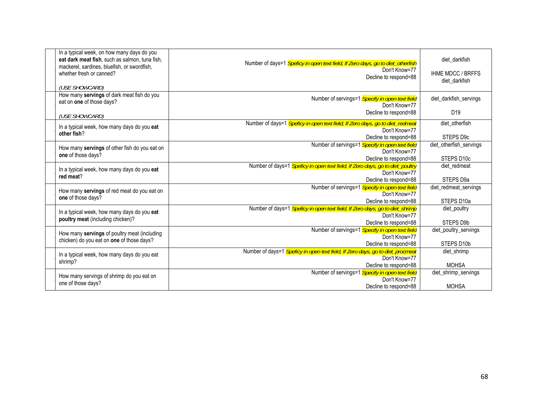| In a typical week, on how many days do you<br>eat dark meat fish, such as salmon, tuna fish,<br>mackerel, sardines, bluefish, or swordfish,<br>whether fresh or canned?<br>(USE SHOWCARD) | Number of days=1 Speficy in open text field, If Zero days, go to diet_otherfish<br>Don't Know=77<br>Decline to respond=88                        | diet darkfish<br><b>IHME MDCC / BRFFS</b><br>diet darkfish |
|-------------------------------------------------------------------------------------------------------------------------------------------------------------------------------------------|--------------------------------------------------------------------------------------------------------------------------------------------------|------------------------------------------------------------|
| How many servings of dark meat fish do you<br>eat on one of those days?                                                                                                                   | Number of servings=1 Specify in open text field<br>Don't Know=77<br>Decline to respond=88                                                        | diet darkfish servings<br>D <sub>19</sub>                  |
| (USE SHOWCARD)                                                                                                                                                                            | Number of days=1 Speficy in open text field, If Zero days, go to diet_redmeat                                                                    | diet otherfish                                             |
| In a typical week, how many days do you eat<br>other fish?                                                                                                                                | Don't Know=77<br>Decline to respond=88                                                                                                           | STEPS D9c                                                  |
| How many servings of other fish do you eat on<br>one of those days?                                                                                                                       | Number of servings=1 Specify in open text field<br>Don't Know=77                                                                                 | diet_otherfish_servings<br>STEPS D <sub>10c</sub>          |
| In a typical week, how many days do you eat<br>red meat?                                                                                                                                  | Decline to respond=88<br>Number of days=1 Speficy in open text field, If Zero days, go to diet_poultry<br>Don't Know=77<br>Decline to respond=88 | diet redmeat<br>STEPS D9a                                  |
| How many servings of red meat do you eat on<br>one of those days?                                                                                                                         | Number of servings=1 Specify in open text field<br>Don't Know=77<br>Decline to respond=88                                                        | diet_redmeat_servings<br>STEPS D <sub>10a</sub>            |
| In a typical week, how many days do you eat<br>poultry meat (including chicken)?                                                                                                          | Number of days=1 Speficy in open text field, If Zero days, go to diet_shrimp<br>Don't Know=77<br>Decline to respond=88                           | diet_poultry<br>STEPS D9b                                  |
| How many servings of poultry meat (including<br>chicken) do you eat on one of those days?                                                                                                 | Number of servings=1 Specify in open text field<br>Don't Know=77<br>Decline to respond=88                                                        | diet poultry servings<br>STEPS D10b                        |
| In a typical week, how many days do you eat<br>shrimp?                                                                                                                                    | Number of days=1 Speficy in open text field, If Zero days, go to diet_procmeat<br>Don't Know=77<br>Decline to respond=88                         | diet shrimp<br><b>MOHSA</b>                                |
| How many servings of shrimp do you eat on<br>one of those days?                                                                                                                           | Number of servings=1 Specify in open text field<br>Don't Know=77<br>Decline to respond=88                                                        | diet_shrimp_servings<br><b>MOHSA</b>                       |
|                                                                                                                                                                                           |                                                                                                                                                  |                                                            |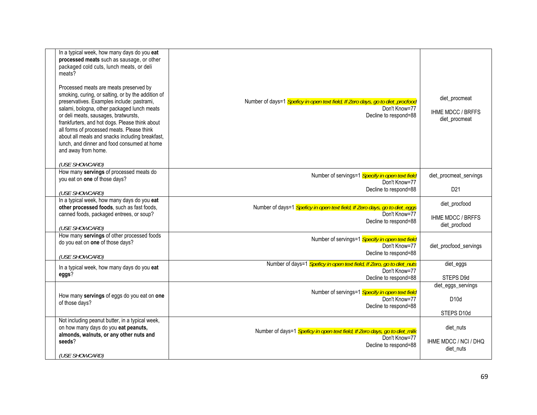| In a typical week, how many days do you eat<br>processed meats such as sausage, or other<br>packaged cold cuts, lunch meats, or deli<br>meats?<br>Processed meats are meats preserved by<br>smoking, curing, or salting, or by the addition of<br>preservatives. Examples include: pastrami,<br>salami, bologna, other packaged lunch meats<br>or deli meats, sausages, bratwursts,<br>frankfurters, and hot dogs. Please think about<br>all forms of processed meats. Please think<br>about all meals and snacks including breakfast,<br>lunch, and dinner and food consumed at home<br>and away from home. | Number of days=1 Speficy in open text field, If Zero days, go to diet_procfood<br>Don't Know=77<br>Decline to respond=88 | diet_procmeat<br><b>IHME MDCC / BRFFS</b><br>diet procmeat |
|--------------------------------------------------------------------------------------------------------------------------------------------------------------------------------------------------------------------------------------------------------------------------------------------------------------------------------------------------------------------------------------------------------------------------------------------------------------------------------------------------------------------------------------------------------------------------------------------------------------|--------------------------------------------------------------------------------------------------------------------------|------------------------------------------------------------|
| (USE SHOWCARD)<br>How many servings of processed meats do                                                                                                                                                                                                                                                                                                                                                                                                                                                                                                                                                    |                                                                                                                          |                                                            |
| you eat on one of those days?                                                                                                                                                                                                                                                                                                                                                                                                                                                                                                                                                                                | Number of servings=1 Specify in open text field<br>Don't Know=77                                                         | diet_procmeat_servings                                     |
| (USE SHOWCARD)                                                                                                                                                                                                                                                                                                                                                                                                                                                                                                                                                                                               | Decline to respond=88                                                                                                    | D <sub>21</sub>                                            |
| In a typical week, how many days do you eat                                                                                                                                                                                                                                                                                                                                                                                                                                                                                                                                                                  |                                                                                                                          | diet_procfood                                              |
| other processed foods, such as fast foods,<br>canned foods, packaged entrees, or soup?                                                                                                                                                                                                                                                                                                                                                                                                                                                                                                                       | Number of days=1 Speficy in open text field, If Zero days, go to diet_eggs<br>Don't Know=77                              | <b>IHME MDCC / BRFFS</b>                                   |
| (USE SHOWCARD)                                                                                                                                                                                                                                                                                                                                                                                                                                                                                                                                                                                               | Decline to respond=88                                                                                                    | diet_procfood                                              |
| How many servings of other processed foods                                                                                                                                                                                                                                                                                                                                                                                                                                                                                                                                                                   | Number of servings=1 Specify in open text field                                                                          |                                                            |
| do you eat on one of those days?                                                                                                                                                                                                                                                                                                                                                                                                                                                                                                                                                                             | Don't Know=77                                                                                                            | diet_procfood_servings                                     |
| (USE SHOWCARD)                                                                                                                                                                                                                                                                                                                                                                                                                                                                                                                                                                                               | Decline to respond=88                                                                                                    |                                                            |
| In a typical week, how many days do you eat                                                                                                                                                                                                                                                                                                                                                                                                                                                                                                                                                                  | Number of days=1 Speficy in open text field, If Zero, go to diet_nuts<br>Don't Know=77                                   | diet_eggs                                                  |
| eggs?                                                                                                                                                                                                                                                                                                                                                                                                                                                                                                                                                                                                        | Decline to respond=88                                                                                                    | STEPS D9d                                                  |
|                                                                                                                                                                                                                                                                                                                                                                                                                                                                                                                                                                                                              | Number of servings=1 Specify in open text field                                                                          | diet_eggs_servings                                         |
| How many servings of eggs do you eat on one<br>of those days?                                                                                                                                                                                                                                                                                                                                                                                                                                                                                                                                                | Don't Know=77                                                                                                            | D10d                                                       |
|                                                                                                                                                                                                                                                                                                                                                                                                                                                                                                                                                                                                              | Decline to respond=88                                                                                                    | STEPS D10d                                                 |
| Not including peanut butter, in a typical week,                                                                                                                                                                                                                                                                                                                                                                                                                                                                                                                                                              |                                                                                                                          |                                                            |
| on how many days do you eat peanuts,<br>almonds, walnuts, or any other nuts and                                                                                                                                                                                                                                                                                                                                                                                                                                                                                                                              | Number of days=1 Speficy in open text field, If Zero days, go to diet_milk<br>Don't Know=77                              | diet_nuts                                                  |
| seeds?                                                                                                                                                                                                                                                                                                                                                                                                                                                                                                                                                                                                       | Decline to respond=88                                                                                                    | IHME MDCC / NCI / DHQ<br>diet_nuts                         |
| (USE SHOWCARD)                                                                                                                                                                                                                                                                                                                                                                                                                                                                                                                                                                                               |                                                                                                                          |                                                            |
|                                                                                                                                                                                                                                                                                                                                                                                                                                                                                                                                                                                                              |                                                                                                                          |                                                            |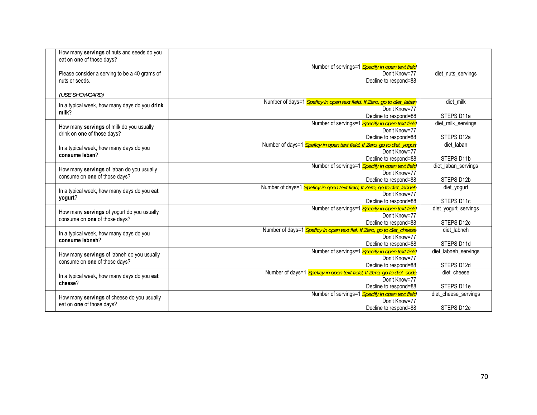| How many servings of nuts and seeds do you<br>eat on one of those days?<br>Please consider a serving to be a 40 grams of<br>nuts or seeds.<br>(USE SHOWCARD) | Number of servings=1 Specify in open text field<br>Don't Know=77<br>Decline to respond=88 | diet_nuts_servings   |
|--------------------------------------------------------------------------------------------------------------------------------------------------------------|-------------------------------------------------------------------------------------------|----------------------|
|                                                                                                                                                              | Number of days=1 Speficy in open text field, If Zero, go to diet_laban                    | diet_milk            |
| In a typical week, how many days do you drink                                                                                                                | Don't Know=77                                                                             |                      |
| milk?                                                                                                                                                        | Decline to respond=88                                                                     | STEPS D11a           |
|                                                                                                                                                              | Number of servings=1 Specify in open text field                                           | diet milk servings   |
| How many servings of milk do you usually                                                                                                                     | Don't Know=77                                                                             |                      |
| drink on one of those days?                                                                                                                                  | Decline to respond=88                                                                     | STEPS D12a           |
|                                                                                                                                                              | Number of days=1 Speficy in open text field, If Zero, go to diet_yogurt                   | diet laban           |
| In a typical week, how many days do you                                                                                                                      | Don't Know=77                                                                             |                      |
| consume laban?                                                                                                                                               | Decline to respond=88                                                                     | STEPS D11b           |
|                                                                                                                                                              | Number of servings=1 Specify in open text field                                           | diet laban servings  |
| How many servings of laban do you usually                                                                                                                    | Don't Know=77                                                                             |                      |
| consume on one of those days?                                                                                                                                | Decline to respond=88                                                                     | STEPS D12b           |
|                                                                                                                                                              | Number of days=1 Speficy in open text field, If Zero, go to diet_labneh                   | diet_yogurt          |
| In a typical week, how many days do you eat                                                                                                                  | Don't Know=77                                                                             |                      |
| yogurt?                                                                                                                                                      | Decline to respond=88                                                                     | STEPS D11c           |
|                                                                                                                                                              | Number of servings=1 Specify in open text field                                           | diet_yogurt_servings |
| How many servings of yogurt do you usually                                                                                                                   | Don't Know=77                                                                             |                      |
| consume on one of those days?                                                                                                                                | Decline to respond=88                                                                     | STEPS D12c           |
|                                                                                                                                                              | Number of days=1 Speficy in open text fiel, If Zero, go to diet_cheese                    | diet labneh          |
| In a typical week, how many days do you<br>consume labneh?                                                                                                   | Don't Know=77                                                                             |                      |
|                                                                                                                                                              | Decline to respond=88                                                                     | STEPS D11d           |
| How many servings of labneh do you usually                                                                                                                   | Number of servings=1 Specify in open text field                                           | diet_labneh_servings |
| consume on one of those days?                                                                                                                                | Don't Know=77                                                                             |                      |
|                                                                                                                                                              | Decline to respond=88                                                                     | STEPS D12d           |
| In a typical week, how many days do you eat                                                                                                                  | Number of days=1 Speficy in open text field, If Zero, go to diet_soda                     | diet cheese          |
| cheese?                                                                                                                                                      | Don't Know=77                                                                             |                      |
|                                                                                                                                                              | Decline to respond=88                                                                     | STEPS D11e           |
| How many servings of cheese do you usually                                                                                                                   | Number of servings=1 Specify in open text field                                           | diet cheese servings |
| eat on one of those days?                                                                                                                                    | Don't Know=77                                                                             |                      |
|                                                                                                                                                              | Decline to respond=88                                                                     | STEPS D12e           |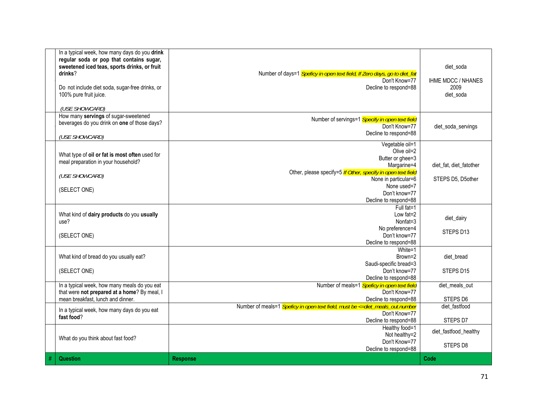|      | In a typical week, how many days do you drink<br>regular soda or pop that contains sugar,<br>sweetened iced teas, sports drinks, or fruit<br>drinks?<br>Do not include diet soda, sugar-free drinks, or<br>100% pure fruit juice.<br>(USE SHOWCARD) | Number of days=1 Speficy in open text field, If Zero days, go to diet_fat<br>Don't Know=77<br>Decline to respond=88                                                                                                | diet soda<br><b>IHME MDCC / NHANES</b><br>2009<br>diet soda |
|------|-----------------------------------------------------------------------------------------------------------------------------------------------------------------------------------------------------------------------------------------------------|--------------------------------------------------------------------------------------------------------------------------------------------------------------------------------------------------------------------|-------------------------------------------------------------|
|      | How many servings of sugar-sweetened<br>beverages do you drink on one of those days?<br>(USE SHOWCARD)                                                                                                                                              | Number of servings=1 Specify in open text field<br>Don't Know=77<br>Decline to respond=88                                                                                                                          | diet_soda_servings                                          |
|      | What type of oil or fat is most often used for<br>meal preparation in your household?<br>(USE SHOWCARD)<br>(SELECT ONE)                                                                                                                             | Vegetable oil=1<br>Olive oil=2<br>Butter or ghee=3<br>Margarine=4<br>Other, please specify=5 If Other, specify in open text field<br>None in particular=6<br>None used=7<br>Don't know=77<br>Decline to respond=88 | diet fat, diet fatother<br>STEPS D5, D5other                |
|      | What kind of dairy products do you usually<br>use?<br>(SELECT ONE)                                                                                                                                                                                  | Full fat=1<br>Low fat=2<br>Nonfat=3<br>No preference=4<br>Don't know=77<br>Decline to respond=88                                                                                                                   | diet_dairy<br>STEPS D13                                     |
|      | What kind of bread do you usually eat?<br>(SELECT ONE)                                                                                                                                                                                              | White=1<br>Brown=2<br>Saudi-specific bread=3<br>Don't know=77<br>Decline to respond=88                                                                                                                             | diet bread<br>STEPS D <sub>15</sub>                         |
|      | In a typical week, how many meals do you eat<br>that were not prepared at a home? By meal, I<br>mean breakfast. lunch and dinner.                                                                                                                   | Number of meals=1 Speficy in open text field<br>Don't Know=77<br>Decline to respond=88                                                                                                                             | diet_meals_out<br>STEPS D6                                  |
|      | In a typical week, how many days do you eat<br>fast food?                                                                                                                                                                                           | Number of meals=1 Speficy in open text field, must be <= diet_meals_out.number<br>Don't Know=77<br>Decline to respond=88                                                                                           | diet fastfood<br>STEPS D7                                   |
|      | What do you think about fast food?                                                                                                                                                                                                                  | Healthy food=1<br>Not healthy=2<br>Don't Know=77<br>Decline to respond=88                                                                                                                                          | diet_fastfood_healthy<br>STEPS D8                           |
| $\#$ | Question                                                                                                                                                                                                                                            | <b>Response</b>                                                                                                                                                                                                    | Code                                                        |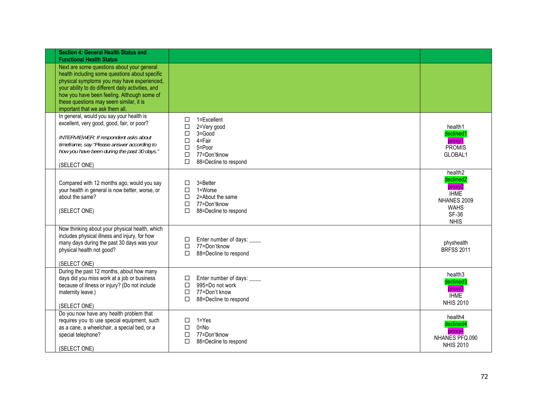| <b>Section 4: General Health Status and</b><br><b>Functional Health Status</b>                                                                                                                                                                                                                                                 |                                                                                                                                                               |                                                                                                                                    |
|--------------------------------------------------------------------------------------------------------------------------------------------------------------------------------------------------------------------------------------------------------------------------------------------------------------------------------|---------------------------------------------------------------------------------------------------------------------------------------------------------------|------------------------------------------------------------------------------------------------------------------------------------|
| Next are some questions about your general<br>health including some questions about specific<br>physical symptoms you may have experienced,<br>your ability to do different daily activities, and<br>how you have been feeling. Although some of<br>these questions may seem similar, it is<br>important that we ask them all. |                                                                                                                                                               |                                                                                                                                    |
| In general, would you say your health is<br>excellent, very good, good, fair, or poor?<br>INTERVIEWER: If respondent asks about<br>timeframe, say "Please answer according to<br>how you have been during the past 30 days."<br>(SELECT ONE)                                                                                   | □<br>1=Excellent<br>$\Box$<br>2=Very good<br>3=Good<br>□<br>$\Box$<br>4=Fair<br>$\Box$<br>5=Poor<br>$\Box$<br>77=Don'tknow<br>$\Box$<br>88=Decline to respond | health1<br>declined1<br>proxy1<br><b>PROMIS</b><br>GLOBAL1                                                                         |
| Compared with 12 months ago, would you say<br>your health in general is now better, worse, or<br>about the same?<br>(SELECT ONE)                                                                                                                                                                                               | 3=Better<br>□<br>□<br>1=Worse<br>$\Box$<br>2=About the same<br>$\Box$<br>77=Don'tknow<br>$\Box$<br>88=Decline to respond                                      | health <sub>2</sub><br>declined <sub>2</sub><br>proxy2<br><b>THME</b><br>NHANES 2009<br><b>WAHS</b><br><b>SF-36</b><br><b>NHIS</b> |
| Now thinking about your physical health, which<br>includes physical illness and injury, for how<br>many days during the past 30 days was your<br>physical health not good?<br>(SELECT ONE)                                                                                                                                     | Enter number of days: ____<br>□<br>77=Don'tknow<br>$\Box$<br>$\Box$<br>88=Decline to respond                                                                  | physhealth<br><b>BRFSS 2011</b>                                                                                                    |
| During the past 12 months, about how many<br>days did you miss work at a job or business<br>because of illness or injury? (Do not include<br>maternity leave.)<br>(SELECT ONE)                                                                                                                                                 | Enter number of days: ____<br>□<br>995=Do not work<br>$\Box$<br>$\Box$<br>77=Don't know<br>$\Box$<br>88=Decline to respond                                    | health <sub>3</sub><br>declined3<br>proxy3<br><b>IHME</b><br><b>NHIS 2010</b>                                                      |
| Do you now have any health problem that<br>requires you to use special equipment, such<br>as a cane, a wheelchair, a special bed, or a<br>special telephone?<br>(SELECT ONE)                                                                                                                                                   | $1 = Yes$<br>$\Box$<br>$\Box$<br>$0 = No$<br>□<br>77=Don'tknow<br>$\Box$<br>88=Decline to respond                                                             | health4<br>declined4<br>proxy4<br>NHANES PFQ.090<br><b>NHIS 2010</b>                                                               |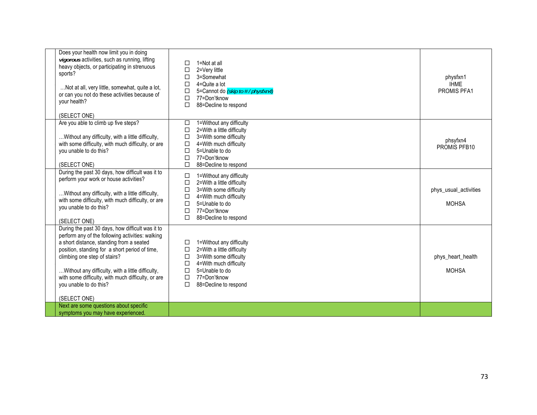| Does your health now limit you in doing<br>vigorous activities, such as running, lifting<br>heavy objects, or participating in strenuous<br>sports?<br>Not at all, very little, somewhat, quite a lot,<br>or can you not do these activities because of<br>your health?                                                                                                                 | □<br>1=Not at all<br>2=Very little<br>□<br>3=Somewhat<br>□<br>4=Quite a lot<br>□<br>$\Box$<br>5=Cannot do (skip to #/physfxn4)<br>$\Box$<br>77=Don'tknow<br>$\Box$<br>88=Decline to respond                                  | physfxn1<br><b>IHME</b><br>PROMIS PFA1 |
|-----------------------------------------------------------------------------------------------------------------------------------------------------------------------------------------------------------------------------------------------------------------------------------------------------------------------------------------------------------------------------------------|------------------------------------------------------------------------------------------------------------------------------------------------------------------------------------------------------------------------------|----------------------------------------|
| (SELECT ONE)<br>Are you able to climb up five steps?<br>Without any difficulty, with a little difficulty,<br>with some difficulty, with much difficulty, or are<br>you unable to do this?<br>(SELECT ONE)                                                                                                                                                                               | 1=Without any difficulty<br>□<br>2=With a little difficulty<br>$\Box$<br>$\Box$<br>3=With some difficulty<br>$\Box$<br>4=With much difficulty<br>5=Unable to do<br>$\Box$<br>77=Don'tknow<br>□<br>П<br>88=Decline to respond | phsyfxn4<br>PROMIS PFB10               |
| During the past 30 days, how difficult was it to<br>perform your work or house activities?<br>Without any difficulty, with a little difficulty,<br>with some difficulty, with much difficulty, or are<br>you unable to do this?<br>(SELECT ONE)                                                                                                                                         | 1=Without any difficulty<br>□<br>2=With a little difficulty<br>$\Box$<br>3=With some difficulty<br>□<br>$\Box$<br>4=With much difficulty<br>5=Unable to do<br>$\Box$<br>77=Don'tknow<br>$\Box$<br>88=Decline to respond<br>□ | phys_usual_activities<br><b>MOHSA</b>  |
| During the past 30 days, how difficult was it to<br>perform any of the following activities: walking<br>a short distance, standing from a seated<br>position, standing for a short period of time,<br>climbing one step of stairs?<br>Without any difficulty, with a little difficulty,<br>with some difficulty, with much difficulty, or are<br>you unable to do this?<br>(SELECT ONE) | 1=Without any difficulty<br>□<br>2=With a little difficulty<br>□<br>3=With some difficulty<br>$\Box$<br>$\Box$<br>4=With much difficulty<br>$\Box$<br>5=Unable to do<br>$\Box$<br>77=Don'tknow<br>□<br>88=Decline to respond | phys_heart_health<br><b>MOHSA</b>      |
| Next are some questions about specific<br>symptoms you may have experienced.                                                                                                                                                                                                                                                                                                            |                                                                                                                                                                                                                              |                                        |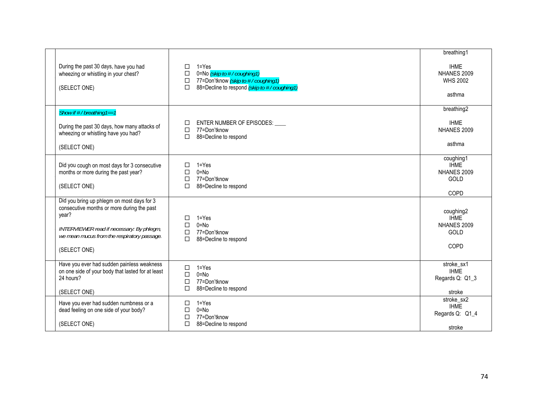| During the past 30 days, have you had<br>wheezing or whistling in your chest?<br>(SELECT ONE)                                                                                                                 | $1 = Yes$<br>$\Box$<br>0=No (skip to #/coughing1)<br>$\Box$<br>□ 77=Don'tknow <i>(skip to # / coughing1)</i><br>88=Decline to respond (skip to #/coughing1)<br>$\Box$ | breathing1<br><b>IHME</b><br>NHANES 2009<br><b>WHS 2002</b><br>asthma |
|---------------------------------------------------------------------------------------------------------------------------------------------------------------------------------------------------------------|-----------------------------------------------------------------------------------------------------------------------------------------------------------------------|-----------------------------------------------------------------------|
| Show if # / breathing1==1<br>During the past 30 days, how many attacks of<br>wheezing or whistling have you had?<br>(SELECT ONE)                                                                              | ENTER NUMBER OF EPISODES: ____<br>□<br>77=Don'tknow<br>$\Box$<br>88=Decline to respond<br>$\Box$                                                                      | breathing2<br><b>IHME</b><br>NHANES 2009<br>asthma                    |
| Did you cough on most days for 3 consecutive<br>months or more during the past year?<br>(SELECT ONE)                                                                                                          | $1 = Yes$<br>□<br>$\Box$<br>$0 = No$<br>77=Don'tknow<br>$\Box$<br>88=Decline to respond<br>П                                                                          | coughing1<br><b>IHME</b><br>NHANES 2009<br>GOLD<br>COPD               |
| Did you bring up phlegm on most days for 3<br>consecutive months or more during the past<br>year?<br>INTERVIEWER read if necessary: By phlegm,<br>we mean mucus from the respiratory passage.<br>(SELECT ONE) | $1 = Yes$<br>□<br>$0 = No$<br>$\Box$<br>77=Don'tknow<br>$\Box$<br>$\Box$<br>88=Decline to respond                                                                     | coughing2<br><b>IHME</b><br>NHANES 2009<br>GOLD<br>COPD               |
| Have you ever had sudden painless weakness<br>on one side of your body that lasted for at least<br>24 hours?<br>(SELECT ONE)                                                                                  | $1 = Yes$<br>$\Box$<br>$0 = No$<br>$\Box$<br>77=Don'tknow<br>$\Box$<br>$\Box$<br>88=Decline to respond                                                                | stroke_sx1<br><b>IHME</b><br>Regards Q: Q1_3<br>stroke                |
| Have you ever had sudden numbness or a<br>dead feeling on one side of your body?<br>(SELECT ONE)                                                                                                              | 1=Yes<br>□<br>$0 = No$<br>□<br>77=Don'tknow<br>$\Box$<br>$\Box$<br>88=Decline to respond                                                                              | stroke_sx2<br><b>IHME</b><br>Regards Q: Q1_4<br>stroke                |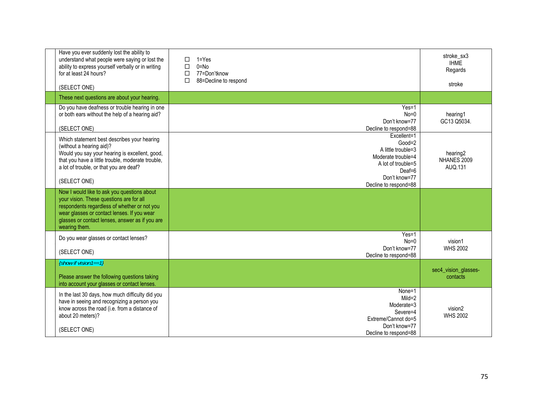| Have you ever suddenly lost the ability to<br>understand what people were saying or lost the<br>ability to express yourself verbally or in writing<br>for at least 24 hours?<br>(SELECT ONE)                                                               | $1 = Yes$<br>П<br>$0 = No$<br>П<br>77=Don'tknow<br>П<br>88=Decline to respond<br>□                                                              | stroke sx3<br><b>IHME</b><br>Regards<br>stroke |
|------------------------------------------------------------------------------------------------------------------------------------------------------------------------------------------------------------------------------------------------------------|-------------------------------------------------------------------------------------------------------------------------------------------------|------------------------------------------------|
| These next questions are about your hearing.                                                                                                                                                                                                               |                                                                                                                                                 |                                                |
| Do you have deafness or trouble hearing in one<br>or both ears without the help of a hearing aid?<br>(SELECT ONE)                                                                                                                                          | $Yes=1$<br>$No=0$<br>Don't know=77<br>Decline to respond=88                                                                                     | hearing1<br>GC13 Q5034.                        |
| Which statement best describes your hearing<br>(without a hearing aid)?<br>Would you say your hearing is excellent, good,<br>that you have a little trouble, moderate trouble,<br>a lot of trouble, or that you are deaf?<br>(SELECT ONE)                  | Excellent=1<br>$Good=2$<br>A little trouble=3<br>Moderate trouble=4<br>A lot of trouble=5<br>$Deaf=6$<br>Don't know=77<br>Decline to respond=88 | hearing <sub>2</sub><br>NHANES 2009<br>AUQ.131 |
| Now I would like to ask you questions about<br>your vision. These questions are for all<br>respondents regardless of whether or not you<br>wear glasses or contact lenses. If you wear<br>glasses or contact lenses, answer as if you are<br>wearing them. |                                                                                                                                                 |                                                |
| Do you wear glasses or contact lenses?<br>(SELECT ONE)                                                                                                                                                                                                     | $Yes=1$<br>$No=0$<br>Don't know=77<br>Decline to respond=88                                                                                     | vision1<br><b>WHS 2002</b>                     |
| $\{Show \ if \ vision 1 == 1\}$<br>Please answer the following questions taking<br>into account your glasses or contact lenses.                                                                                                                            |                                                                                                                                                 | sec4_vision_glasses-<br>contacts               |
| In the last 30 days, how much difficulty did you<br>have in seeing and recognizing a person you<br>know across the road (i.e. from a distance of<br>about 20 meters)?<br>(SELECT ONE)                                                                      | None=1<br>$Mild = 2$<br>Moderate=3<br>Severe=4<br>Extreme/Cannot do=5<br>Don't know=77<br>Decline to respond=88                                 | vision2<br><b>WHS 2002</b>                     |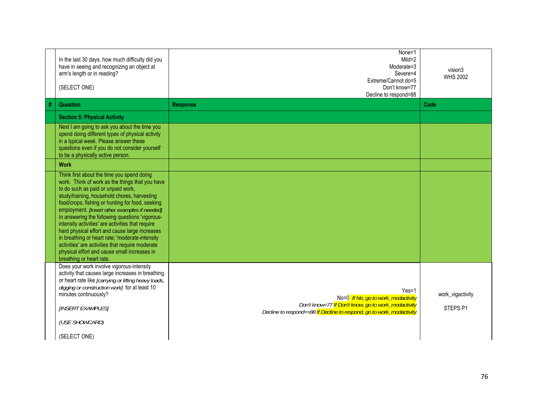|   | In the last 30 days, how much difficulty did you<br>have in seeing and recognizing an object at<br>arm's length or in reading?<br>(SELECT ONE)                                                                                                                                                                                                                                                                                                                                                                                                                                                                                         | None=1<br>$Mild = 2$<br>Moderate=3<br>Severe=4<br>Extreme/Cannot do=5<br>Don't know=77<br>Decline to respond=88                                                              | vision3<br><b>WHS 2002</b>              |
|---|----------------------------------------------------------------------------------------------------------------------------------------------------------------------------------------------------------------------------------------------------------------------------------------------------------------------------------------------------------------------------------------------------------------------------------------------------------------------------------------------------------------------------------------------------------------------------------------------------------------------------------------|------------------------------------------------------------------------------------------------------------------------------------------------------------------------------|-----------------------------------------|
| # | <b>Question</b>                                                                                                                                                                                                                                                                                                                                                                                                                                                                                                                                                                                                                        | <b>Response</b>                                                                                                                                                              | Code                                    |
|   | <b>Section 5: Physical Activity</b>                                                                                                                                                                                                                                                                                                                                                                                                                                                                                                                                                                                                    |                                                                                                                                                                              |                                         |
|   | Next I am going to ask you about the time you<br>spend doing different types of physical activity<br>in a typical week. Please answer these<br>questions even if you do not consider yourself<br>to be a physically active person.                                                                                                                                                                                                                                                                                                                                                                                                     |                                                                                                                                                                              |                                         |
|   | <b>Work</b>                                                                                                                                                                                                                                                                                                                                                                                                                                                                                                                                                                                                                            |                                                                                                                                                                              |                                         |
|   | Think first about the time you spend doing<br>work. Think of work as the things that you have<br>to do such as paid or unpaid work,<br>study/training, household chores, harvesting<br>food/crops, fishing or hunting for food, seeking<br>employment. [Insert other examples if needed].<br>In answering the following questions 'vigorous-<br>intensity activities' are activities that require<br>hard physical effort and cause large increases<br>in breathing or heart rate; 'moderate-intensity<br>activities' are activities that require moderate<br>physical effort and cause small increases in<br>breathing or heart rate. |                                                                                                                                                                              |                                         |
|   | Does your work involve vigorous-intensity<br>activity that causes large increases in breathing<br>or heart rate like [carrying or lifting heavy loads,<br>digging or construction work] for at least 10<br>minutes continuously?<br>[INSERT EXAMPLES]<br>(USE SHOWCARD)<br>(SELECT ONE)                                                                                                                                                                                                                                                                                                                                                | $Yes=1$<br>No=0 If No, go to work_modactivity<br>Don't know=77 If Don't know, go to work_modactivity<br>Decline to respond==88 If Decline to respond, go to work_modactivity | work_vigactivity<br>STEPS <sub>P1</sub> |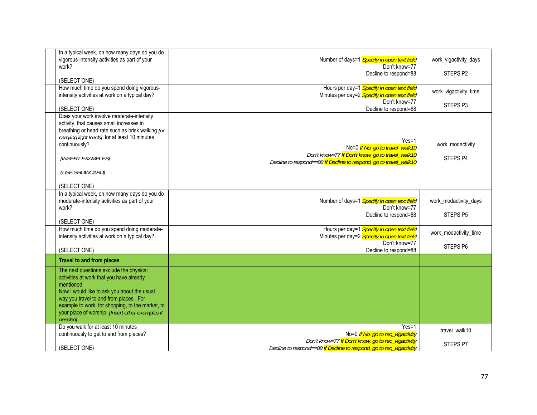| In a typical week, on how many days do you do<br>vigorous-intensity activities as part of your<br>work?<br>(SELECT ONE)<br>How much time do you spend doing vigorous-                                                                                                                                         | Number of days=1 Specify in open text field<br>Don't know=77<br>Decline to respond=88<br>Hours per day=1 Specify in open text field                                 | work_vigactivity_days<br>STEPS <sub>P2</sub><br>work_vigactivity_time |
|---------------------------------------------------------------------------------------------------------------------------------------------------------------------------------------------------------------------------------------------------------------------------------------------------------------|---------------------------------------------------------------------------------------------------------------------------------------------------------------------|-----------------------------------------------------------------------|
| intensity activities at work on a typical day?<br>(SELECT ONE)                                                                                                                                                                                                                                                | Minutes per day=2 Specify in open text field<br>Don't know=77<br>Decline to respond=88                                                                              | STEPS <sub>P3</sub>                                                   |
| Does your work involve moderate-intensity<br>activity, that causes small increases in<br>breathing or heart rate such as brisk walking [or<br>carrying light loads] for at least 10 minutes<br>continuously?<br>[INSERT EXAMPLES]<br>(USE SHOWCARD)<br>(SELECT ONE)                                           | $Yes=1$<br>No=0 If No, go to travel_walk10<br>Don't know=77 If Don't know, go to travel_walk10<br>Decline to respond==88 If Decline to respond, go to travel_walk10 | work_modactivity<br>STEPS <sub>P4</sub>                               |
| In a typical week, on how many days do you do<br>moderate-intensity activities as part of your<br>work?<br>(SELECT ONE)                                                                                                                                                                                       | Number of days=1 Specify in open text field<br>Don't know=77<br>Decline to respond=88                                                                               | work_modactivity_days<br>STEPS <sub>P5</sub>                          |
| How much time do you spend doing moderate-<br>intensity activities at work on a typical day?<br>(SELECT ONE)                                                                                                                                                                                                  | Hours per day=1 Specify in open text field<br>Minutes per day=2 Specify in open text field<br>Don't know=77<br>Decline to respond=88                                | work_modactivity_time<br>STEPS <sub>P6</sub>                          |
| <b>Travel to and from places</b>                                                                                                                                                                                                                                                                              |                                                                                                                                                                     |                                                                       |
| The next questions exclude the physical<br>activities at work that you have already<br>mentioned.<br>Now I would like to ask you about the usual<br>way you travel to and from places. For<br>example to work, for shopping, to the market, to<br>your place of worship. [Insert other examples if<br>neededl |                                                                                                                                                                     |                                                                       |
| Do you walk for at least 10 minutes<br>continuously to get to and from places?                                                                                                                                                                                                                                | $Yes=1$<br>No=0 If No, go to rec_vigactivity                                                                                                                        | travel_walk10                                                         |
| (SELECT ONE)                                                                                                                                                                                                                                                                                                  | Don't know=77 If Don't know, go to rec_vigactivity<br>Decline to respond==88 If Decline to respond, go to rec_vigactivity                                           | STEPS P7                                                              |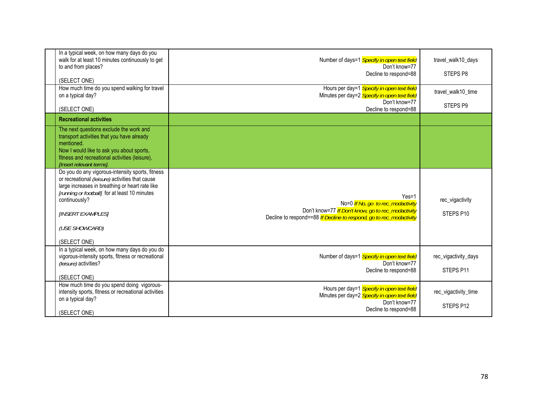| In a typical week, on how many days do you<br>walk for at least 10 minutes continuously to get<br>to and from places?<br>(SELECT ONE)<br>How much time do you spend walking for travel<br>on a typical day?<br>(SELECT ONE)                                                     | Number of days=1 Specify in open text field<br>Don't know=77<br>Decline to respond=88<br>Hours per day=1 Specify in open text field<br>Minutes per day=2 Specify in open text field<br>Don't know=77 | travel_walk10_days<br>STEPS <sub>P8</sub><br>travel_walk10_time<br>STEPS <sub>P9</sub> |
|---------------------------------------------------------------------------------------------------------------------------------------------------------------------------------------------------------------------------------------------------------------------------------|------------------------------------------------------------------------------------------------------------------------------------------------------------------------------------------------------|----------------------------------------------------------------------------------------|
| <b>Recreational activities</b>                                                                                                                                                                                                                                                  | Decline to respond=88                                                                                                                                                                                |                                                                                        |
| The next questions exclude the work and<br>transport activities that you have already<br>mentioned.<br>Now I would like to ask you about sports,<br>fitness and recreational activities (leisure),<br><b>Ilnsert relevant termsl.</b>                                           |                                                                                                                                                                                                      |                                                                                        |
| Do you do any vigorous-intensity sports, fitness<br>or recreational (leisure) activities that cause<br>large increases in breathing or heart rate like<br>[running or football] for at least 10 minutes<br>continuously?<br>[INSERT EXAMPLES]<br>(USE SHOWCARD)<br>(SELECT ONE) | $Yes=1$<br>No=0 If No, go to rec_modactivity<br>Don't know=77 If Don't know, go to rec_modactivity<br>Decline to respond==88 If Decline to respond, go to rec_modactivity                            | rec_vigactivity<br>STEPS P10                                                           |
| In a typical week, on how many days do you do<br>vigorous-intensity sports, fitness or recreational<br>(leisure) activities?<br>(SELECT ONE)                                                                                                                                    | Number of days=1 Specify in open text field<br>Don't know=77<br>Decline to respond=88                                                                                                                | rec_vigactivity_days<br>STEPS P11                                                      |
| How much time do you spend doing vigorous-<br>intensity sports, fitness or recreational activities<br>on a typical day?<br>(SELECT ONE)                                                                                                                                         | Hours per day=1 Specify in open text field<br>Minutes per day=2 Specify in open text field<br>Don't know=77<br>Decline to respond=88                                                                 | rec_vigactivity_time<br>STEPS P12                                                      |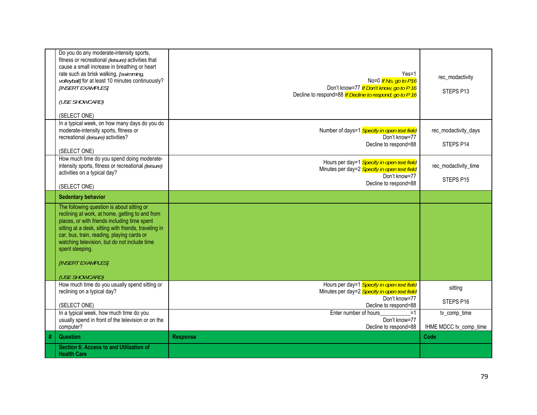|   | Do you do any moderate-intensity sports,              |                                                         |                        |
|---|-------------------------------------------------------|---------------------------------------------------------|------------------------|
|   | fitness or recreational (leisure) activities that     |                                                         |                        |
|   | cause a small increase in breathing or heart          |                                                         |                        |
|   |                                                       |                                                         |                        |
|   | rate such as brisk walking, [swimming,                | $Yes=1$                                                 | rec_modactivity        |
|   | volleyball] for at least 10 minutes continuously?     | No=0 <i>If No, go to P16</i>                            |                        |
|   | <b>[INSERT EXAMPLES]</b>                              | Don't know=77 If Don't know, go to P 16                 | STEPS P13              |
|   |                                                       | Decline to respond=88 If Decline to respond, go to P 16 |                        |
|   | (USE SHOWCARD)                                        |                                                         |                        |
|   |                                                       |                                                         |                        |
|   | (SELECT ONE)                                          |                                                         |                        |
|   | In a typical week, on how many days do you do         |                                                         |                        |
|   |                                                       |                                                         |                        |
|   | moderate-intensity sports, fitness or                 | Number of days=1 Specify in open text field             | rec modactivity days   |
|   | recreational (leisure) activities?                    | Don't know=77                                           |                        |
|   |                                                       | Decline to respond=88                                   | STEPS P14              |
|   | (SELECT ONE)                                          |                                                         |                        |
|   | How much time do you spend doing moderate-            |                                                         |                        |
|   | intensity sports, fitness or recreational (leisure)   | Hours per day=1 Specify in open text field              | rec modactivity time   |
|   | activities on a typical day?                          | Minutes per day=2 Specify in open text field            |                        |
|   |                                                       | Don't know=77                                           | STEPS P15              |
|   | (SELECT ONE)                                          | Decline to respond=88                                   |                        |
|   |                                                       |                                                         |                        |
|   | <b>Sedentary behavior</b>                             |                                                         |                        |
|   | The following question is about sitting or            |                                                         |                        |
|   | reclining at work, at home, getting to and from       |                                                         |                        |
|   | places, or with friends including time spent          |                                                         |                        |
|   | sitting at a desk, sitting with friends, traveling in |                                                         |                        |
|   | car, bus, train, reading, playing cards or            |                                                         |                        |
|   | watching television, but do not include time          |                                                         |                        |
|   |                                                       |                                                         |                        |
|   | spent sleeping.                                       |                                                         |                        |
|   |                                                       |                                                         |                        |
|   | [INSERT EXAMPLES]                                     |                                                         |                        |
|   |                                                       |                                                         |                        |
|   | (USE SHOWCARD)                                        |                                                         |                        |
|   | How much time do you usually spend sitting or         | Hours per day=1 Specify in open text field              |                        |
|   | reclining on a typical day?                           | Minutes per day=2 Specify in open text field            | sitting                |
|   |                                                       | Don't know=77                                           |                        |
|   | (SELECT ONE)                                          | Decline to respond=88                                   | STEPS P16              |
|   | In a typical week, how much time do you               | Enter number of hours<br>$=1$                           | tv_comp_time           |
|   | usually spend in front of the television or on the    | Don't know=77                                           |                        |
|   |                                                       |                                                         |                        |
|   | computer?                                             | Decline to respond=88                                   | IHME MDCC tv_comp_time |
| # | <b>Question</b>                                       | <b>Response</b>                                         | Code                   |
|   | Section 6: Access to and Utilization of               |                                                         |                        |
|   | <b>Health Care</b>                                    |                                                         |                        |
|   |                                                       |                                                         |                        |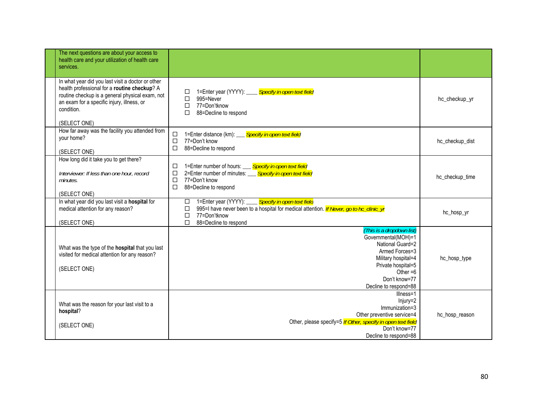| The next questions are about your access to<br>health care and your utilization of health care<br>services.                                                                                                                      |                                                                                                                                                                                                                               |                 |
|----------------------------------------------------------------------------------------------------------------------------------------------------------------------------------------------------------------------------------|-------------------------------------------------------------------------------------------------------------------------------------------------------------------------------------------------------------------------------|-----------------|
| In what year did you last visit a doctor or other<br>health professional for a routine checkup? A<br>routine checkup is a general physical exam, not<br>an exam for a specific injury, illness, or<br>condition.<br>(SELECT ONE) | 1=Enter year (YYYY): Specify in open text field<br>□<br>$\Box$<br>995=Never<br>$\Box$<br>77=Don'tknow<br>П<br>88=Decline to respond                                                                                           | hc_checkup_yr   |
| How far away was the facility you attended from<br>your home?<br>(SELECT ONE)                                                                                                                                                    | 1=Enter distance (km): ___ Specify in open text field<br>□<br>$\Box$<br>77=Don't know<br>$\Box$<br>88=Decline to respond                                                                                                      | hc_checkup_dist |
| How long did it take you to get there?<br>Interviewer: If less than one hour, record<br>minutes.<br>(SELECT ONE)                                                                                                                 | 1=Enter number of hours: ___ Specify in open text field<br>□<br>2=Enter number of minutes: Specify in open text field<br>□<br>$\Box$<br>77=Don't know<br>□<br>88=Decline to respond                                           | hc_checkup_time |
| In what year did you last visit a hospital for<br>medical attention for any reason?<br>(SELECT ONE)                                                                                                                              | 1=Enter year (YYYY): Specify in open text field<br>□<br>995=I have never been to a hospital for medical attention. <i>If Never, go to hc_clinic_yr</i><br>$\Box$<br>$\Box$<br>77=Don'tknow<br>$\Box$<br>88=Decline to respond | hc_hosp_yr      |
| What was the type of the hospital that you last<br>visited for medical attention for any reason?<br>(SELECT ONE)                                                                                                                 | {This is a dropdown list}<br>Governmental(MOH)=1<br>National Guard=2<br>Armed Forces=3<br>Military hospital=4<br>Private hospital=5<br>Other $=6$<br>Don't know=77<br>Decline to respond=88                                   | hc_hosp_type    |
| What was the reason for your last visit to a<br>hospital?<br>(SELECT ONE)                                                                                                                                                        | Illness=1<br>Injury=2<br>Immunization=3<br>Other preventive service=4<br>Other, please specify=5 If Other, specify in open text field<br>Don't know=77<br>Decline to respond=88                                               | hc_hosp_reason  |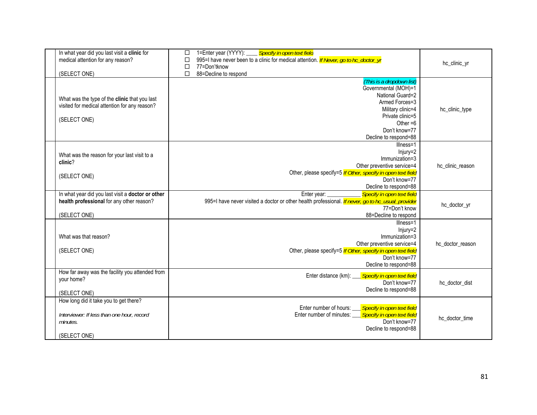| In what year did you last visit a clinic for<br>medical attention for any reason?<br>(SELECT ONE)                | 1=Enter year (YYYY): Specify in open text field<br>□<br>995-I have never been to a clinic for medical attention. If Never, go to hc_doctor_yr<br>□<br>$\Box$<br>77=Don'tknow<br>$\Box$<br>88=Decline to respond | hc_clinic_yr     |
|------------------------------------------------------------------------------------------------------------------|-----------------------------------------------------------------------------------------------------------------------------------------------------------------------------------------------------------------|------------------|
| What was the type of the clinic that you last<br>visited for medical attention for any reason?<br>(SELECT ONE)   | {This is a dropdown list}<br>Governmental (MOH)=1<br>National Guard=2<br>Armed Forces=3<br>Military clinic=4<br>Private clinic=5<br>Other $=6$<br>Don't know=77<br>Decline to respond=88                        | hc_clinic_type   |
| What was the reason for your last visit to a<br>clinic?<br>(SELECT ONE)                                          | Illness=1<br>Injury=2<br>Immunization=3<br>Other preventive service=4<br>Other, please specify=5 If Other, specify in open text field<br>Don't know=77<br>Decline to respond=88                                 | hc_clinic_reason |
| In what year did you last visit a doctor or other<br>health professional for any other reason?<br>(SELECT ONE)   | Specify in open text field<br>Enter year:<br>995=I have never visited a doctor or other health professional. <i>If never, go to hc_usual_provider</i><br>77=Don't know<br>88=Decline to respond                 | hc_doctor_yr     |
| What was that reason?<br>(SELECT ONE)                                                                            | Illness=1<br>Injury=2<br>Immunization=3<br>Other preventive service=4<br>Other, please specify=5 If Other, specify in open text field<br>Don't know=77<br>Decline to respond=88                                 | hc doctor reason |
| How far away was the facility you attended from<br>your home?<br>(SELECT ONE)                                    | Enter distance (km):<br>Specify in open text field<br>Don't know=77<br>Decline to respond=88                                                                                                                    | hc_doctor_dist   |
| How long did it take you to get there?<br>Interviewer: If less than one hour, record<br>minutes.<br>(SELECT ONE) | Enter number of hours: __ Specify in open text field<br>Enter number of minutes: Specify in open text field<br>Don't know=77<br>Decline to respond=88                                                           | hc_doctor_time   |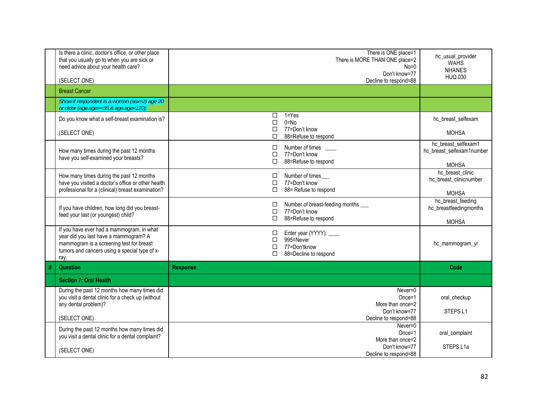|   | Is there a clinic, doctor's office, or other place<br>that you usually go to when you are sick or<br>need advice about your health care?<br>(SELECT ONE)                                | There is ONE place=1<br>There is MORE THAN ONE place=2<br>$No=0$<br>Don't know=77<br>Decline to respond=88 | hc_usual_provider<br><b>WAHS</b><br><b>NHANES</b><br>HUQ.030 |
|---|-----------------------------------------------------------------------------------------------------------------------------------------------------------------------------------------|------------------------------------------------------------------------------------------------------------|--------------------------------------------------------------|
|   | <b>Breast Cancer</b>                                                                                                                                                                    |                                                                                                            |                                                              |
|   | Show if respondent is a woman (sex=2) age 20<br>or older (age.age>=35 & age.age<120):                                                                                                   |                                                                                                            |                                                              |
|   | Do you know what a self-breast examination is?                                                                                                                                          | $1 = Yes$<br>$\Box$<br>$0 = No$<br>□                                                                       | hc breast selfexam                                           |
|   | (SELECT ONE)                                                                                                                                                                            | 77=Don't know<br>□<br>88=Refuse to respond<br>П                                                            | <b>MOHSA</b>                                                 |
|   | How many times during the past 12 months<br>have you self-examined your breasts?                                                                                                        | Number of times<br>□<br>77=Don't know<br>$\Box$<br>88=Refuse to respond<br>п                               | hc breast selfexam1<br>hc_breast_selfexam1number             |
|   | How many times during the past 12 months<br>have you visited a doctor's office or other health                                                                                          | Number of times<br>□<br>77=Don't know<br>$\Box$                                                            | <b>MOHSA</b><br>hc breast clinic<br>hc_breast_clinicnumber   |
|   | professional for a (clinical) breast examination?                                                                                                                                       | 88= Refuse to respond<br>П                                                                                 | <b>MOHSA</b>                                                 |
|   | If you have children, how long did you breast-<br>feed your last (or youngest) child?                                                                                                   | Number of breast-feeding months<br>$\Box$<br>77=Don't know<br>$\Box$<br>88=Refuse to respond<br>п          | hc_breast_feeding<br>hc_breastfeedingmonths                  |
|   | If you have ever had a mammogram, in what<br>year did you last have a mammogram? A<br>mammogram is a screening test for breast<br>tumors and cancers using a special type of x-<br>ray. | Enter year (YYYY): ____<br>□<br>995=Never<br>□<br>77=Don'tknow<br>□<br>88=Decline to respond<br>п          | <b>MOHSA</b><br>hc_mammogram_yr                              |
| # | <b>Question</b>                                                                                                                                                                         | <b>Response</b>                                                                                            | Code                                                         |
|   | <b>Section 7: Oral Health</b>                                                                                                                                                           |                                                                                                            |                                                              |
|   | During the past 12 months how many times did<br>you visit a dental clinic for a check up (without<br>any dental problem)?                                                               | Never=0<br>$Once=1$<br>More than once=2                                                                    | oral checkup                                                 |
|   | (SELECT ONE)                                                                                                                                                                            | Don't know=77<br>Decline to respond=88                                                                     | STEPS <sub>L1</sub>                                          |
|   | During the past 12 months how many times did<br>you visit a dental clinic for a dental complaint?                                                                                       | Never=0<br>$Once=1$<br>More than once=2                                                                    | oral complaint                                               |
|   | (SELECT ONE)                                                                                                                                                                            | Don't know=77<br>Decline to respond=88                                                                     | STEPS L1a                                                    |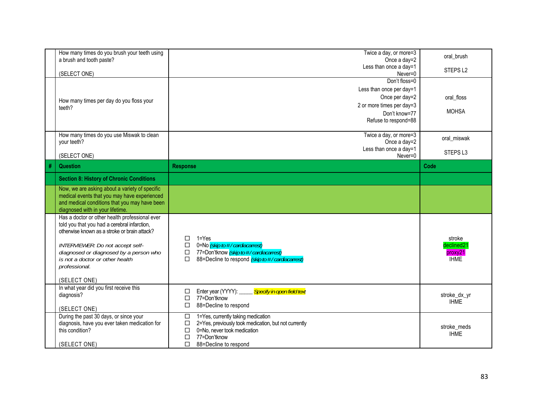|   | How many times do you brush your teeth using<br>a brush and tooth paste?                      | Twice a day, or more=3                                                                                         | oral brush          |
|---|-----------------------------------------------------------------------------------------------|----------------------------------------------------------------------------------------------------------------|---------------------|
|   |                                                                                               | Once a day=2<br>Less than once a day=1                                                                         |                     |
|   | (SELECT ONE)                                                                                  | Never=0                                                                                                        | STEPS <sub>L2</sub> |
|   |                                                                                               | Don't floss=0                                                                                                  |                     |
|   |                                                                                               | Less than once per day=1                                                                                       |                     |
|   | How many times per day do you floss your                                                      | Once per day=2                                                                                                 | oral floss          |
|   | teeth?                                                                                        | 2 or more times per day=3                                                                                      |                     |
|   |                                                                                               | Don't know=77                                                                                                  | <b>MOHSA</b>        |
|   |                                                                                               | Refuse to respond=88                                                                                           |                     |
|   | How many times do you use Miswak to clean                                                     | Twice a day, or more=3                                                                                         |                     |
|   | your teeth?                                                                                   | Once a day=2                                                                                                   | oral miswak         |
|   |                                                                                               | Less than once a day=1                                                                                         | STEPS <sub>L3</sub> |
|   | (SELECT ONE)                                                                                  | Never=0                                                                                                        |                     |
| # | <b>Question</b>                                                                               | <b>Response</b>                                                                                                | Code                |
|   | <b>Section 8: History of Chronic Conditions</b>                                               |                                                                                                                |                     |
|   | Now, we are asking about a variety of specific                                                |                                                                                                                |                     |
|   | medical events that you may have experienced<br>and medical conditions that you may have been |                                                                                                                |                     |
|   | diagnosed with in your lifetime.                                                              |                                                                                                                |                     |
|   | Has a doctor or other health professional ever                                                |                                                                                                                |                     |
|   | told you that you had a cerebral infarction,                                                  |                                                                                                                |                     |
|   | otherwise known as a stroke or brain attack?                                                  | $1 = Yes$<br>П                                                                                                 | stroke              |
|   | INTERVIEWER: Do not accept self-                                                              | 0=No (skip to #/cardiacarrest)<br>□                                                                            | declined21          |
|   | diagnosed or diagnosed by a person who                                                        | 77=Don'tknow (skip to #/ cardiacarrest)<br>$\Box$                                                              | proxy21             |
|   | is not a doctor or other health                                                               | 88=Decline to respond (skip to #/ cardiacarrest)<br>П                                                          | <b>IHME</b>         |
|   | professional.                                                                                 |                                                                                                                |                     |
|   | (SELECT ONE)                                                                                  |                                                                                                                |                     |
|   | In what year did you first receive this                                                       |                                                                                                                |                     |
|   | diagnosis?                                                                                    | Specify in open field text<br>Enter year (YYYY):<br>□<br>77=Don'tknow<br>$\Box$                                | stroke_dx_yr        |
|   |                                                                                               | 88=Decline to respond<br>□                                                                                     | <b>IHME</b>         |
|   | (SELECT ONE)                                                                                  |                                                                                                                |                     |
|   | During the past 30 days, or since your<br>diagnosis, have you ever taken medication for       | 1=Yes, currently taking medication<br>$\Box$<br>2=Yes, previously took medication, but not currently<br>$\Box$ |                     |
|   | this condition?                                                                               | 0=No, never took medication<br>$\Box$                                                                          | stroke meds         |
|   |                                                                                               | 77=Don'tknow<br>$\Box$                                                                                         | <b>IHME</b>         |
|   | (SELECT ONE)                                                                                  | □<br>88=Decline to respond                                                                                     |                     |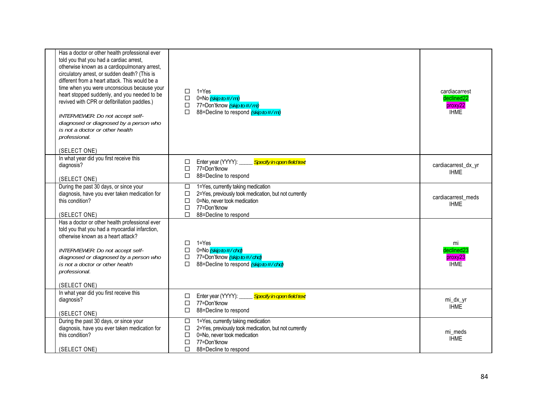| Has a doctor or other health professional ever<br>told you that you had a cardiac arrest,<br>otherwise known as a cardiopulmonary arrest,<br>circulatory arrest, or sudden death? (This is<br>different from a heart attack. This would be a<br>time when you were unconscious because your<br>heart stopped suddenly, and you needed to be<br>revived with CPR or defibrillation paddles.)<br>INTERVIEWER: Do not accept self-<br>diagnosed or diagnosed by a person who<br>is not a doctor or other health<br>professional.<br>(SELECT ONE) | $\Box$<br>$\Box$<br>П                          | $1 = Yes$<br>$\Box$ 0=No (skip to #/mi)<br>77=Don'tknow <i>(skip to #/mi)</i><br>88=Decline to respond (skip to #/mi)                                              | cardiacarrest<br>declined <sub>22</sub><br>proxy22<br><b>IHME</b> |
|-----------------------------------------------------------------------------------------------------------------------------------------------------------------------------------------------------------------------------------------------------------------------------------------------------------------------------------------------------------------------------------------------------------------------------------------------------------------------------------------------------------------------------------------------|------------------------------------------------|--------------------------------------------------------------------------------------------------------------------------------------------------------------------|-------------------------------------------------------------------|
| In what year did you first receive this<br>diagnosis?<br>(SELECT ONE)                                                                                                                                                                                                                                                                                                                                                                                                                                                                         | □<br>$\Box$<br>$\Box$                          | Specify in open field text<br>Enter year (YYYY): _____<br>77=Don'tknow<br>88=Decline to respond                                                                    | cardiacarrest_dx_yr<br><b>IHME</b>                                |
| During the past 30 days, or since your<br>diagnosis, have you ever taken medication for<br>this condition?<br>(SELECT ONE)                                                                                                                                                                                                                                                                                                                                                                                                                    | $\Box$<br>$\Box$<br>□<br>$\Box$<br>П           | 1=Yes, currently taking medication<br>2=Yes, previously took medication, but not currently<br>0=No, never took medication<br>77=Don'tknow<br>88=Decline to respond | cardiacarrest meds<br><b>IHME</b>                                 |
| Has a doctor or other health professional ever<br>told you that you had a myocardial infarction,<br>otherwise known as a heart attack?<br>INTERVIEWER: Do not accept self-<br>diagnosed or diagnosed by a person who<br>is not a doctor or other health<br>professional.<br>(SELECT ONE)                                                                                                                                                                                                                                                      | $\Box$<br>$\Box$<br>$\Box$<br>П                | $1 = Yes$<br>0=No <i>(skip to # / chd)</i><br>77=Don'tknow (skip to #/chd)<br>88=Decline to respond (skip to #/chd)                                                | mi<br>declined23<br>proxy23<br><b>IHME</b>                        |
| In what year did you first receive this<br>diagnosis?<br>(SELECT ONE)                                                                                                                                                                                                                                                                                                                                                                                                                                                                         | □<br>$\Box$<br>$\Box$                          | Enter year (YYYY):<br>Specify in open field text<br>77=Don'tknow<br>88=Decline to respond                                                                          | mi_dx_yr<br><b>IHME</b>                                           |
| During the past 30 days, or since your<br>diagnosis, have you ever taken medication for<br>this condition?<br>(SELECT ONE)                                                                                                                                                                                                                                                                                                                                                                                                                    | $\Box$<br>$\Box$<br>$\Box$<br>$\Box$<br>$\Box$ | 1=Yes, currently taking medication<br>2=Yes, previously took medication, but not currently<br>0=No, never took medication<br>77=Don'tknow<br>88=Decline to respond | mi meds<br><b>IHME</b>                                            |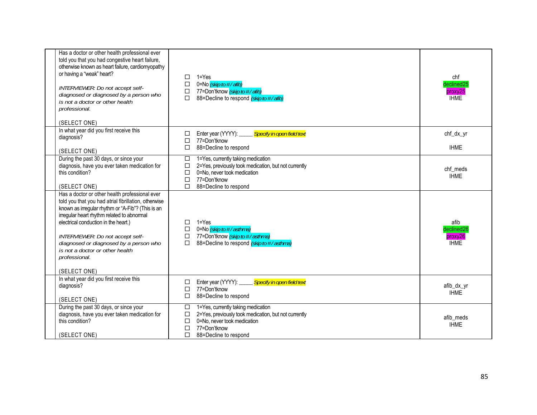| Has a doctor or other health professional ever<br>told you that you had congestive heart failure,<br>otherwise known as heart failure, cardiomyopathy<br>or having a "weak" heart?<br>INTERVIEWER: Do not accept self-<br>diagnosed or diagnosed by a person who<br>is not a doctor or other health                                                                                                 | □<br>□<br>□<br>$\Box$                     | $1 = Yes$<br>0=No (skip to #/afib)<br>77=Don'tknow (skip to #/afib)<br>88=Decline to respond (skip to #/afib)                                                      | chf<br>declined25<br>proxy25<br><b>IHME</b>  |
|-----------------------------------------------------------------------------------------------------------------------------------------------------------------------------------------------------------------------------------------------------------------------------------------------------------------------------------------------------------------------------------------------------|-------------------------------------------|--------------------------------------------------------------------------------------------------------------------------------------------------------------------|----------------------------------------------|
| professional.<br>(SELECT ONE)                                                                                                                                                                                                                                                                                                                                                                       |                                           |                                                                                                                                                                    |                                              |
| In what year did you first receive this<br>diagnosis?<br>(SELECT ONE)                                                                                                                                                                                                                                                                                                                               | □<br>□<br>$\Box$                          | Specify in open field text<br>Enter year (YYYY):<br>77=Don'tknow<br>88=Decline to respond                                                                          | chf_dx_yr<br><b>IHME</b>                     |
| During the past 30 days, or since your<br>diagnosis, have you ever taken medication for<br>this condition?<br>(SELECT ONE)                                                                                                                                                                                                                                                                          | $\Box$<br>$\Box$<br>□<br>$\Box$<br>$\Box$ | 1=Yes, currently taking medication<br>2=Yes, previously took medication, but not currently<br>0=No, never took medication<br>77=Don'tknow<br>88=Decline to respond | chf meds<br><b>IHME</b>                      |
| Has a doctor or other health professional ever<br>told you that you had atrial fibrillation, otherwise<br>known as irregular rhythm or "A-Fib"? (This is an<br>irregular heart rhythm related to abnormal<br>electrical conduction in the heart.)<br>INTERVIEWER: Do not accept self-<br>diagnosed or diagnosed by a person who<br>is not a doctor or other health<br>professional.<br>(SELECT ONE) | □<br>$\Box$<br>$\Box$<br>П                | $1 = Yes$<br>0=No (skip to #/asthma)<br>77=Don'tknow (skip to #/asthma)<br>88=Decline to respond (skip to #/asthma)                                                | afib<br>declined26<br>proxy26<br><b>IHME</b> |
| In what year did you first receive this<br>diagnosis?<br>(SELECT ONE)                                                                                                                                                                                                                                                                                                                               | □<br>$\Box$<br>□                          | Specify in open field text<br>Enter year (YYYY):<br>77=Don'tknow<br>88=Decline to respond                                                                          | afib_dx_yr<br><b>IHME</b>                    |
| During the past 30 days, or since your<br>diagnosis, have you ever taken medication for<br>this condition?                                                                                                                                                                                                                                                                                          | $\Box$<br>□<br>□<br>□                     | 1=Yes, currently taking medication<br>2=Yes, previously took medication, but not currently<br>0=No, never took medication<br>77=Don'tknow                          | afib meds<br><b>IHME</b>                     |
| (SELECT ONE)                                                                                                                                                                                                                                                                                                                                                                                        | □                                         | 88=Decline to respond                                                                                                                                              |                                              |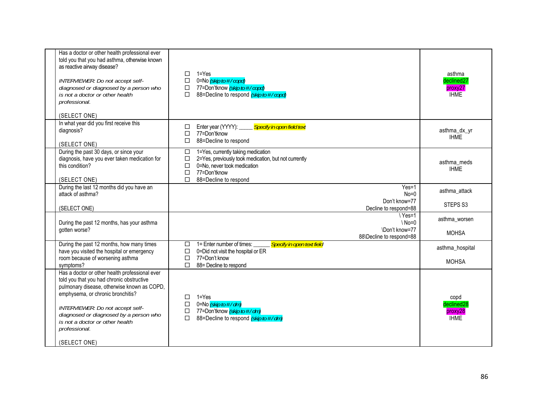| Has a doctor or other health professional ever<br>told you that you had asthma, otherwise known<br>as reactive airway disease?<br>INTERVIEWER: Do not accept self-<br>diagnosed or diagnosed by a person who<br>is not a doctor or other health<br>professional.<br>(SELECT ONE)                                                  | $1 = Yes$<br>$\Box$<br>0=No (skip to #/copd)<br>□<br>77=Don'tknow (skip to #/copd)<br>□<br>$\Box$<br>88=Decline to respond (skip to #/copd)                                                                | asthma<br>declined27<br>proxy27<br><b>IHME</b> |
|-----------------------------------------------------------------------------------------------------------------------------------------------------------------------------------------------------------------------------------------------------------------------------------------------------------------------------------|------------------------------------------------------------------------------------------------------------------------------------------------------------------------------------------------------------|------------------------------------------------|
| In what year did you first receive this<br>diagnosis?<br>(SELECT ONE)                                                                                                                                                                                                                                                             | Specify in open field text<br>Enter year (YYYY): ____<br>$\Box$<br>П<br>77=Don'tknow<br>88=Decline to respond<br>$\Box$                                                                                    | asthma_dx_yr<br><b>IHME</b>                    |
| During the past 30 days, or since your<br>diagnosis, have you ever taken medication for<br>this condition?<br>(SELECT ONE)                                                                                                                                                                                                        | 1=Yes, currently taking medication<br>$\Box$<br>$\Box$<br>2=Yes, previously took medication, but not currently<br>0=No, never took medication<br>$\Box$<br>77=Don'tknow<br>□<br>П<br>88=Decline to respond | asthma meds<br><b>IHME</b>                     |
| During the last 12 months did you have an<br>attack of asthma?                                                                                                                                                                                                                                                                    | $Yes=1$<br>$No=0$<br>Don't know=77                                                                                                                                                                         | asthma_attack<br>STEPS <sub>S3</sub>           |
| (SELECT ONE)                                                                                                                                                                                                                                                                                                                      | Decline to respond=88                                                                                                                                                                                      |                                                |
| During the past 12 months, has your asthma<br>gotten worse?                                                                                                                                                                                                                                                                       | $\sqrt{Yes=1}$<br>$N_0=0$<br>\Don't know=77<br>88\Decline to respond=88                                                                                                                                    | asthma worsen<br><b>MOHSA</b>                  |
| During the past 12 months, how many times<br>have you visited the hospital or emergency<br>room because of worsening asthma<br>symptoms?                                                                                                                                                                                          | 1= Enter number of times:<br>Specify in open text field<br>$\Box$<br>$\Box$<br>0=Did not visit the hospital or ER<br>77=Don't know<br>$\Box$<br>П<br>88= Decline to respond                                | asthma_hospital<br><b>MOHSA</b>                |
| Has a doctor or other health professional ever<br>told you that you had chronic obstructive<br>pulmonary disease, otherwise known as COPD,<br>emphysema, or chronic bronchitis?<br>INTERVIEWER: Do not accept self-<br>diagnosed or diagnosed by a person who<br>is not a doctor or other health<br>professional.<br>(SELECT ONE) | $1 = Yes$<br>□<br>0=No <i>(skip to # / dm)</i><br>$\Box$<br>77=Don'tknow (skip to #/dm)<br>$\Box$<br>88=Decline to respond (skip to #/dm)<br>□                                                             | copd<br>declined28<br>proxy28<br><b>IHME</b>   |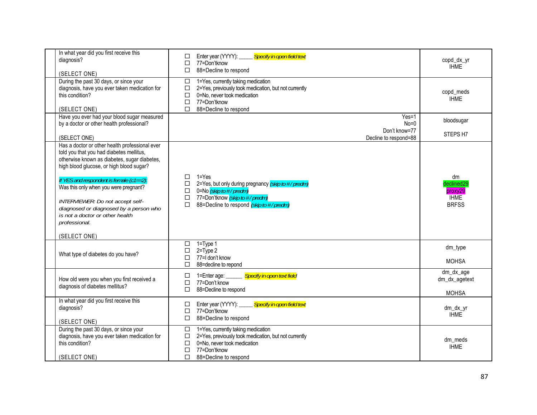| In what year did you first receive this<br>diagnosis?<br>(SELECT ONE)                                                                                                                                                    | Specify in open field text<br>Enter year (YYYY):<br>□<br>77=Don'tknow<br>□<br>88=Decline to respond<br>□                                                                                                       | copd_dx_yr<br><b>IHME</b>                                  |
|--------------------------------------------------------------------------------------------------------------------------------------------------------------------------------------------------------------------------|----------------------------------------------------------------------------------------------------------------------------------------------------------------------------------------------------------------|------------------------------------------------------------|
| During the past 30 days, or since your<br>diagnosis, have you ever taken medication for<br>this condition?<br>(SELECT ONE)                                                                                               | 1=Yes, currently taking medication<br>□<br>2=Yes, previously took medication, but not currently<br>$\Box$<br>0=No. never took medication<br>□<br>$\Box$<br>77=Don'tknow<br>88=Decline to respond<br>п          | copd_meds<br><b>IHME</b>                                   |
| Have you ever had your blood sugar measured<br>by a doctor or other health professional?                                                                                                                                 | $Yes=1$<br>$No=0$<br>Don't know=77                                                                                                                                                                             | bloodsugar<br>STEPS H7                                     |
| (SELECT ONE)<br>Has a doctor or other health professional ever<br>told you that you had diabetes mellitus,<br>otherwise known as diabetes, sugar diabetes,<br>high blood glucose, or high blood sugar?                   | Decline to respond=88                                                                                                                                                                                          |                                                            |
| If YES and respondent is female $(c1 == 2)$ :<br>Was this only when you were pregnant?<br>INTERVIEWER: Do not accept self-<br>diagnosed or diagnosed by a person who<br>is not a doctor or other health<br>professional. | $1 = Yes$<br>□<br>2=Yes, but only during pregnancy (skip to #/predm)<br>□<br>0=No (skip to #/predm)<br>$\Box$<br>77=Don'tknow (skip to #/predm)<br>$\Box$<br>$\Box$<br>88=Decline to respond (skip to #/predm) | dm<br>declined29<br>proxy29<br><b>IHME</b><br><b>BRFSS</b> |
| (SELECT ONE)                                                                                                                                                                                                             |                                                                                                                                                                                                                |                                                            |
| What type of diabetes do you have?                                                                                                                                                                                       | $1 = Type 1$<br>□<br>$\Box$<br>$2 = Type 2$<br>77=I don't know<br>□<br>П<br>88=decline to repond                                                                                                               | dm_type<br><b>MOHSA</b>                                    |
| How old were you when you first received a<br>diagnosis of diabetes mellitus?                                                                                                                                            | Specify in open text field<br>$\Box$<br>1=Enter age:<br>77=Don't know<br>□<br>88=Decline to respond<br>□                                                                                                       | dm_dx_age<br>dm_dx_agetext<br><b>MOHSA</b>                 |
| In what year did you first receive this<br>diagnosis?<br>(SELECT ONE)                                                                                                                                                    | Specify in open field text<br>Enter year (YYYY):<br>□<br>77=Don'tknow<br>$\Box$<br>88=Decline to respond<br>□                                                                                                  | dm dx yr<br><b>IHME</b>                                    |
| During the past 30 days, or since your<br>diagnosis, have you ever taken medication for<br>this condition?<br>(SELECT ONE)                                                                                               | $\Box$<br>1=Yes, currently taking medication<br>2=Yes, previously took medication, but not currently<br>$\Box$<br>0=No, never took medication<br>$\Box$<br>77=Don'tknow<br>□<br>□<br>88=Decline to respond     | dm_meds<br><b>IHME</b>                                     |
|                                                                                                                                                                                                                          |                                                                                                                                                                                                                |                                                            |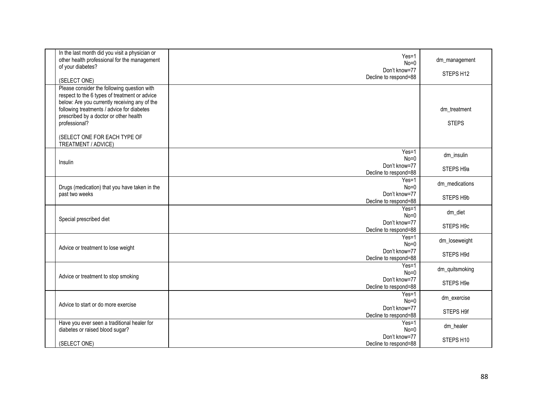| In the last month did you visit a physician or<br>other health professional for the management<br>of your diabetes?<br>(SELECT ONE)                                                                                                                    | $Yes=1$<br>$No=0$<br>Don't know=77<br>Decline to respond=88 | dm_management<br>STEPS H12   |
|--------------------------------------------------------------------------------------------------------------------------------------------------------------------------------------------------------------------------------------------------------|-------------------------------------------------------------|------------------------------|
| Please consider the following question with<br>respect to the 6 types of treatment or advice<br>below: Are you currently receiving any of the<br>following treatments / advice for diabetes<br>prescribed by a doctor or other health<br>professional? |                                                             | dm_treatment<br><b>STEPS</b> |
| (SELECT ONE FOR EACH TYPE OF<br>TREATMENT / ADVICE)                                                                                                                                                                                                    |                                                             |                              |
| Insulin                                                                                                                                                                                                                                                | $Yes=1$<br>$No=0$<br>Don't know=77<br>Decline to respond=88 | dm insulin<br>STEPS H9a      |
| Drugs (medication) that you have taken in the<br>past two weeks                                                                                                                                                                                        | Yes=1<br>$No=0$<br>Don't know=77<br>Decline to respond=88   | dm_medications<br>STEPS H9b  |
| Special prescribed diet                                                                                                                                                                                                                                | Yes=1<br>$No=0$<br>Don't know=77<br>Decline to respond=88   | dm_diet<br>STEPS H9c         |
| Advice or treatment to lose weight                                                                                                                                                                                                                     | $Yes=1$<br>$No=0$<br>Don't know=77<br>Decline to respond=88 | dm_loseweight<br>STEPS H9d   |
| Advice or treatment to stop smoking                                                                                                                                                                                                                    | $Yes=1$<br>$No=0$<br>Don't know=77<br>Decline to respond=88 | dm_quitsmoking<br>STEPS H9e  |
| Advice to start or do more exercise                                                                                                                                                                                                                    | $Yes=1$<br>$No=0$<br>Don't know=77<br>Decline to respond=88 | dm exercise<br>STEPS H9f     |
| Have you ever seen a traditional healer for<br>diabetes or raised blood sugar?                                                                                                                                                                         | $Yes=1$<br>$No=0$                                           | dm_healer                    |
| (SELECT ONE)                                                                                                                                                                                                                                           | Don't know=77<br>Decline to respond=88                      | STEPS H10                    |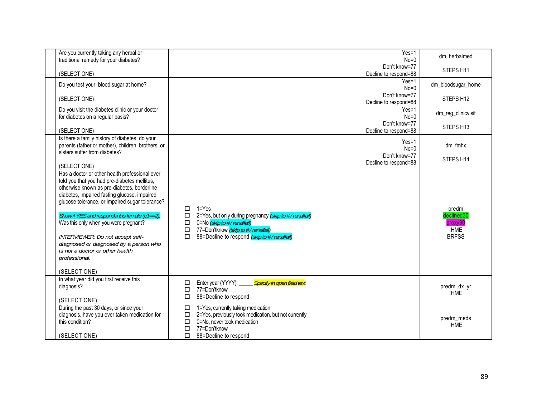| Are you currently taking any herbal or<br>traditional remedy for your diabetes?                                                                                                                                                                                                                                                                                                                                                                                                                              | $Yes=1$<br>$No=0$                                                                                                                                                                                                              | dm herbalmed                                                  |
|--------------------------------------------------------------------------------------------------------------------------------------------------------------------------------------------------------------------------------------------------------------------------------------------------------------------------------------------------------------------------------------------------------------------------------------------------------------------------------------------------------------|--------------------------------------------------------------------------------------------------------------------------------------------------------------------------------------------------------------------------------|---------------------------------------------------------------|
| (SELECT ONE)                                                                                                                                                                                                                                                                                                                                                                                                                                                                                                 | Don't know=77<br>Decline to respond=88                                                                                                                                                                                         | STEPS H11                                                     |
| Do you test your blood sugar at home?                                                                                                                                                                                                                                                                                                                                                                                                                                                                        | $Yes=1$<br>$No=0$                                                                                                                                                                                                              | dm bloodsugar home                                            |
| (SELECT ONE)                                                                                                                                                                                                                                                                                                                                                                                                                                                                                                 | Don't know=77<br>Decline to respond=88                                                                                                                                                                                         | STEPS H12                                                     |
| Do you visit the diabetes clinic or your doctor<br>for diabetes on a regular basis?                                                                                                                                                                                                                                                                                                                                                                                                                          | $Yes=1$<br>$No=0$                                                                                                                                                                                                              | dm_reg_clinicvisit                                            |
| (SELECT ONE)                                                                                                                                                                                                                                                                                                                                                                                                                                                                                                 | Don't know=77<br>Decline to respond=88                                                                                                                                                                                         | STEPS H13                                                     |
| Is there a family history of diabetes, do your<br>parents (father or mother), children, brothers, or<br>sisters suffer from diabetes?                                                                                                                                                                                                                                                                                                                                                                        | Yes=1<br>$No=0$<br>Don't know=77<br>Decline to respond=88                                                                                                                                                                      | dm_fmhx<br>STEPS H14                                          |
| (SELECT ONE)<br>Has a doctor or other health professional ever<br>told you that you had pre-diabetes mellitus,<br>otherwise known as pre-diabetes, borderline<br>diabetes, impaired fasting glucose, impaired<br>glucose tolerance, or impaired sugar tolerance?<br>Show if YES and respondent is female (c1==2):<br>Was this only when you were pregnant?<br>INTERVIEWER: Do not accept self-<br>diagnosed or diagnosed by a person who<br>is not a doctor or other health<br>professional.<br>(SELECT ONE) | $1 = Yes$<br>□<br>2=Yes, but only during pregnancy (skip to #/renalfail)<br>□<br>0=No (skip to #/renalfail)<br>$\Box$<br>$\Box$<br>77=Don'tknow (skip to #/renalfail)<br>88=Decline to respond (skip to #/renalfail)<br>$\Box$ | predm<br>declined30<br>proxy30<br><b>IHME</b><br><b>BRFSS</b> |
| In what year did you first receive this<br>diagnosis?<br>(SELECT ONE)                                                                                                                                                                                                                                                                                                                                                                                                                                        | Specify in open field text<br>Enter year (YYYY): _____<br>□<br>$\Box$<br>77=Don'tknow<br>88=Decline to respond<br>□                                                                                                            | predm_dx_yr<br><b>IHME</b>                                    |
| During the past 30 days, or since your<br>diagnosis, have you ever taken medication for<br>this condition?<br>(SELECT ONE)                                                                                                                                                                                                                                                                                                                                                                                   | 1=Yes, currently taking medication<br>$\Box$<br>2=Yes, previously took medication, but not currently<br>$\Box$<br>0=No, never took medication<br>□<br>□<br>77=Don'tknow<br>□<br>88=Decline to respond                          | predm_meds<br><b>IHME</b>                                     |
|                                                                                                                                                                                                                                                                                                                                                                                                                                                                                                              |                                                                                                                                                                                                                                |                                                               |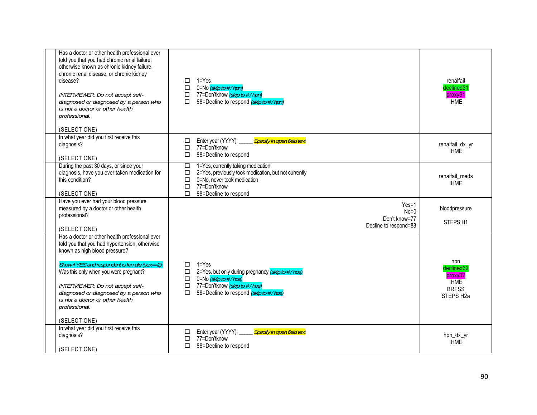| Has a doctor or other health professional ever<br>told you that you had chronic renal failure,<br>otherwise known as chronic kidney failure,<br>chronic renal disease, or chronic kidney<br>disease?<br>INTERVIEWER: Do not accept self-<br>diagnosed or diagnosed by a person who<br>is not a doctor or other health<br>professional.<br>(SELECT ONE)                        | П<br>$\Box$<br>□<br>$\Box$                | $1 = Yes$<br>0=No <i>(skip to # / hpn)</i><br>77=Don'tknow (skip to #/hpn)<br>88=Decline to respond (skip to #/hpn)                                                                                     | renalfail<br>declined31<br>proxy31<br><b>IHME</b>                                    |
|-------------------------------------------------------------------------------------------------------------------------------------------------------------------------------------------------------------------------------------------------------------------------------------------------------------------------------------------------------------------------------|-------------------------------------------|---------------------------------------------------------------------------------------------------------------------------------------------------------------------------------------------------------|--------------------------------------------------------------------------------------|
| In what year did you first receive this<br>diagnosis?<br>(SELECT ONE)                                                                                                                                                                                                                                                                                                         | □<br>$\Box$<br>□                          | Enter year (YYYY):<br>Specify in open field text<br>77=Don'tknow<br>88=Decline to respond                                                                                                               | renalfail_dx_yr<br><b>IHME</b>                                                       |
| During the past 30 days, or since your<br>diagnosis, have you ever taken medication for<br>this condition?<br>(SELECT ONE)                                                                                                                                                                                                                                                    | $\Box$<br>$\Box$<br>$\Box$<br>$\Box$<br>П | 1=Yes, currently taking medication<br>2=Yes, previously took medication, but not currently<br>0=No, never took medication<br>77=Don'tknow<br>88=Decline to respond                                      | renalfail meds<br><b>IHMF</b>                                                        |
| Have you ever had your blood pressure<br>measured by a doctor or other health<br>professional?<br>(SELECT ONE)                                                                                                                                                                                                                                                                |                                           | $Yes=1$<br>$No=0$<br>Don't know=77<br>Decline to respond=88                                                                                                                                             | bloodpressure<br>STEPS <sub>H1</sub>                                                 |
| Has a doctor or other health professional ever<br>told you that you had hypertension, otherwise<br>known as high blood pressure?<br>Show if YES and respondent is female (sex==2):<br>Was this only when you were pregnant?<br>INTERVIEWER: Do not accept self-<br>diagnosed or diagnosed by a person who<br>is not a doctor or other health<br>professional.<br>(SELECT ONE) | □<br>□<br>$\Box$<br>$\Box$<br>П           | $1 = Yes$<br>2=Yes, but only during pregnancy (skip to #/hce)<br>0=No $\overline{\left($ <i>skip to <math>\#</math> / hce)</i><br>77=Don'tknow (skip to #/hce)<br>88=Decline to respond (skip to #/hce) | hpn<br>declined32<br>proxy32<br><b>IHME</b><br><b>BRFSS</b><br>STEPS H <sub>2a</sub> |
| In what year did you first receive this<br>diagnosis?<br>(SELECT ONE)                                                                                                                                                                                                                                                                                                         | □<br>$\Box$<br>П                          | Enter year (YYYY): Specify in open field text<br>77=Don'tknow<br>88=Decline to respond                                                                                                                  | hpn_dx_yr<br><b>IHME</b>                                                             |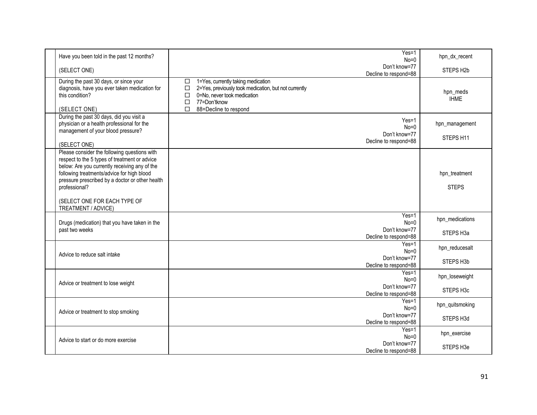| Have you been told in the past 12 months?                                                                                                                                                                                                                                                                               | $Yes=1$<br>$No=0$                                                                                                                                                                                          | hpn_dx_recent                           |
|-------------------------------------------------------------------------------------------------------------------------------------------------------------------------------------------------------------------------------------------------------------------------------------------------------------------------|------------------------------------------------------------------------------------------------------------------------------------------------------------------------------------------------------------|-----------------------------------------|
| (SELECT ONE)                                                                                                                                                                                                                                                                                                            | Don't know=77<br>Decline to respond=88                                                                                                                                                                     | STEPS H <sub>2b</sub>                   |
| During the past 30 days, or since your<br>diagnosis, have you ever taken medication for<br>this condition?<br>(SELECT ONE)                                                                                                                                                                                              | 1=Yes, currently taking medication<br>□<br>$\Box$<br>2=Yes, previously took medication, but not currently<br>0=No, never took medication<br>$\Box$<br>77=Don'tknow<br>$\Box$<br>П<br>88=Decline to respond | hpn_meds<br><b>IHME</b>                 |
| During the past 30 days, did you visit a<br>physician or a health professional for the<br>management of your blood pressure?<br>(SELECT ONE)                                                                                                                                                                            | $Yes=1$<br>$No=0$<br>Don't know=77<br>Decline to respond=88                                                                                                                                                | hpn_management<br>STEPS H11             |
| Please consider the following questions with<br>respect to the 5 types of treatment or advice<br>below: Are you currently receiving any of the<br>following treatments/advice for high blood<br>pressure prescribed by a doctor or other health<br>professional?<br>(SELECT ONE FOR EACH TYPE OF<br>TREATMENT / ADVICE) |                                                                                                                                                                                                            | hpn_treatment<br><b>STEPS</b>           |
| Drugs (medication) that you have taken in the<br>past two weeks                                                                                                                                                                                                                                                         | $Yes=1$<br>$No=0$<br>Don't know=77<br>Decline to respond=88                                                                                                                                                | hpn medications<br>STEPS H3a            |
| Advice to reduce salt intake                                                                                                                                                                                                                                                                                            | $Yes=1$<br>$No=0$<br>Don't know=77<br>Decline to respond=88                                                                                                                                                | hpn_reducesalt<br>STEPS H3b             |
| Advice or treatment to lose weight                                                                                                                                                                                                                                                                                      | $Yes=1$<br>$No=0$<br>Don't know=77<br>Decline to respond=88                                                                                                                                                | hpn_loseweight<br>STEPS H <sub>3c</sub> |
| Advice or treatment to stop smoking                                                                                                                                                                                                                                                                                     | $Yes=1$<br>$No = 0$<br>Don't know=77<br>Decline to respond=88                                                                                                                                              | hpn_quitsmoking<br>STEPS H3d            |
| Advice to start or do more exercise                                                                                                                                                                                                                                                                                     | $Yes=1$<br>$No=0$<br>Don't know=77<br>Decline to respond=88                                                                                                                                                | hpn_exercise<br>STEPS H3e               |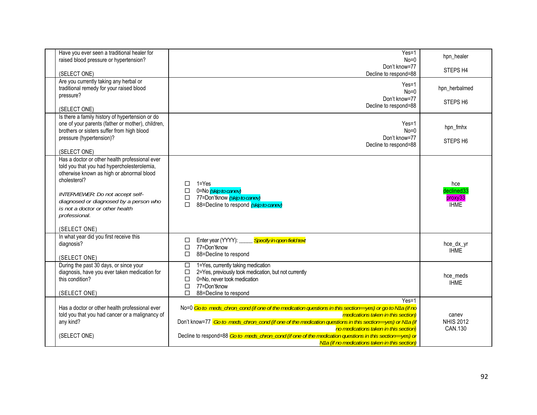| Have you ever seen a traditional healer for<br>raised blood pressure or hypertension?                                                                                                          | $Yes=1$<br>$No=0$                                                                                                                                                                                                                                                                                                                                                                                                          | hpn_healer                           |
|------------------------------------------------------------------------------------------------------------------------------------------------------------------------------------------------|----------------------------------------------------------------------------------------------------------------------------------------------------------------------------------------------------------------------------------------------------------------------------------------------------------------------------------------------------------------------------------------------------------------------------|--------------------------------------|
| (SELECT ONE)                                                                                                                                                                                   | Don't know=77<br>Decline to respond=88                                                                                                                                                                                                                                                                                                                                                                                     | STEPS H4                             |
| Are you currently taking any herbal or<br>traditional remedy for your raised blood                                                                                                             | $Yes=1$<br>$No=0$                                                                                                                                                                                                                                                                                                                                                                                                          | hpn herbalmed                        |
| pressure?<br>(SELECT ONE)                                                                                                                                                                      | Don't know=77<br>Decline to respond=88                                                                                                                                                                                                                                                                                                                                                                                     | STEPS <sub>H6</sub>                  |
| Is there a family history of hypertension or do<br>one of your parents (father or mother), children,<br>brothers or sisters suffer from high blood<br>pressure (hypertension)?<br>(SELECT ONE) | $Yes=1$<br>$No=0$<br>Don't know=77<br>Decline to respond=88                                                                                                                                                                                                                                                                                                                                                                | hpn_fmhx<br>STEPS <sub>H6</sub>      |
| Has a doctor or other health professional ever<br>told you that you had hypercholesterolemia,<br>otherwise known as high or abnormal blood<br>cholesterol?                                     | $1 = Yes$<br>□<br>$\Box$<br>0=No (skip to canev)                                                                                                                                                                                                                                                                                                                                                                           | hce<br>declined33                    |
| INTERVIEWER: Do not accept self-<br>diagnosed or diagnosed by a person who<br>is not a doctor or other health<br>professional.<br>(SELECT ONE)                                                 | 77=Don'tknow (skip to canev)<br>$\Box$<br>П<br>88=Decline to respond (skip to canev)                                                                                                                                                                                                                                                                                                                                       | proxy33<br><b>IHME</b>               |
| In what year did you first receive this<br>diagnosis?<br>(SELECT ONE)                                                                                                                          | Specify in open field text<br>Enter year (YYYY):<br>□<br>$\Box$<br>77=Don'tknow<br>□<br>88=Decline to respond                                                                                                                                                                                                                                                                                                              | hce_dx_yr<br><b>IHME</b>             |
| During the past 30 days, or since your<br>diagnosis, have you ever taken medication for<br>this condition?<br>(SELECT ONE)                                                                     | $\Box$<br>1=Yes, currently taking medication<br>2=Yes, previously took medication, but not currently<br>□<br>0=No, never took medication<br>$\Box$<br>77=Don'tknow<br>$\Box$<br>П<br>88=Decline to respond                                                                                                                                                                                                                 | hce meds<br><b>IHME</b>              |
| Has a doctor or other health professional ever<br>told you that you had cancer or a malignancy of<br>any kind?<br>(SELECT ONE)                                                                 | $Yes=1$<br>No=0 Go to meds_chron_cond (if one of the medication questions in this section==yes) or go to N1a (if no<br>medications taken in this section)<br>Don't know=77 Go to meds_chron_cond (if one of the medication questions in this section==yes) or N1a (if<br>no medications taken in this section)<br>Decline to respond=88 Go to meds_chron_cond (if one of the medication questions in this section==yes) or | canev<br><b>NHIS 2012</b><br>CAN.130 |
|                                                                                                                                                                                                | N1a (if no medications taken in this section)                                                                                                                                                                                                                                                                                                                                                                              |                                      |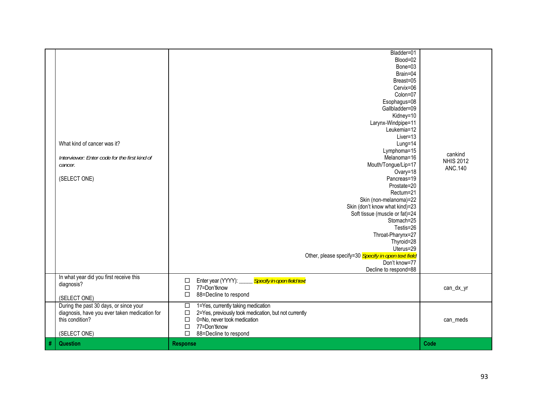| diagnosis, have you ever taken medication for<br>this condition?<br>(SELECT ONE)                                | 2=Yes, previously took medication, but not currently<br>$\Box$<br>0=No, never took medication<br>$\Box$<br>77=Don'tknow<br>$\Box$<br>88=Decline to respond<br>$\Box$                                                                                                                                                                                                                                                                                                                                                                                                   | can_meds                                      |
|-----------------------------------------------------------------------------------------------------------------|------------------------------------------------------------------------------------------------------------------------------------------------------------------------------------------------------------------------------------------------------------------------------------------------------------------------------------------------------------------------------------------------------------------------------------------------------------------------------------------------------------------------------------------------------------------------|-----------------------------------------------|
| In what year did you first receive this<br>diagnosis?<br>(SELECT ONE)<br>During the past 30 days, or since your | Enter year (YYYY): _____ Specify in open field text<br>□<br>77=Don'tknow<br>$\Box$<br>88=Decline to respond<br>□<br>1=Yes, currently taking medication<br>$\Box$                                                                                                                                                                                                                                                                                                                                                                                                       | can_dx_yr                                     |
| What kind of cancer was it?<br>Interviewer: Enter code for the first kind of<br>cancer.<br>(SELECT ONE)         | Blood=02<br>Bone=03<br>Brain=04<br>Breast=05<br>Cervix=06<br>Colon=07<br>Esophagus=08<br>Gallbladder=09<br>Kidney=10<br>Larynx-Windpipe=11<br>Leukemia=12<br>Liver=13<br>Lung=14<br>Lymphoma=15<br>Melanoma=16<br>Mouth/Tongue/Lip=17<br>Ovary=18<br>Pancreas=19<br>Prostate=20<br>Rectum=21<br>Skin (non-melanoma)=22<br>Skin (don't know what kind)=23<br>Soft tissue (muscle or fat)=24<br>Stomach=25<br>Testis=26<br>Throat-Pharynx=27<br>Thyroid=28<br>Uterus=29<br>Other, please specify=30 Specify in open text field<br>Don't know=77<br>Decline to respond=88 | cankind<br><b>NHIS 2012</b><br><b>ANC.140</b> |
|                                                                                                                 | Bladder=01                                                                                                                                                                                                                                                                                                                                                                                                                                                                                                                                                             |                                               |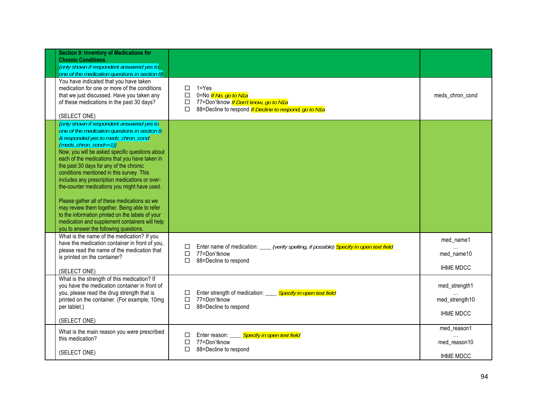| <b>Section 9: Inventory of Medications for</b><br><b>Chronic Conditions</b><br>(only shown if respondent answered yes to<br>one of the medication questions in section 8)                                                                                                                                                                                                                                                                                                                                                                                                                                                                                                                                   |                                                                                                                                                                       |                                                                |
|-------------------------------------------------------------------------------------------------------------------------------------------------------------------------------------------------------------------------------------------------------------------------------------------------------------------------------------------------------------------------------------------------------------------------------------------------------------------------------------------------------------------------------------------------------------------------------------------------------------------------------------------------------------------------------------------------------------|-----------------------------------------------------------------------------------------------------------------------------------------------------------------------|----------------------------------------------------------------|
| You have indicated that you have taken<br>medication for one or more of the conditions<br>that we just discussed. Have you taken any<br>of these medications in the past 30 days?<br>(SELECT ONE)                                                                                                                                                                                                                                                                                                                                                                                                                                                                                                           | $1 = Yes$<br>□<br>0=No If No, go to N1a<br>$\Box$<br>77=Don'tknow If Don't know, go to N1a<br>□<br>88=Decline to respond <i>If Decline to respond, go to N1a</i><br>П | meds_chron_cond                                                |
| (only shown if respondent answered yes to<br>one of the medication questions in section 8<br>& responded yes to meds_chron_cond<br>$(meds\_chron\_cond==1)$<br>Now, you will be asked specific questions about<br>each of the medications that you have taken in<br>the past 30 days for any of the chronic<br>conditions mentioned in this survey. This<br>includes any prescription medications or over-<br>the-counter medications you might have used.<br>Please gather all of these medications so we<br>may review them together. Being able to refer<br>to the information printed on the labels of your<br>medication and supplement containers will help<br>you to answer the following questions. |                                                                                                                                                                       |                                                                |
| What is the name of the medication? If you<br>have the medication container in front of you,<br>please read the name of the medication that<br>is printed on the container?<br>(SELECT ONE)                                                                                                                                                                                                                                                                                                                                                                                                                                                                                                                 | Enter name of medication:<br>verify spelling, if possible) <mark>Specify in open text field</mark><br>п<br>77=Don'tknow<br>□<br>88=Decline to respond<br>п            | med_name1<br>$\cdot$ $\cdot$<br>med name10<br><b>IHME MDCC</b> |
| What is the strength of this medication? If<br>you have the medication container in front of<br>you, please read the drug strength that is<br>printed on the container. (For example, 10mg<br>per tablet.)<br>(SELECT ONE)                                                                                                                                                                                                                                                                                                                                                                                                                                                                                  | Enter strength of medication: ____ Specify in open text field<br>□<br>77=Don'tknow<br>□<br>88=Decline to respond<br>П                                                 | med_strength1<br>med_strength10<br><b>IHME MDCC</b>            |
| What is the main reason you were prescribed<br>this medication?<br>(SELECT ONE)                                                                                                                                                                                                                                                                                                                                                                                                                                                                                                                                                                                                                             | <b>Specify in open text field</b><br>Enter reason:<br>□<br>77=Don'tknow<br>□<br>88=Decline to respond<br>П                                                            | med_reason1<br>med_reason10<br><b>IHME MDCC</b>                |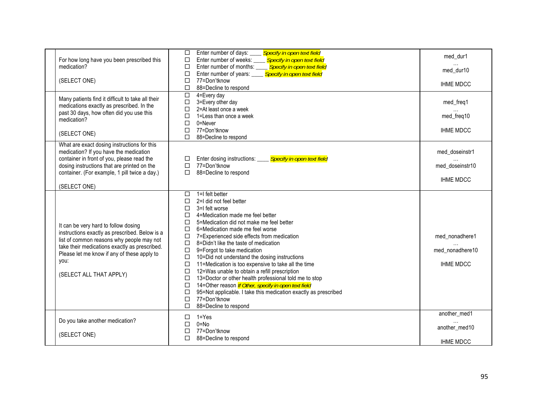| For how long have you been prescribed this<br>medication?<br>(SELECT ONE)                                                                                                                                                                                              | Specify in open text field<br>Enter number of days:<br>$\Box$<br>Enter number of weeks:<br>Specify in open text field<br>□<br>$\Box$<br>Enter number of months:<br>Specify in open text field<br><b>Specify in open text field</b><br>$\Box$<br>Enter number of years:<br>77=Don'tknow<br>$\Box$<br>88=Decline to respond<br>$\Box$<br>$\overline{\square}$<br>4=Every day                                                                                                                                                                                                                                                                                                                                                                                                                                                                         | med_dur1<br>med dur10<br><b>IHME MDCC</b>             |
|------------------------------------------------------------------------------------------------------------------------------------------------------------------------------------------------------------------------------------------------------------------------|----------------------------------------------------------------------------------------------------------------------------------------------------------------------------------------------------------------------------------------------------------------------------------------------------------------------------------------------------------------------------------------------------------------------------------------------------------------------------------------------------------------------------------------------------------------------------------------------------------------------------------------------------------------------------------------------------------------------------------------------------------------------------------------------------------------------------------------------------|-------------------------------------------------------|
| Many patients find it difficult to take all their<br>medications exactly as prescribed. In the<br>past 30 days, how often did you use this<br>medication?<br>(SELECT ONE)                                                                                              | $\Box$<br>3=Every other day<br>$\Box$<br>2=At least once a week<br>$\Box$<br>1=Less than once a week<br>$\Box$<br>0=Never<br>$\Box$<br>77=Don'tknow<br>$\Box$<br>88=Decline to respond                                                                                                                                                                                                                                                                                                                                                                                                                                                                                                                                                                                                                                                             | med_freq1<br>med_freq10<br><b>IHME MDCC</b>           |
| What are exact dosing instructions for this<br>medication? If you have the medication<br>container in front of you, please read the<br>dosing instructions that are printed on the<br>container. (For example, 1 pill twice a day.)<br>(SELECT ONE)                    | <b>Specify in open text field</b><br>Enter dosing instructions: ____<br>$\Box$<br>77=Don'tknow<br>$\Box$<br>$\Box$<br>88=Decline to respond                                                                                                                                                                                                                                                                                                                                                                                                                                                                                                                                                                                                                                                                                                        | med_doseinstr1<br>med doseinstr10<br><b>IHME MDCC</b> |
| It can be very hard to follow dosing<br>instructions exactly as prescribed. Below is a<br>list of common reasons why people may not<br>take their medications exactly as prescribed.<br>Please let me know if any of these apply to<br>you:<br>(SELECT ALL THAT APPLY) | 1=I felt better<br>$\Box$<br>2=I did not feel better<br>Л<br>3=I felt worse<br>$\Box$<br>4=Medication made me feel better<br>□<br>$\Box$<br>5=Medication did not make me feel better<br>$\Box$<br>6=Medication made me feel worse<br>$\Box$<br>7=Experienced side effects from medication<br>$\Box$<br>8=Didn't like the taste of medication<br>$\Box$<br>9=Forgot to take medication<br>10=Did not understand the dosing instructions<br>$\Box$<br>11=Medication is too expensive to take all the time<br>$\Box$<br>12=Was unable to obtain a refill prescription<br>$\Box$<br>13=Doctor or other health professional told me to stop<br>$\Box$<br>14=Other reason If Other, specify in open text field<br>$\Box$<br>95=Not applicable. I take this medication exactly as prescribed<br>$\Box$<br>77=Don'tknow<br>□<br>88=Decline to respond<br>П | med_nonadhere1<br>med nonadhere10<br><b>IHME MDCC</b> |
| Do you take another medication?<br>(SELECT ONE)                                                                                                                                                                                                                        | $1 = Yes$<br>□<br>$0 = No$<br>$\Box$<br>77=Don'tknow<br>$\Box$<br>П<br>88=Decline to respond                                                                                                                                                                                                                                                                                                                                                                                                                                                                                                                                                                                                                                                                                                                                                       | another_med1<br>another_med10<br><b>IHME MDCC</b>     |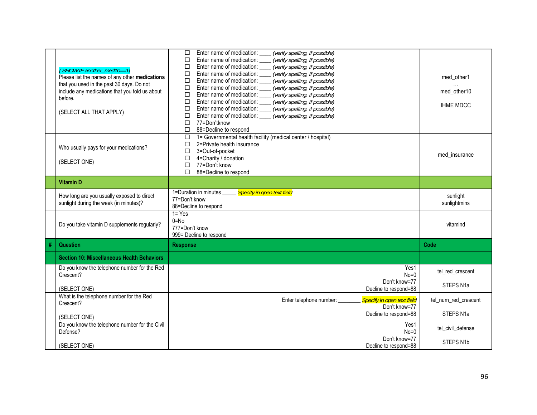|   |                                                                                      | (verify spelling, if possible)<br>$\Box$<br>Enter name of medication:                 |                          |
|---|--------------------------------------------------------------------------------------|---------------------------------------------------------------------------------------|--------------------------|
|   |                                                                                      | (verify spelling, if possible)<br>□<br>Enter name of medication:                      |                          |
|   | {SHOW IF another_med10==1}                                                           | (verify spelling, if possible)<br>□<br>Enter name of medication:                      |                          |
|   | Please list the names of any other medications                                       | (verify spelling, if possible)<br>□<br>Enter name of medication:                      | med other1               |
|   | that you used in the past 30 days. Do not                                            | (verify spelling, if possible)<br>Enter name of medication:<br>□                      |                          |
|   | include any medications that you told us about                                       | $\Box$<br>Enter name of medication:<br>(verify spelling, if possible)                 | med_other10              |
|   | before.                                                                              | (verify spelling, if possible)<br>□<br>Enter name of medication:                      |                          |
|   |                                                                                      | $\Box$<br>Enter name of medication:<br>(verify spelling, if possible)                 | <b>IHME MDCC</b>         |
|   | (SELECT ALL THAT APPLY)                                                              | Enter name of medication:<br>(verify spelling, if possible)<br>□                      |                          |
|   |                                                                                      | □<br>Enter name of medication:<br>(verify spelling, if possible)<br>77=Don'tknow<br>Л |                          |
|   |                                                                                      | □<br>88=Decline to respond                                                            |                          |
|   |                                                                                      | 1= Governmental health facility (medical center / hospital)<br>$\Box$                 |                          |
|   |                                                                                      | □<br>2=Private health insurance                                                       |                          |
|   | Who usually pays for your medications?                                               | $\Box$<br>3=Out-of-pocket                                                             |                          |
|   |                                                                                      | $\Box$<br>4=Charity / donation                                                        | med insurance            |
|   | (SELECT ONE)                                                                         | 77=Don't know<br>$\Box$                                                               |                          |
|   |                                                                                      | П<br>88=Decline to respond                                                            |                          |
|   | <b>Vitamin D</b>                                                                     |                                                                                       |                          |
|   |                                                                                      | 1=Duration in minutes<br>Specify in open text field                                   |                          |
|   | How long are you usually exposed to direct<br>sunlight during the week (in minutes)? | 77=Don't know                                                                         | sunlight<br>sunlightmins |
|   |                                                                                      | 88=Decline to respond                                                                 |                          |
|   |                                                                                      | $1 = Yes$                                                                             |                          |
|   | Do you take vitamin D supplements regularly?                                         | $0 = No$                                                                              | vitamind                 |
|   |                                                                                      | 777=Don't know                                                                        |                          |
|   |                                                                                      | 999= Decline to respond                                                               |                          |
| # | <b>Question</b>                                                                      | <b>Response</b>                                                                       | Code                     |
|   | <b>Section 10: Miscellaneous Health Behaviors</b>                                    |                                                                                       |                          |
|   | Do you know the telephone number for the Red                                         | Yes1                                                                                  |                          |
|   | Crescent?                                                                            | $No=0$                                                                                | tel_red_crescent         |
|   |                                                                                      | Don't know=77                                                                         | STEPS N1a                |
|   | (SELECT ONE)                                                                         | Decline to respond=88                                                                 |                          |
|   | What is the telephone number for the Red                                             | <b>Specify in open text field</b><br>Enter telephone number:                          | tel num red crescent     |
|   | Crescent?                                                                            | Don't know=77                                                                         |                          |
|   | (SELECT ONE)                                                                         | Decline to respond=88                                                                 | STEPS N1a                |
|   | Do you know the telephone number for the Civil                                       | Yes1                                                                                  |                          |
|   | Defense?                                                                             | $No=0$                                                                                | tel_civil_defense        |
|   |                                                                                      |                                                                                       |                          |
|   |                                                                                      | Don't know=77                                                                         | STEPS N1b                |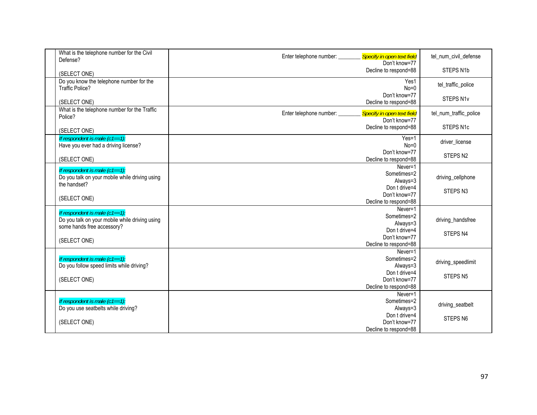| What is the telephone number for the Civil<br>Defense?       | Specify in open text field<br>Enter telephone number: ______ | tel_num_civil_defense  |
|--------------------------------------------------------------|--------------------------------------------------------------|------------------------|
|                                                              | Don't know=77                                                |                        |
| (SELECT ONE)                                                 | Decline to respond=88                                        | STEPS N1b              |
| Do you know the telephone number for the                     | Yes1                                                         | tel_traffic_police     |
| <b>Traffic Police?</b>                                       | $No=0$                                                       |                        |
|                                                              | Don't know=77                                                | STEPS N1v              |
| (SELECT ONE)<br>What is the telephone number for the Traffic | Decline to respond=88                                        |                        |
| Police?                                                      | Enter telephone number:<br>Specify in open text field        | tel_num_traffic_police |
|                                                              | Don't know=77                                                |                        |
| (SELECT ONE)                                                 | Decline to respond=88                                        | STEPS N1c              |
| If respondent is male $(c1 == 1)$ :                          | $Yes=1$                                                      | driver license         |
| Have you ever had a driving license?                         | $No=0$<br>Don't know=77                                      |                        |
| (SELECT ONE)                                                 | Decline to respond=88                                        | STEPS N <sub>2</sub>   |
|                                                              | Never=1                                                      |                        |
| If respondent is male $(c1 == 1)$ :                          | Sometimes=2                                                  |                        |
| Do you talk on your mobile while driving using               | Always=3                                                     | driving_cellphone      |
| the handset?                                                 | Don t drive=4                                                | STEPS <sub>N3</sub>    |
| (SELECT ONE)                                                 | Don't know=77                                                |                        |
|                                                              | Decline to respond=88                                        |                        |
| If respondent is male $(c1 == 1)$ :                          | Never=1                                                      |                        |
| Do you talk on your mobile while driving using               | Sometimes=2                                                  | driving_handsfree      |
| some hands free accessory?                                   | Always=3                                                     |                        |
|                                                              | Don t drive=4<br>Don't know=77                               | STEPS <sub>N4</sub>    |
| (SELECT ONE)                                                 | Decline to respond=88                                        |                        |
|                                                              | Never=1                                                      |                        |
| If respondent is male $(c1 == 1)$ :                          | Sometimes=2                                                  |                        |
| Do you follow speed limits while driving?                    | Always=3                                                     | driving_speedlimit     |
|                                                              | Don t drive=4                                                |                        |
| (SELECT ONE)                                                 | Don't know=77                                                | STEPS <sub>N5</sub>    |
|                                                              | Decline to respond=88                                        |                        |
|                                                              | Never=1                                                      |                        |
| If respondent is male $(c1 == 1)$ :                          | Sometimes=2                                                  | driving_seatbelt       |
| Do you use seatbelts while driving?                          | Always=3                                                     |                        |
|                                                              | Don t drive=4                                                | STEPS N6               |
| (SELECT ONE)                                                 | Don't know=77                                                |                        |
|                                                              | Decline to respond=88                                        |                        |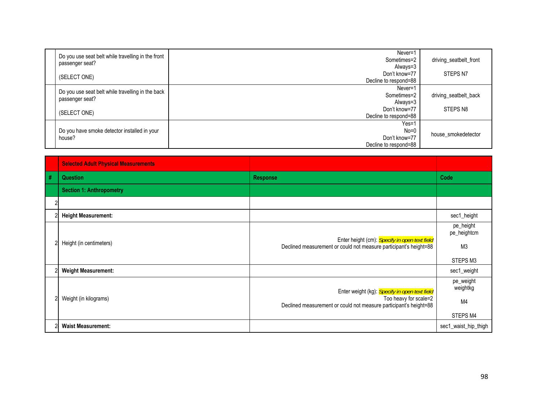| Do you use seat belt while travelling in the front<br>passenger seat?<br>(SELECT ONE) | Never=1<br>Sometimes=2<br>Always=3<br>Don't know=77         | driving_seatbelt_front<br>STEPS N7 |
|---------------------------------------------------------------------------------------|-------------------------------------------------------------|------------------------------------|
|                                                                                       | Decline to respond=88                                       |                                    |
| Do you use seat belt while travelling in the back<br>passenger seat?                  | Never=1<br>Sometimes=2<br>Always=3                          | driving_seatbelt_back              |
| (SELECT ONE)                                                                          | Don't know=77<br>Decline to respond=88                      | STEPS N8                           |
| Do you have smoke detector installed in your<br>house?                                | $Yes=1$<br>$No=0$<br>Don't know=77<br>Decline to respond=88 | house_smokedetector                |

|   | <b>Selected Adult Physical Measurements</b> |                                                                                                                                             |                                                        |
|---|---------------------------------------------|---------------------------------------------------------------------------------------------------------------------------------------------|--------------------------------------------------------|
| # | <b>Question</b>                             | <b>Response</b>                                                                                                                             | Code                                                   |
|   | <b>Section 1: Anthropometry</b>             |                                                                                                                                             |                                                        |
|   |                                             |                                                                                                                                             |                                                        |
|   | <b>Height Measurement:</b>                  |                                                                                                                                             | sec1_height                                            |
|   | Height (in centimeters)                     | Enter height (cm): Specify in open text field<br>Declined measurement or could not measure participant's height=88                          | pe_height<br>pe_heightcm<br>M <sub>3</sub><br>STEPS M3 |
|   | <b>Weight Measurement:</b>                  |                                                                                                                                             | sec1_weight                                            |
|   | Weight (in kilograms)                       | Enter weight (kg): Specify in open text field<br>Too heavy for scale=2<br>Declined measurement or could not measure participant's height=88 | pe_weight<br>weightkg<br>M <sub>4</sub><br>STEPS M4    |
|   | <b>Waist Measurement:</b>                   |                                                                                                                                             | sec1_waist_hip_thigh                                   |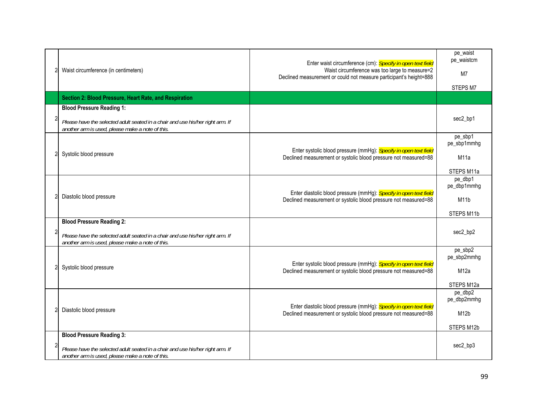| Waist circumference (in centimeters)                                                                                               | Enter waist circumference (cm): Specify in open text field<br>Waist circumference was too large to measure=2<br>Declined measurement or could not measure participant's height=888 | pe_waist<br>pe_waistcm<br>M <sub>7</sub><br>STEPS M7 |
|------------------------------------------------------------------------------------------------------------------------------------|------------------------------------------------------------------------------------------------------------------------------------------------------------------------------------|------------------------------------------------------|
| Section 2: Blood Pressure, Heart Rate, and Respiration                                                                             |                                                                                                                                                                                    |                                                      |
| <b>Blood Pressure Reading 1:</b>                                                                                                   |                                                                                                                                                                                    |                                                      |
| Please have the selected adult seated in a chair and use his/her right arm. If<br>another arm is used, please make a note of this. |                                                                                                                                                                                    | sec2_bp1                                             |
|                                                                                                                                    |                                                                                                                                                                                    | pe_sbp1<br>pe_sbp1mmhg                               |
| Systolic blood pressure                                                                                                            | Enter systolic blood pressure (mmHg): Specify in open text field<br>Declined measurement or systolic blood pressure not measured=88                                                | M <sub>11</sub> a                                    |
|                                                                                                                                    |                                                                                                                                                                                    | STEPS M11a                                           |
|                                                                                                                                    |                                                                                                                                                                                    | pe_dbp1<br>pe_dbp1mmhg                               |
| Diastolic blood pressure                                                                                                           | Enter diastolic blood pressure (mmHg): Specify in open text field<br>Declined measurement or systolic blood pressure not measured=88                                               | M11b                                                 |
|                                                                                                                                    |                                                                                                                                                                                    | STEPS M11b                                           |
| <b>Blood Pressure Reading 2:</b>                                                                                                   |                                                                                                                                                                                    |                                                      |
| Please have the selected adult seated in a chair and use his/her right arm. If<br>another arm is used, please make a note of this. |                                                                                                                                                                                    | sec2_bp2                                             |
|                                                                                                                                    |                                                                                                                                                                                    | pe_sbp2<br>pe_sbp2mmhg                               |
| Systolic blood pressure                                                                                                            | Enter systolic blood pressure (mmHg): Specify in open text field<br>Declined measurement or systolic blood pressure not measured=88                                                | M12a                                                 |
|                                                                                                                                    |                                                                                                                                                                                    | STEPS M12a                                           |
|                                                                                                                                    |                                                                                                                                                                                    | pe_dbp2<br>pe_dbp2mmhg                               |
| Diastolic blood pressure                                                                                                           | Enter diastolic blood pressure (mmHg): Specify in open text field                                                                                                                  |                                                      |
|                                                                                                                                    | Declined measurement or systolic blood pressure not measured=88                                                                                                                    | M <sub>12</sub> b                                    |
|                                                                                                                                    |                                                                                                                                                                                    | STEPS M12b                                           |
| <b>Blood Pressure Reading 3:</b>                                                                                                   |                                                                                                                                                                                    | sec2_bp3                                             |
| Please have the selected adult seated in a chair and use his/her right arm. If<br>another arm is used, please make a note of this. |                                                                                                                                                                                    |                                                      |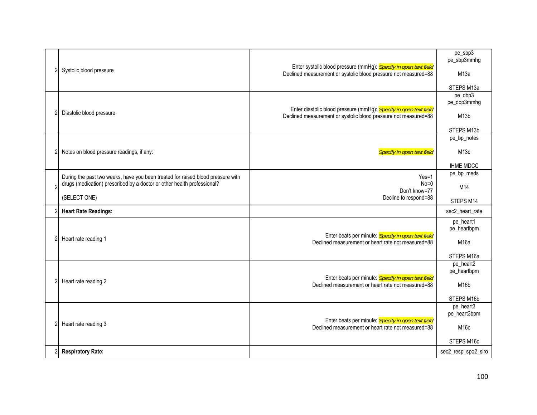| Systolic blood pressure                                                                                                                                    | Enter systolic blood pressure (mmHg): Specify in open text field  | $pe\_sbp3$<br>pe_sbp3mmhg |
|------------------------------------------------------------------------------------------------------------------------------------------------------------|-------------------------------------------------------------------|---------------------------|
|                                                                                                                                                            | Declined measurement or systolic blood pressure not measured=88   | M13a                      |
|                                                                                                                                                            |                                                                   | STEPS M13a                |
|                                                                                                                                                            |                                                                   | pe_dbp3                   |
|                                                                                                                                                            | Enter diastolic blood pressure (mmHg): Specify in open text field | pe_dbp3mmhg               |
| Diastolic blood pressure                                                                                                                                   | Declined measurement or systolic blood pressure not measured=88   | M <sub>13</sub> b         |
|                                                                                                                                                            |                                                                   | STEPS M13b                |
|                                                                                                                                                            |                                                                   | pe_bp_notes               |
| Notes on blood pressure readings, if any:                                                                                                                  | Specify in open text field                                        | M13c                      |
|                                                                                                                                                            |                                                                   | <b>IHME MDCC</b>          |
|                                                                                                                                                            |                                                                   | pe_bp_meds                |
| During the past two weeks, have you been treated for raised blood pressure with<br>drugs (medication) prescribed by a doctor or other health professional? | $Yes=1$<br>$No=0$                                                 | M14                       |
|                                                                                                                                                            | Don't know=77                                                     |                           |
| (SELECT ONE)                                                                                                                                               | Decline to respond=88                                             | STEPS M14                 |
| <b>Heart Rate Readings:</b>                                                                                                                                |                                                                   | sec2_heart_rate           |
|                                                                                                                                                            |                                                                   | pe_heart1<br>pe_heartbpm  |
| Heart rate reading 1                                                                                                                                       | Enter beats per minute: Specify in open text field                |                           |
|                                                                                                                                                            | Declined measurement or heart rate not measured=88                | M16a                      |
|                                                                                                                                                            |                                                                   | STEPS M16a                |
|                                                                                                                                                            |                                                                   | pe heart2<br>pe_heartbpm  |
| Heart rate reading 2                                                                                                                                       | Enter beats per minute: Specify in open text field                |                           |
|                                                                                                                                                            | Declined measurement or heart rate not measured=88                | M <sub>16</sub> b         |
|                                                                                                                                                            |                                                                   | STEPS M16b                |
|                                                                                                                                                            |                                                                   | pe_heart3<br>pe_heart3bpm |
| Heart rate reading 3                                                                                                                                       | Enter beats per minute: Specify in open text field                |                           |
|                                                                                                                                                            | Declined measurement or heart rate not measured=88                | M16c                      |
|                                                                                                                                                            |                                                                   | STEPS M16c                |
| <b>Respiratory Rate:</b>                                                                                                                                   |                                                                   | sec2_resp_spo2_siro       |
|                                                                                                                                                            |                                                                   |                           |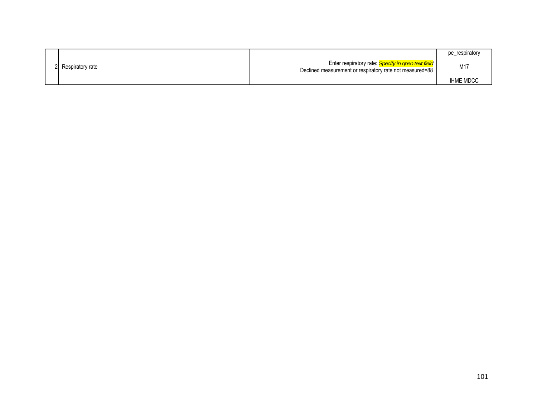|                    |                                                                                                                       | pe_respiratory   |
|--------------------|-----------------------------------------------------------------------------------------------------------------------|------------------|
| 2 Respiratory rate | Enter respiratory rate: <i>Specify in open text field</i><br>Declined measurement or respiratory rate not measured=88 | M17              |
|                    |                                                                                                                       | <b>IHME MDCC</b> |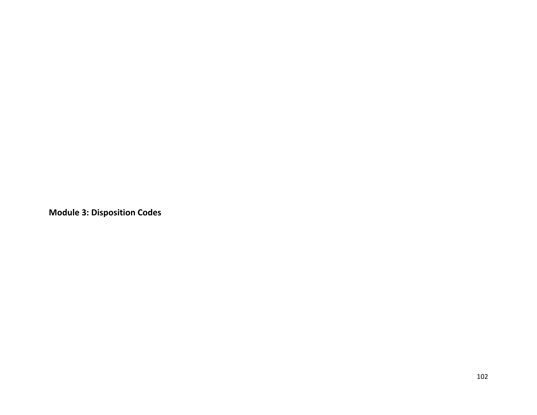**Module 3: Disposition Codes**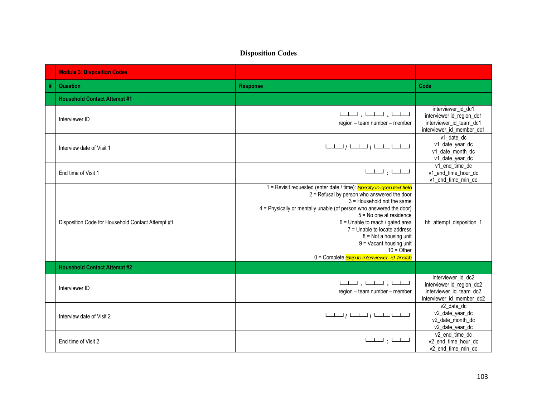## **Disposition Codes**

|   | <b>Module 3: Disposition Codes</b>                |                                                                                                                                                                                                                                                                                                                                                                                                                                                              |                                                                                                         |
|---|---------------------------------------------------|--------------------------------------------------------------------------------------------------------------------------------------------------------------------------------------------------------------------------------------------------------------------------------------------------------------------------------------------------------------------------------------------------------------------------------------------------------------|---------------------------------------------------------------------------------------------------------|
| # | <b>Question</b>                                   | <b>Response</b>                                                                                                                                                                                                                                                                                                                                                                                                                                              | Code                                                                                                    |
|   | <b>Household Contact Attempt #1</b>               |                                                                                                                                                                                                                                                                                                                                                                                                                                                              |                                                                                                         |
|   | Interviewer ID                                    | المسلمين والمسلمين والمسلمينا<br>region - team number - member                                                                                                                                                                                                                                                                                                                                                                                               | interviewer id dc1<br>interviewer id_region_dc1<br>interviewer id team dc1<br>interviewer_id_member_dc1 |
|   | Interview date of Visit 1                         | لتسليبا والمسلسل المسلسل                                                                                                                                                                                                                                                                                                                                                                                                                                     | v1 date dc<br>v1_date_year_dc<br>v1_date_month_dc<br>v1_date_year_dc                                    |
|   | End time of Visit 1                               |                                                                                                                                                                                                                                                                                                                                                                                                                                                              | v1 end time dc<br>v1_end_time_hour_dc<br>v1_end_time_min_dc                                             |
|   | Disposition Code for Household Contact Attempt #1 | 1 = Revisit requested (enter date / time): Specify in open text field<br>2 = Refusal by person who answered the door<br>$3$ = Household not the same<br>4 = Physically or mentally unable (of person who answered the door)<br>$5 = No$ one at residence<br>6 = Unable to reach / gated area<br>7 = Unable to locate address<br>$8 = Not$ a housing unit<br>$9$ = Vacant housing unit<br>$10 =$ Other<br>0 = Complete <i>Skip to interiviewer_id_finaldc</i> | hh_attempt_disposition_1                                                                                |
|   | <b>Household Contact Attempt #2</b>               |                                                                                                                                                                                                                                                                                                                                                                                                                                                              |                                                                                                         |
|   | Interviewer ID                                    | المسلمين والمسلمين والمسلمينا<br>region - team number - member                                                                                                                                                                                                                                                                                                                                                                                               | interviewer id dc2<br>interviewer id_region_dc2<br>interviewer id team dc2<br>interviewer_id_member_dc2 |
|   | Interview date of Visit 2                         | لتسليبنا والمسلسل والمسلسل                                                                                                                                                                                                                                                                                                                                                                                                                                   | v2 date dc<br>v2_date_year_dc<br>v2 date month dc<br>v2_date_year_dc                                    |
|   | End time of Visit 2                               | المسلسان المسلسا                                                                                                                                                                                                                                                                                                                                                                                                                                             | v2 end time dc<br>v2_end_time_hour_dc<br>v2_end_time_min_dc                                             |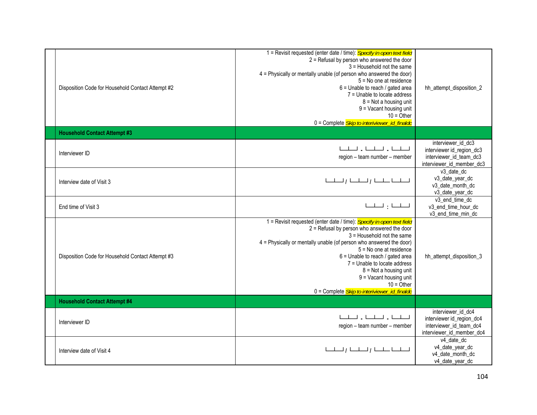| Disposition Code for Household Contact Attempt #2 | 1 = Revisit requested (enter date / time): Specify in open text field<br>2 = Refusal by person who answered the door<br>3 = Household not the same<br>4 = Physically or mentally unable (of person who answered the door)<br>5 = No one at residence<br>6 = Unable to reach / gated area<br>7 = Unable to locate address<br>$8 = Not$ a housing unit<br>9 = Vacant housing unit<br>$10 =$ Other<br>0 = Complete <i>Skip to interiviewer_id_finaldc</i>   | hh_attempt_disposition_2                                                                                |
|---------------------------------------------------|----------------------------------------------------------------------------------------------------------------------------------------------------------------------------------------------------------------------------------------------------------------------------------------------------------------------------------------------------------------------------------------------------------------------------------------------------------|---------------------------------------------------------------------------------------------------------|
| <b>Household Contact Attempt #3</b>               |                                                                                                                                                                                                                                                                                                                                                                                                                                                          |                                                                                                         |
| Interviewer ID                                    | المسلمين والمسلمين والمسلمينا<br>region - team number - member                                                                                                                                                                                                                                                                                                                                                                                           | interviewer_id_dc3<br>interviewer id_region_dc3<br>interviewer_id_team_dc3<br>interviewer_id_member_dc3 |
| Interview date of Visit 3                         | $L$ and $L$ and $L$ and $L$ and $L$ and $L$                                                                                                                                                                                                                                                                                                                                                                                                              | v3 date dc<br>v3_date_year_dc<br>v3 date month dc<br>v3_date_year_dc                                    |
| End time of Visit 3                               | لطلبا والمطلبا                                                                                                                                                                                                                                                                                                                                                                                                                                           | v3 end time dc<br>v3_end_time_hour_dc<br>v3_end_time_min_dc                                             |
| Disposition Code for Household Contact Attempt #3 | 1 = Revisit requested (enter date / time): Specify in open text field<br>2 = Refusal by person who answered the door<br>3 = Household not the same<br>4 = Physically or mentally unable (of person who answered the door)<br>5 = No one at residence<br>$6$ = Unable to reach / gated area<br>7 = Unable to locate address<br>$8 = Not$ a housing unit<br>9 = Vacant housing unit<br>$10 =$ Other<br>0 = Complete <i>Skip to interiviewer_id_finaldc</i> | hh_attempt_disposition_3                                                                                |
| <b>Household Contact Attempt #4</b>               |                                                                                                                                                                                                                                                                                                                                                                                                                                                          |                                                                                                         |
| Interviewer ID                                    | للطلبان ليطيبان ليطيبا<br>region - team number - member                                                                                                                                                                                                                                                                                                                                                                                                  | interviewer id dc4<br>interviewer id_region_dc4<br>interviewer id team dc4<br>interviewer_id_member_dc4 |
| Interview date of Visit 4                         | لتسليبا والمسلسل المسلسل                                                                                                                                                                                                                                                                                                                                                                                                                                 | v4 date dc<br>v4_date_year_dc<br>v4 date month dc<br>v4_date_year_dc                                    |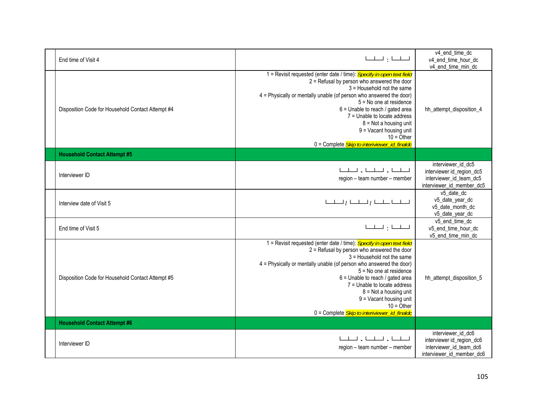| End time of Visit 4                               |                                                                                                                                                                                                                                                                                                                                                                                                                                                                    | v4 end time dc<br>v4_end_time_hour_dc<br>v4_end_time_min_dc                                             |
|---------------------------------------------------|--------------------------------------------------------------------------------------------------------------------------------------------------------------------------------------------------------------------------------------------------------------------------------------------------------------------------------------------------------------------------------------------------------------------------------------------------------------------|---------------------------------------------------------------------------------------------------------|
| Disposition Code for Household Contact Attempt #4 | 1 = Revisit requested (enter date / time): Specify in open text field<br>2 = Refusal by person who answered the door<br>3 = Household not the same<br>4 = Physically or mentally unable (of person who answered the door)<br>5 = No one at residence<br>6 = Unable to reach / gated area<br>7 = Unable to locate address<br>$8 = Not$ a housing unit<br>9 = Vacant housing unit<br>$10 = \overline{O}$ ther<br>0 = Complete <i>Skip to interiviewer_id_finaldc</i> | hh_attempt_disposition_4                                                                                |
| <b>Household Contact Attempt #5</b>               |                                                                                                                                                                                                                                                                                                                                                                                                                                                                    |                                                                                                         |
| Interviewer ID                                    | للطلبان ليطيبان ليطيبا<br>region - team number - member                                                                                                                                                                                                                                                                                                                                                                                                            | interviewer_id_dc5<br>interviewer id_region_dc5<br>interviewer_id_team_dc5<br>interviewer_id_member_dc5 |
| Interview date of Visit 5                         | لتسليبا والمسلسل المسلسل                                                                                                                                                                                                                                                                                                                                                                                                                                           | v5 date dc<br>v5_date_year_dc<br>v5_date_month_dc<br>v5_date_year_dc                                    |
| End time of Visit 5                               | لطلبا والمبلسا                                                                                                                                                                                                                                                                                                                                                                                                                                                     | v5_end_time_dc<br>v5_end_time_hour_dc<br>v5 end time min dc                                             |
| Disposition Code for Household Contact Attempt #5 | 1 = Revisit requested (enter date / time): Specify in open text field<br>2 = Refusal by person who answered the door<br>3 = Household not the same<br>4 = Physically or mentally unable (of person who answered the door)<br>$5 = No$ one at residence<br>$6$ = Unable to reach / gated area<br>7 = Unable to locate address<br>$8 = Not$ a housing unit<br>9 = Vacant housing unit<br>$10 =$ Other<br>0 = Complete <i>Skip to interiviewer_id_finaldc</i>         | hh_attempt_disposition_5                                                                                |
| <b>Household Contact Attempt #6</b>               |                                                                                                                                                                                                                                                                                                                                                                                                                                                                    |                                                                                                         |
| Interviewer ID                                    | المسلمين والمسلمين والمسلمينا<br>region - team number - member                                                                                                                                                                                                                                                                                                                                                                                                     | interviewer_id_dc6<br>interviewer id_region_dc6<br>interviewer_id_team_dc6<br>interviewer_id_member_dc6 |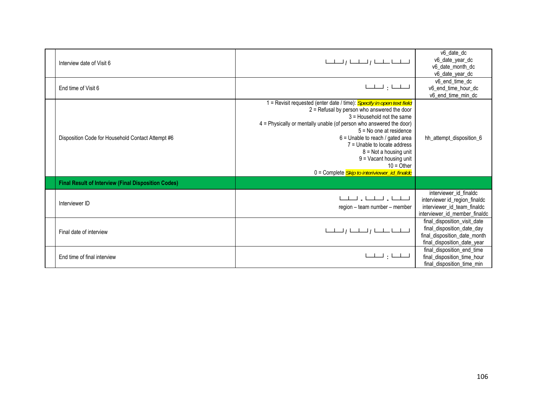| Interview date of Visit 6                                  |                                                                                                                                                                                                                                                                                                                                                                                                                                                                | v6 date dc<br>v6_date_year_dc<br>v6_date_month_dc<br>v6_date_year_dc                                                      |
|------------------------------------------------------------|----------------------------------------------------------------------------------------------------------------------------------------------------------------------------------------------------------------------------------------------------------------------------------------------------------------------------------------------------------------------------------------------------------------------------------------------------------------|---------------------------------------------------------------------------------------------------------------------------|
| End time of Visit 6                                        | $\begin{tabular}{ll} \hspace{2.5cm} \textcolor{blue}{\mathbf{L-L-l}} \end{tabular} \begin{tabular}{ll} \textcolor{blue}{\mathbf{L-L-l}} \end{tabular}$                                                                                                                                                                                                                                                                                                         | v6 end time dc<br>v6_end_time_hour_dc<br>v6_end_time_min_dc                                                               |
| Disposition Code for Household Contact Attempt #6          | 1 = Revisit requested (enter date / time): Specify in open text field<br>$2$ = Refusal by person who answered the door<br>$3$ = Household not the same<br>4 = Physically or mentally unable (of person who answered the door)<br>$5 = No$ one at residence<br>6 = Unable to reach / gated area<br>7 = Unable to locate address<br>$8 = Not$ a housing unit<br>$9 =$ Vacant housing unit<br>$10 =$ Other<br>0 = Complete <i>Skip to interiviewer_id_finaldc</i> | hh attempt disposition 6                                                                                                  |
| <b>Final Result of Interview (Final Disposition Codes)</b> |                                                                                                                                                                                                                                                                                                                                                                                                                                                                |                                                                                                                           |
| Interviewer ID                                             | للطلبان للطيبان للطب<br>region - team number - member                                                                                                                                                                                                                                                                                                                                                                                                          | interviewer id finaldc<br>interviewer id_region_finaldc<br>interviewer_id_team_finaldc<br>interviewer_id_member_finaldc   |
| Final date of interview                                    | للطلب الطلبا المطلبا الملطب                                                                                                                                                                                                                                                                                                                                                                                                                                    | final_disposition_visit_date<br>final_disposition_date_day<br>final_disposition_date_month<br>final_disposition_date_year |
| End time of final interview                                | لطلبا وليطيبا                                                                                                                                                                                                                                                                                                                                                                                                                                                  | final_disposition_end_time<br>final_disposition_time_hour<br>final_disposition_time_min                                   |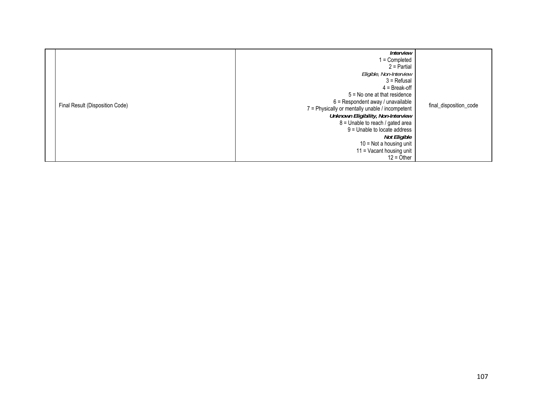| Final Result (Disposition Code) | <b>Interview</b><br>1 = Completed<br>$2$ = Partial<br>Eligible, Non-Interview<br>$3$ = Refusal<br>$4 = B$ reak-off<br>$5 = No$ one at that residence<br>$6$ = Respondent away / unavailable<br>7 = Physically or mentally unable / incompetent<br>Unknown Eligibility, Non-Interview<br>$8 =$ Unable to reach / gated area<br>9 = Unable to locate address<br>Not Eligible<br>10 = Not a housing unit<br>11 = Vacant housing unit<br>$12 =$ Other | final_disposition_code |
|---------------------------------|---------------------------------------------------------------------------------------------------------------------------------------------------------------------------------------------------------------------------------------------------------------------------------------------------------------------------------------------------------------------------------------------------------------------------------------------------|------------------------|
|---------------------------------|---------------------------------------------------------------------------------------------------------------------------------------------------------------------------------------------------------------------------------------------------------------------------------------------------------------------------------------------------------------------------------------------------------------------------------------------------|------------------------|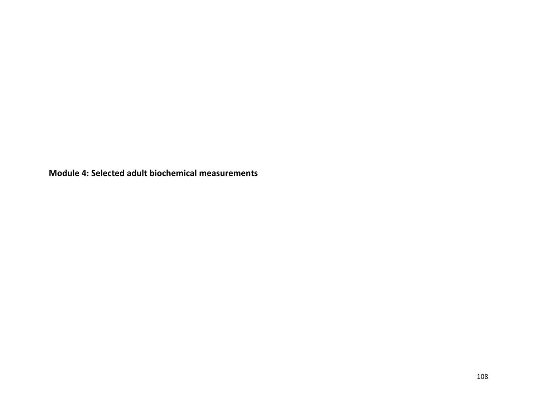**Module 4: Selected adult biochemical measurements**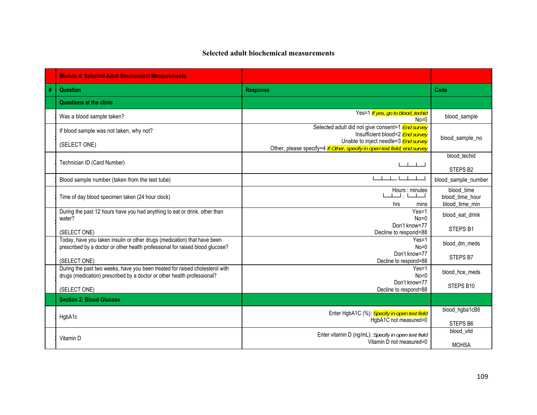## **Selected adult biochemical measurements**

|   | <b>Module 4: Selected Adult Biochemical Measurements</b>                                                                                                  |                                                                                                                         |                                                 |
|---|-----------------------------------------------------------------------------------------------------------------------------------------------------------|-------------------------------------------------------------------------------------------------------------------------|-------------------------------------------------|
| # | <b>Question</b>                                                                                                                                           | <b>Response</b>                                                                                                         | Code                                            |
|   | <b>Questions at the clinic</b>                                                                                                                            |                                                                                                                         |                                                 |
|   | Was a blood sample taken?                                                                                                                                 | Yes=1 If yes, go to blood_techid<br>$No=0$                                                                              | blood_sample                                    |
|   | If blood sample was not taken, why not?                                                                                                                   | Selected adult did not give consent=1 End survey<br>Insufficient blood=2 <b>End survey</b>                              | blood_sample_no                                 |
|   | (SELECT ONE)                                                                                                                                              | Unable to inject needle=3 <b>End survey</b><br>Other, please specify=4 If Other, specify in open text field; end survey |                                                 |
|   | Technician ID (Card Number)                                                                                                                               |                                                                                                                         | blood techid<br>STEPS B2                        |
|   | Blood sample number (taken from the test tube)                                                                                                            | $1$ $1$ $1$ $1$                                                                                                         | blood_sample_number                             |
|   | Time of day blood specimen taken (24 hour clock)                                                                                                          | Hours : minutes<br>لتبليا ولتبلينا<br>hrs<br>mins                                                                       | blood time<br>blood time hour<br>blood time min |
|   | During the past 12 hours have you had anything to eat or drink, other than<br>water?                                                                      | $Yes=1$<br>$No=0$                                                                                                       | blood eat drink                                 |
|   | (SELECT ONE)                                                                                                                                              | Don't know=77<br>Decline to respond=88                                                                                  | STEPS B1                                        |
|   | Today, have you taken insulin or other drugs (medication) that have been<br>prescribed by a doctor or other health professional for raised blood glucose? | $Yes=1$<br>$No=0$                                                                                                       | blood_dm_meds                                   |
|   | (SELECT ONE)                                                                                                                                              | Don't know=77<br>Decline to respond=88                                                                                  | STEPS B7                                        |
|   | During the past two weeks, have you been treated for raised cholesterol with<br>drugs (medication) prescribed by a doctor or other health professional?   | Yes=1<br>$No=0$                                                                                                         | blood hce meds                                  |
|   | (SELECT ONE)                                                                                                                                              | Don't know=77<br>Decline to respond=88                                                                                  | STEPS B10                                       |
|   | <b>Section 2: Blood Glucose</b>                                                                                                                           |                                                                                                                         |                                                 |
|   | HgbA1c                                                                                                                                                    | Enter HgbA1C (%): Specify in open text field<br>HgbA1C not measured=0                                                   | blood_hgba1cB6                                  |
|   |                                                                                                                                                           |                                                                                                                         | STEPS B6                                        |
|   | Vitamin D                                                                                                                                                 | Enter vitamin D (ng/mL): Specify in open text field<br>Vitamin D not measured=0                                         | blood vitd<br><b>MOHSA</b>                      |